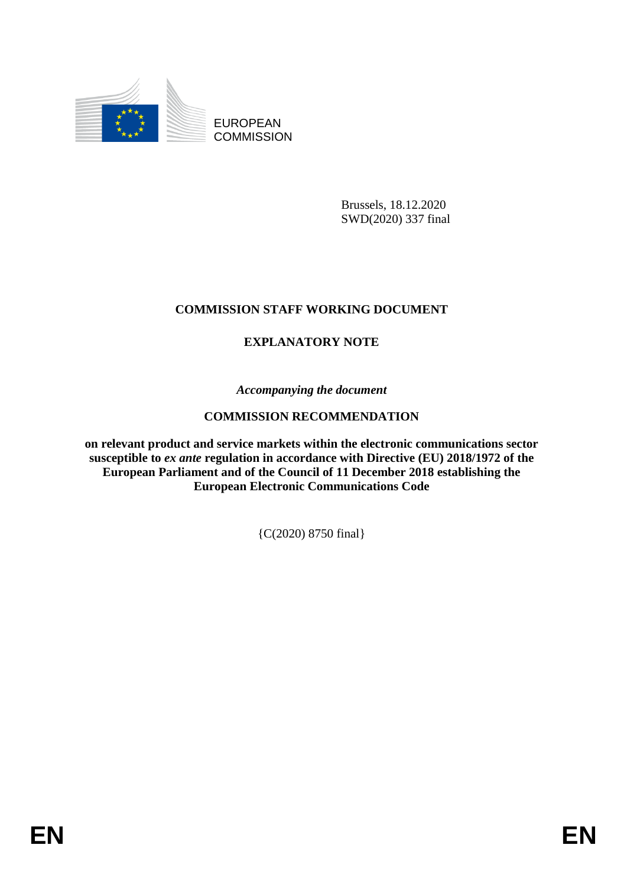

EUROPEAN **COMMISSION** 

> Brussels, 18.12.2020 SWD(2020) 337 final

# **COMMISSION STAFF WORKING DOCUMENT**

# **EXPLANATORY NOTE**

*Accompanying the document*

# **COMMISSION RECOMMENDATION**

**on relevant product and service markets within the electronic communications sector susceptible to** *ex ante* **regulation in accordance with Directive (EU) 2018/1972 of the European Parliament and of the Council of 11 December 2018 establishing the European Electronic Communications Code** 

{C(2020) 8750 final}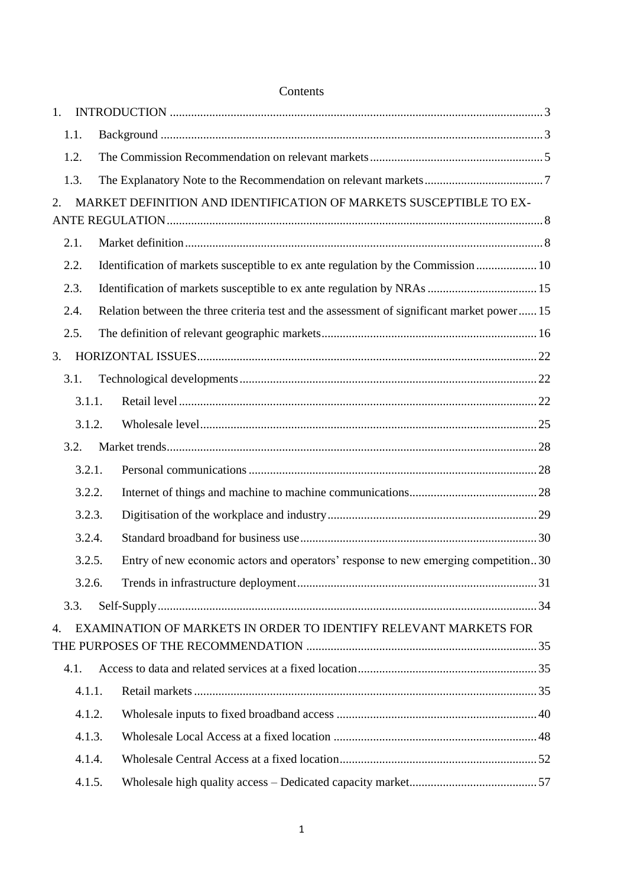| 1. |        |                                                                                            |  |
|----|--------|--------------------------------------------------------------------------------------------|--|
|    | 1.1.   |                                                                                            |  |
|    | 1.2.   |                                                                                            |  |
|    | 1.3.   |                                                                                            |  |
| 2. |        | MARKET DEFINITION AND IDENTIFICATION OF MARKETS SUSCEPTIBLE TO EX-                         |  |
|    |        |                                                                                            |  |
|    | 2.1.   |                                                                                            |  |
|    | 2.2.   | Identification of markets susceptible to ex ante regulation by the Commission  10          |  |
|    | 2.3.   |                                                                                            |  |
|    | 2.4.   | Relation between the three criteria test and the assessment of significant market power 15 |  |
|    | 2.5.   |                                                                                            |  |
| 3. |        |                                                                                            |  |
|    | 3.1.   |                                                                                            |  |
|    | 3.1.1. |                                                                                            |  |
|    | 3.1.2. |                                                                                            |  |
|    | 3.2.   |                                                                                            |  |
|    | 3.2.1. |                                                                                            |  |
|    | 3.2.2. |                                                                                            |  |
|    | 3.2.3. |                                                                                            |  |
|    | 3.2.4. |                                                                                            |  |
|    | 3.2.5. | Entry of new economic actors and operators' response to new emerging competition30         |  |
|    | 3.2.6. |                                                                                            |  |
|    | 3.3.   |                                                                                            |  |
| 4. |        | EXAMINATION OF MARKETS IN ORDER TO IDENTIFY RELEVANT MARKETS FOR                           |  |
|    | 4.1.   |                                                                                            |  |
|    | 4.1.1. |                                                                                            |  |
|    | 4.1.2. |                                                                                            |  |
|    | 4.1.3. |                                                                                            |  |
|    | 4.1.4. |                                                                                            |  |
|    | 4.1.5. |                                                                                            |  |

## Contents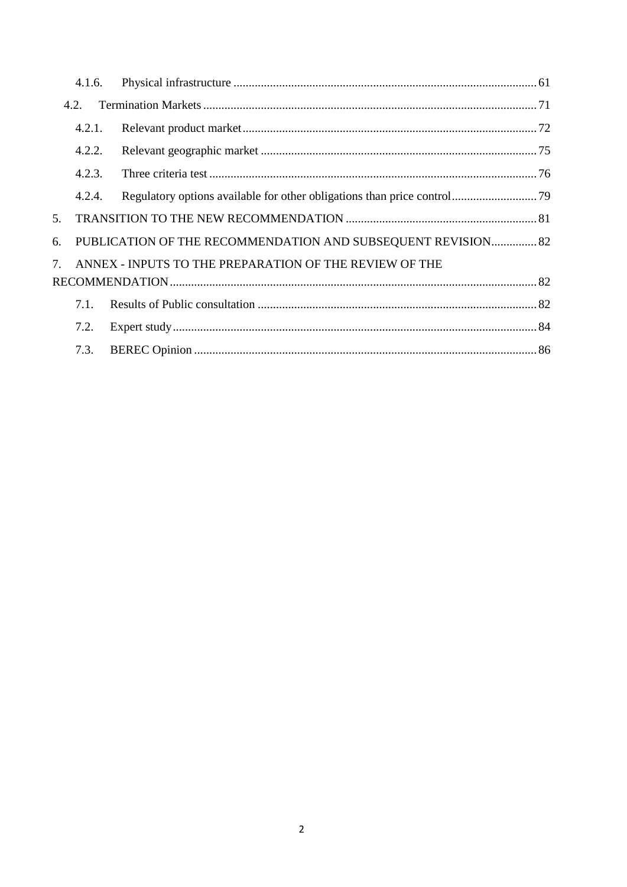|                                       | 4.1.6. |                                                              |  |  |  |  |
|---------------------------------------|--------|--------------------------------------------------------------|--|--|--|--|
|                                       | 4.2.   |                                                              |  |  |  |  |
|                                       | 4.2.1. |                                                              |  |  |  |  |
|                                       | 4.2.2. |                                                              |  |  |  |  |
|                                       | 4.2.3. |                                                              |  |  |  |  |
|                                       | 4.2.4. |                                                              |  |  |  |  |
| 5.                                    |        |                                                              |  |  |  |  |
| 6.                                    |        | PUBLICATION OF THE RECOMMENDATION AND SUBSEQUENT REVISION 82 |  |  |  |  |
| $7_{\scriptscriptstyle{\ddot{\sim}}}$ |        | ANNEX - INPUTS TO THE PREPARATION OF THE REVIEW OF THE       |  |  |  |  |
|                                       |        |                                                              |  |  |  |  |
|                                       | 7.1.   |                                                              |  |  |  |  |
|                                       | 7.2.   |                                                              |  |  |  |  |
|                                       | 7.3.   |                                                              |  |  |  |  |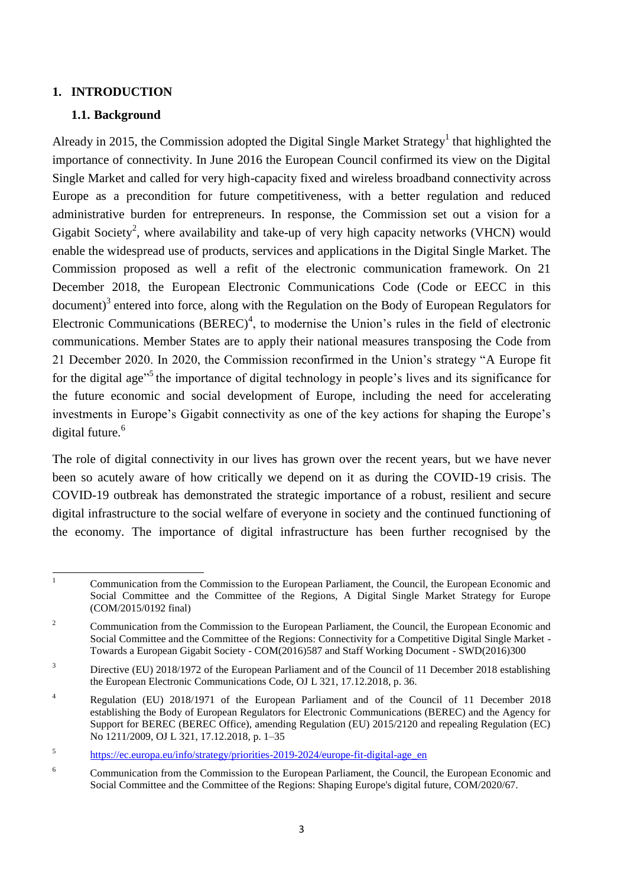#### <span id="page-3-1"></span><span id="page-3-0"></span>**1. INTRODUCTION**

#### **1.1. Background**

Already in 2015, the Commission adopted the Digital Single Market Strategy<sup>1</sup> that highlighted the importance of connectivity. In June 2016 the European Council confirmed its view on the Digital Single Market and called for very high-capacity fixed and wireless broadband connectivity across Europe as a precondition for future competitiveness, with a better regulation and reduced administrative burden for entrepreneurs. In response, the Commission set out a vision for a Gigabit Society<sup>2</sup>, where availability and take-up of very high capacity networks (VHCN) would enable the widespread use of products, services and applications in the Digital Single Market. The Commission proposed as well a refit of the electronic communication framework. On 21 December 2018, the European Electronic Communications Code (Code or EECC in this document)<sup>3</sup> entered into force, along with the Regulation on the Body of European Regulators for Electronic Communications  $(BEREC)^4$ , to modernise the Union's rules in the field of electronic communications. Member States are to apply their national measures transposing the Code from 21 December 2020. In 2020, the Commission reconfirmed in the Union's strategy "A Europe fit for the digital age<sup>15</sup> the importance of digital technology in people's lives and its significance for the future economic and social development of Europe, including the need for accelerating investments in Europe's Gigabit connectivity as one of the key actions for shaping the Europe's digital future.<sup>6</sup>

The role of digital connectivity in our lives has grown over the recent years, but we have never been so acutely aware of how critically we depend on it as during the COVID-19 crisis. The COVID-19 outbreak has demonstrated the strategic importance of a robust, resilient and secure digital infrastructure to the social welfare of everyone in society and the continued functioning of the economy. The importance of digital infrastructure has been further recognised by the

 $\mathbf{1}$ <sup>1</sup> Communication from the Commission to the European Parliament, the Council, the European Economic and Social Committee and the Committee of the Regions, A Digital Single Market Strategy for Europe (COM/2015/0192 final)

<sup>&</sup>lt;sup>2</sup> Communication from the Commission to the European Parliament, the Council, the European Economic and Social Committee and the Committee of the Regions: Connectivity for a Competitive Digital Single Market - Towards a European Gigabit Society - COM(2016)587 and Staff Working Document - SWD(2016)300

<sup>&</sup>lt;sup>3</sup> Directive (EU) 2018/1972 of the European Parliament and of the Council of 11 December 2018 establishing the European Electronic Communications Code, OJ L 321, 17.12.2018, p. 36.

<sup>&</sup>lt;sup>4</sup> Regulation (EU) 2018/1971 of the European Parliament and of the Council of 11 December 2018 establishing the Body of European Regulators for Electronic Communications (BEREC) and the Agency for Support for BEREC (BEREC Office), amending Regulation (EU) 2015/2120 and repealing Regulation (EC) No 1211/2009, OJ L 321, 17.12.2018, p. 1–35

<sup>5</sup> [https://ec.europa.eu/info/strategy/priorities-2019-2024/europe-fit-digital-age\\_en](https://ec.europa.eu/info/strategy/priorities-2019-2024/europe-fit-digital-age_en)

<sup>6</sup> Communication from the Commission to the European Parliament, the Council, the European Economic and Social Committee and the Committee of the Regions: Shaping Europe's digital future, COM/2020/67.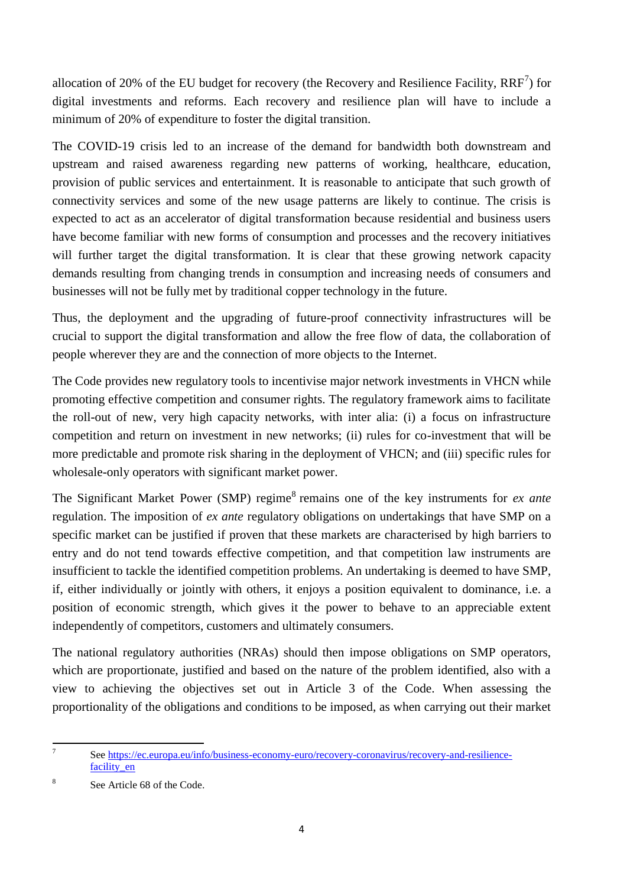allocation of 20% of the EU budget for recovery (the Recovery and Resilience Facility,  $RRF^7$ ) for digital investments and reforms. Each recovery and resilience plan will have to include a minimum of 20% of expenditure to foster the digital transition.

The COVID-19 crisis led to an increase of the demand for bandwidth both downstream and upstream and raised awareness regarding new patterns of working, healthcare, education, provision of public services and entertainment. It is reasonable to anticipate that such growth of connectivity services and some of the new usage patterns are likely to continue. The crisis is expected to act as an accelerator of digital transformation because residential and business users have become familiar with new forms of consumption and processes and the recovery initiatives will further target the digital transformation. It is clear that these growing network capacity demands resulting from changing trends in consumption and increasing needs of consumers and businesses will not be fully met by traditional copper technology in the future.

Thus, the deployment and the upgrading of future-proof connectivity infrastructures will be crucial to support the digital transformation and allow the free flow of data, the collaboration of people wherever they are and the connection of more objects to the Internet.

The Code provides new regulatory tools to incentivise major network investments in VHCN while promoting effective competition and consumer rights. The regulatory framework aims to facilitate the roll-out of new, very high capacity networks, with inter alia: (i) a focus on infrastructure competition and return on investment in new networks; (ii) rules for co-investment that will be more predictable and promote risk sharing in the deployment of VHCN; and (iii) specific rules for wholesale-only operators with significant market power.

The Significant Market Power (SMP) regime<sup>8</sup> remains one of the key instruments for *ex ante* regulation. The imposition of *ex ante* regulatory obligations on undertakings that have SMP on a specific market can be justified if proven that these markets are characterised by high barriers to entry and do not tend towards effective competition, and that competition law instruments are insufficient to tackle the identified competition problems. An undertaking is deemed to have SMP, if, either individually or jointly with others, it enjoys a position equivalent to dominance, i.e. a position of economic strength, which gives it the power to behave to an appreciable extent independently of competitors, customers and ultimately consumers.

The national regulatory authorities (NRAs) should then impose obligations on SMP operators, which are proportionate, justified and based on the nature of the problem identified, also with a view to achieving the objectives set out in Article 3 of the Code. When assessing the proportionality of the obligations and conditions to be imposed, as when carrying out their market

<sup>-&</sup>lt;br>7 Se[e https://ec.europa.eu/info/business-economy-euro/recovery-coronavirus/recovery-and-resilience](https://ec.europa.eu/info/business-economy-euro/recovery-coronavirus/recovery-and-resilience-facility_en)[facility\\_en](https://ec.europa.eu/info/business-economy-euro/recovery-coronavirus/recovery-and-resilience-facility_en)

<sup>8</sup> See Article 68 of the Code.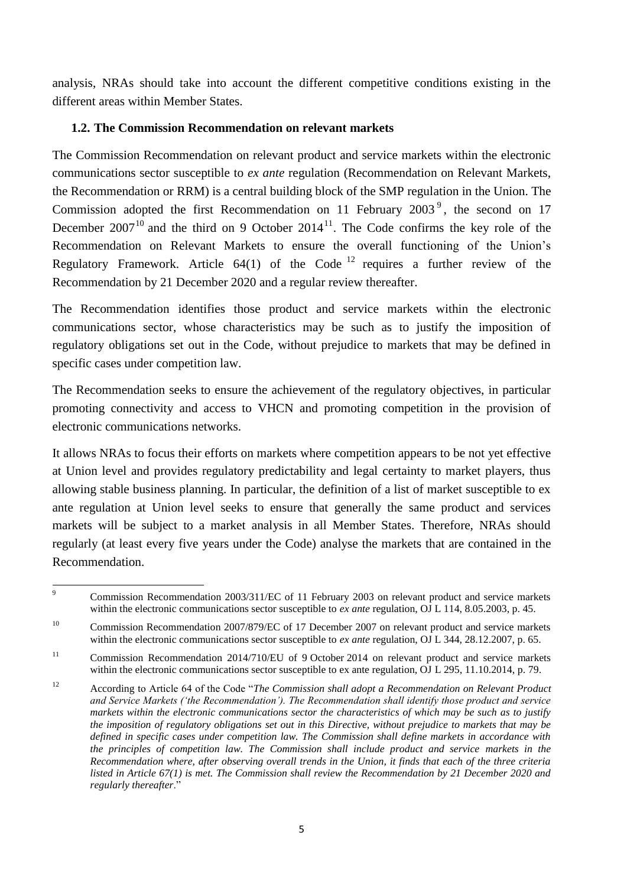analysis, NRAs should take into account the different competitive conditions existing in the different areas within Member States.

#### <span id="page-5-0"></span>**1.2. The Commission Recommendation on relevant markets**

The Commission Recommendation on relevant product and service markets within the electronic communications sector susceptible to *ex ante* regulation (Recommendation on Relevant Markets, the Recommendation or RRM) is a central building block of the SMP regulation in the Union. The Commission adopted the first Recommendation on 11 February  $2003^{\circ}$ , the second on 17 December  $2007^{10}$  and the third on 9 October  $2014^{11}$ . The Code confirms the key role of the Recommendation on Relevant Markets to ensure the overall functioning of the Union's Regulatory Framework. Article  $64(1)$  of the Code<sup>12</sup> requires a further review of the Recommendation by 21 December 2020 and a regular review thereafter.

The Recommendation identifies those product and service markets within the electronic communications sector, whose characteristics may be such as to justify the imposition of regulatory obligations set out in the Code, without prejudice to markets that may be defined in specific cases under competition law.

The Recommendation seeks to ensure the achievement of the regulatory objectives, in particular promoting connectivity and access to VHCN and promoting competition in the provision of electronic communications networks.

It allows NRAs to focus their efforts on markets where competition appears to be not yet effective at Union level and provides regulatory predictability and legal certainty to market players, thus allowing stable business planning. In particular, the definition of a list of market susceptible to ex ante regulation at Union level seeks to ensure that generally the same product and services markets will be subject to a market analysis in all Member States. Therefore, NRAs should regularly (at least every five years under the Code) analyse the markets that are contained in the Recommendation.

 $\overline{9}$ <sup>9</sup> Commission Recommendation 2003/311/EC of 11 February 2003 on relevant product and service markets within the electronic communications sector susceptible to *ex ante* regulation, OJ L 114, 8.05.2003, p. 45.

<sup>&</sup>lt;sup>10</sup> Commission Recommendation 2007/879/EC of 17 December 2007 on relevant product and service markets within the electronic communications sector susceptible to *ex ante* regulation, OJ L 344, 28.12.2007, p. 65.

<sup>&</sup>lt;sup>11</sup> Commission Recommendation 2014/710/EU of 9 October 2014 on relevant product and service markets within the electronic communications sector susceptible to ex ante regulation, OJ L 295, 11.10.2014, p. 79.

<sup>12</sup> According to Article 64 of the Code "*The Commission shall adopt a Recommendation on Relevant Product and Service Markets ('the Recommendation'). The Recommendation shall identify those product and service markets within the electronic communications sector the characteristics of which may be such as to justify the imposition of regulatory obligations set out in this Directive, without prejudice to markets that may be defined in specific cases under competition law. The Commission shall define markets in accordance with the principles of competition law. The Commission shall include product and service markets in the Recommendation where, after observing overall trends in the Union, it finds that each of the three criteria listed in Article 67(1) is met. The Commission shall review the Recommendation by 21 December 2020 and regularly thereafter*."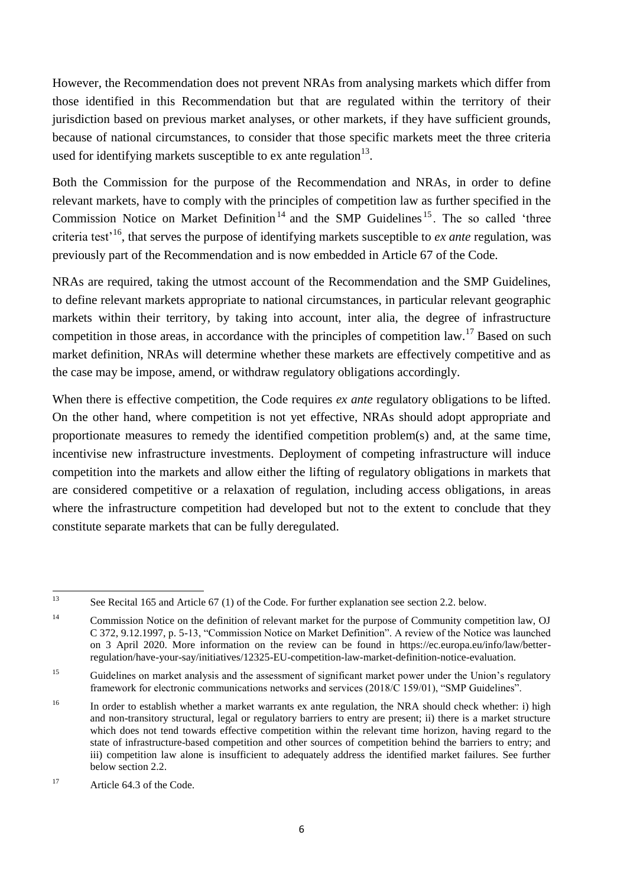However, the Recommendation does not prevent NRAs from analysing markets which differ from those identified in this Recommendation but that are regulated within the territory of their jurisdiction based on previous market analyses, or other markets, if they have sufficient grounds, because of national circumstances, to consider that those specific markets meet the three criteria used for identifying markets susceptible to ex ante regulation $13$ .

Both the Commission for the purpose of the Recommendation and NRAs, in order to define relevant markets, have to comply with the principles of competition law as further specified in the Commission Notice on Market Definition<sup>14</sup> and the SMP Guidelines<sup>15</sup>. The so called 'three criteria test'<sup>16</sup>, that serves the purpose of identifying markets susceptible to *ex ante* regulation, was previously part of the Recommendation and is now embedded in Article 67 of the Code.

NRAs are required, taking the utmost account of the Recommendation and the SMP Guidelines, to define relevant markets appropriate to national circumstances, in particular relevant geographic markets within their territory, by taking into account, inter alia, the degree of infrastructure competition in those areas, in accordance with the principles of competition law.<sup>17</sup> Based on such market definition, NRAs will determine whether these markets are effectively competitive and as the case may be impose, amend, or withdraw regulatory obligations accordingly.

When there is effective competition, the Code requires *ex ante* regulatory obligations to be lifted. On the other hand, where competition is not yet effective, NRAs should adopt appropriate and proportionate measures to remedy the identified competition problem(s) and, at the same time, incentivise new infrastructure investments. Deployment of competing infrastructure will induce competition into the markets and allow either the lifting of regulatory obligations in markets that are considered competitive or a relaxation of regulation, including access obligations, in areas where the infrastructure competition had developed but not to the extent to conclude that they constitute separate markets that can be fully deregulated.

 $13$ See Recital 165 and Article 67 (1) of the Code. For further explanation see section 2.2. below.

<sup>&</sup>lt;sup>14</sup> Commission Notice on the definition of relevant market for the purpose of Community competition law, OJ C 372, 9.12.1997, p. 5-13, "Commission Notice on Market Definition". A review of the Notice was launched on 3 April 2020. More information on the review can be found in https://ec.europa.eu/info/law/betterregulation/have-your-say/initiatives/12325-EU-competition-law-market-definition-notice-evaluation.

<sup>&</sup>lt;sup>15</sup> Guidelines on market analysis and the assessment of significant market power under the Union's regulatory framework for electronic communications networks and services (2018/C 159/01), "SMP Guidelines".

<sup>&</sup>lt;sup>16</sup> In order to establish whether a market warrants ex ante regulation, the NRA should check whether: i) high and non-transitory structural, legal or regulatory barriers to entry are present; ii) there is a market structure which does not tend towards effective competition within the relevant time horizon, having regard to the state of infrastructure-based competition and other sources of competition behind the barriers to entry; and iii) competition law alone is insufficient to adequately address the identified market failures. See further below section 2.2.

<sup>&</sup>lt;sup>17</sup> Article 64.3 of the Code.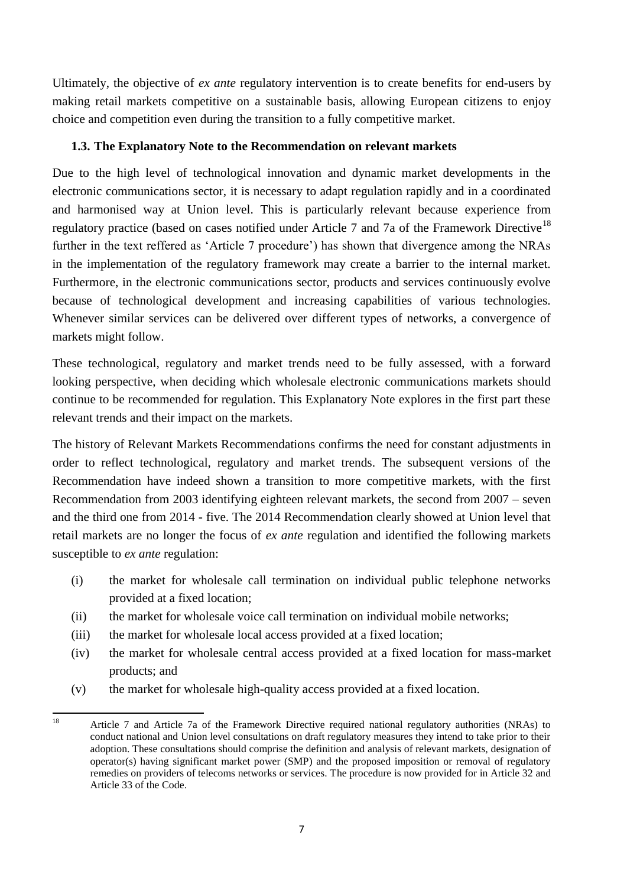Ultimately, the objective of *ex ante* regulatory intervention is to create benefits for end-users by making retail markets competitive on a sustainable basis, allowing European citizens to enjoy choice and competition even during the transition to a fully competitive market.

### <span id="page-7-0"></span>**1.3. The Explanatory Note to the Recommendation on relevant markets**

Due to the high level of technological innovation and dynamic market developments in the electronic communications sector, it is necessary to adapt regulation rapidly and in a coordinated and harmonised way at Union level. This is particularly relevant because experience from regulatory practice (based on cases notified under Article 7 and 7a of the Framework Directive<sup>18</sup> further in the text reffered as 'Article 7 procedure') has shown that divergence among the NRAs in the implementation of the regulatory framework may create a barrier to the internal market. Furthermore, in the electronic communications sector, products and services continuously evolve because of technological development and increasing capabilities of various technologies. Whenever similar services can be delivered over different types of networks, a convergence of markets might follow.

These technological, regulatory and market trends need to be fully assessed, with a forward looking perspective, when deciding which wholesale electronic communications markets should continue to be recommended for regulation. This Explanatory Note explores in the first part these relevant trends and their impact on the markets.

The history of Relevant Markets Recommendations confirms the need for constant adjustments in order to reflect technological, regulatory and market trends. The subsequent versions of the Recommendation have indeed shown a transition to more competitive markets, with the first Recommendation from 2003 identifying eighteen relevant markets, the second from 2007 – seven and the third one from 2014 - five. The 2014 Recommendation clearly showed at Union level that retail markets are no longer the focus of *ex ante* regulation and identified the following markets susceptible to *ex ante* regulation:

- (i) the market for wholesale call termination on individual public telephone networks provided at a fixed location;
- (ii) the market for wholesale voice call termination on individual mobile networks;
- (iii) the market for wholesale local access provided at a fixed location;
- (iv) the market for wholesale central access provided at a fixed location for mass-market products; and
- (v) the market for wholesale high-quality access provided at a fixed location.

<sup>18</sup> <sup>18</sup> Article 7 and Article 7a of the Framework Directive required national regulatory authorities (NRAs) to conduct national and Union level consultations on draft regulatory measures they intend to take prior to their adoption. These consultations should comprise the definition and analysis of relevant markets, designation of operator(s) having significant market power (SMP) and the proposed imposition or removal of regulatory remedies on providers of telecoms networks or services. The procedure is now provided for in Article 32 and Article 33 of the Code.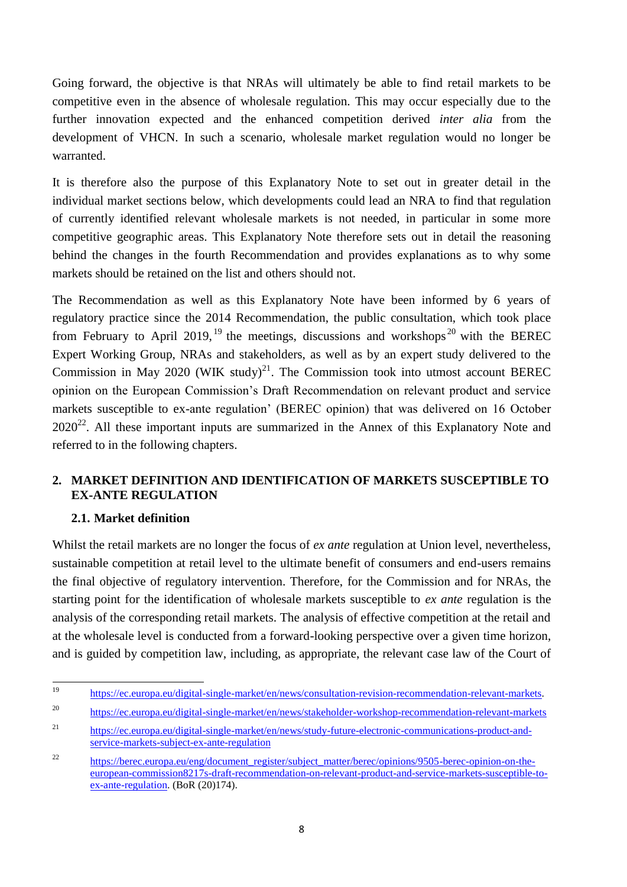Going forward, the objective is that NRAs will ultimately be able to find retail markets to be competitive even in the absence of wholesale regulation. This may occur especially due to the further innovation expected and the enhanced competition derived *inter alia* from the development of VHCN. In such a scenario, wholesale market regulation would no longer be warranted.

It is therefore also the purpose of this Explanatory Note to set out in greater detail in the individual market sections below, which developments could lead an NRA to find that regulation of currently identified relevant wholesale markets is not needed, in particular in some more competitive geographic areas. This Explanatory Note therefore sets out in detail the reasoning behind the changes in the fourth Recommendation and provides explanations as to why some markets should be retained on the list and others should not.

The Recommendation as well as this Explanatory Note have been informed by 6 years of regulatory practice since the 2014 Recommendation, the public consultation, which took place from February to April 2019, <sup>19</sup> the meetings, discussions and workshops<sup>20</sup> with the BEREC Expert Working Group, NRAs and stakeholders, as well as by an expert study delivered to the Commission in May 2020 (WIK study)<sup>21</sup>. The Commission took into utmost account BEREC opinion on the European Commission's Draft Recommendation on relevant product and service markets susceptible to ex-ante regulation' (BEREC opinion) that was delivered on 16 October  $2020^{22}$ . All these important inputs are summarized in the Annex of this Explanatory Note and referred to in the following chapters.

### <span id="page-8-0"></span>**2. MARKET DEFINITION AND IDENTIFICATION OF MARKETS SUSCEPTIBLE TO EX-ANTE REGULATION**

### <span id="page-8-1"></span>**2.1. Market definition**

Whilst the retail markets are no longer the focus of *ex ante* regulation at Union level, nevertheless, sustainable competition at retail level to the ultimate benefit of consumers and end-users remains the final objective of regulatory intervention. Therefore, for the Commission and for NRAs, the starting point for the identification of wholesale markets susceptible to *ex ante* regulation is the analysis of the corresponding retail markets. The analysis of effective competition at the retail and at the wholesale level is conducted from a forward-looking perspective over a given time horizon, and is guided by competition law, including, as appropriate, the relevant case law of the Court of

 $19$ <sup>19</sup> [https://ec.europa.eu/digital-single-market/en/news/consultation-revision-recommendation-relevant-markets.](https://ec.europa.eu/digital-single-market/en/news/consultation-revision-recommendation-relevant-markets)

<sup>20</sup> <https://ec.europa.eu/digital-single-market/en/news/stakeholder-workshop-recommendation-relevant-markets>

<sup>21</sup> [https://ec.europa.eu/digital-single-market/en/news/study-future-electronic-communications-product-and](https://ec.europa.eu/digital-single-market/en/news/study-future-electronic-communications-product-and-service-markets-subject-ex-ante-regulation)[service-markets-subject-ex-ante-regulation](https://ec.europa.eu/digital-single-market/en/news/study-future-electronic-communications-product-and-service-markets-subject-ex-ante-regulation)

<sup>&</sup>lt;sup>22</sup> [https://berec.europa.eu/eng/document\\_register/subject\\_matter/berec/opinions/9505-berec-opinion-on-the](https://berec.europa.eu/eng/document_register/subject_matter/berec/opinions/9505-berec-opinion-on-the-european-commission8217s-draft-recommendation-on-relevant-product-and-service-markets-susceptible-to-ex-ante-regulation)[european-commission8217s-draft-recommendation-on-relevant-product-and-service-markets-susceptible-to](https://berec.europa.eu/eng/document_register/subject_matter/berec/opinions/9505-berec-opinion-on-the-european-commission8217s-draft-recommendation-on-relevant-product-and-service-markets-susceptible-to-ex-ante-regulation)[ex-ante-regulation.](https://berec.europa.eu/eng/document_register/subject_matter/berec/opinions/9505-berec-opinion-on-the-european-commission8217s-draft-recommendation-on-relevant-product-and-service-markets-susceptible-to-ex-ante-regulation) (BoR (20)174).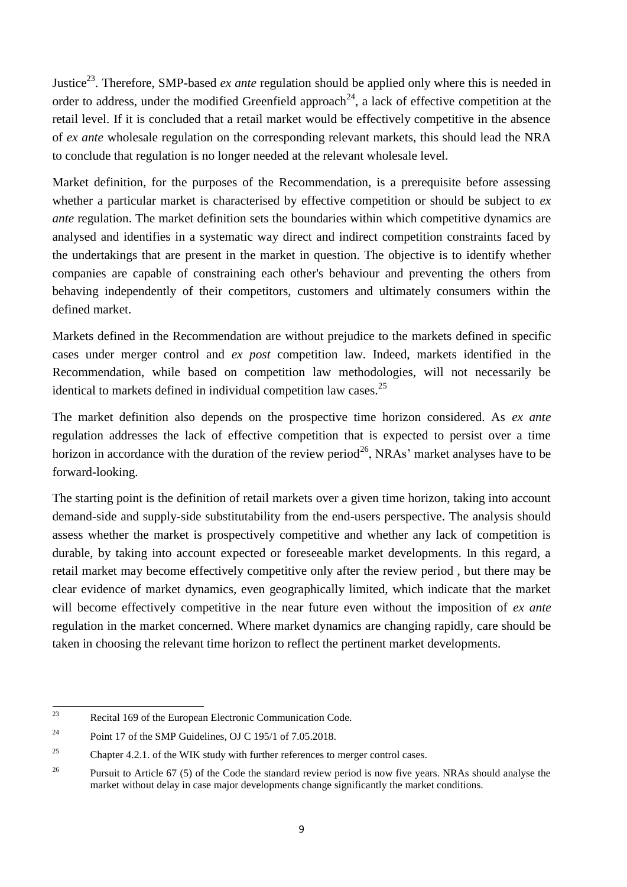Justice<sup>23</sup>. Therefore, SMP-based *ex ante* regulation should be applied only where this is needed in order to address, under the modified Greenfield approach<sup>24</sup>, a lack of effective competition at the retail level. If it is concluded that a retail market would be effectively competitive in the absence of *ex ante* wholesale regulation on the corresponding relevant markets, this should lead the NRA to conclude that regulation is no longer needed at the relevant wholesale level.

Market definition, for the purposes of the Recommendation, is a prerequisite before assessing whether a particular market is characterised by effective competition or should be subject to *ex ante* regulation. The market definition sets the boundaries within which competitive dynamics are analysed and identifies in a systematic way direct and indirect competition constraints faced by the undertakings that are present in the market in question. The objective is to identify whether companies are capable of constraining each other's behaviour and preventing the others from behaving independently of their competitors, customers and ultimately consumers within the defined market.

Markets defined in the Recommendation are without prejudice to the markets defined in specific cases under merger control and *ex post* competition law. Indeed, markets identified in the Recommendation, while based on competition law methodologies, will not necessarily be identical to markets defined in individual competition law cases.<sup>25</sup>

The market definition also depends on the prospective time horizon considered. As *ex ante*  regulation addresses the lack of effective competition that is expected to persist over a time horizon in accordance with the duration of the review period<sup>26</sup>, NRAs' market analyses have to be forward-looking.

The starting point is the definition of retail markets over a given time horizon, taking into account demand-side and supply-side substitutability from the end-users perspective. The analysis should assess whether the market is prospectively competitive and whether any lack of competition is durable, by taking into account expected or foreseeable market developments. In this regard, a retail market may become effectively competitive only after the review period , but there may be clear evidence of market dynamics, even geographically limited, which indicate that the market will become effectively competitive in the near future even without the imposition of *ex ante*  regulation in the market concerned. Where market dynamics are changing rapidly, care should be taken in choosing the relevant time horizon to reflect the pertinent market developments.

 $\overline{23}$ Recital 169 of the European Electronic Communication Code.

<sup>&</sup>lt;sup>24</sup> Point 17 of the SMP Guidelines, OJ C 195/1 of 7.05.2018.

<sup>&</sup>lt;sup>25</sup> Chapter 4.2.1. of the WIK study with further references to merger control cases.

<sup>&</sup>lt;sup>26</sup> Pursuit to Article 67 (5) of the Code the standard review period is now five years. NRAs should analyse the market without delay in case major developments change significantly the market conditions.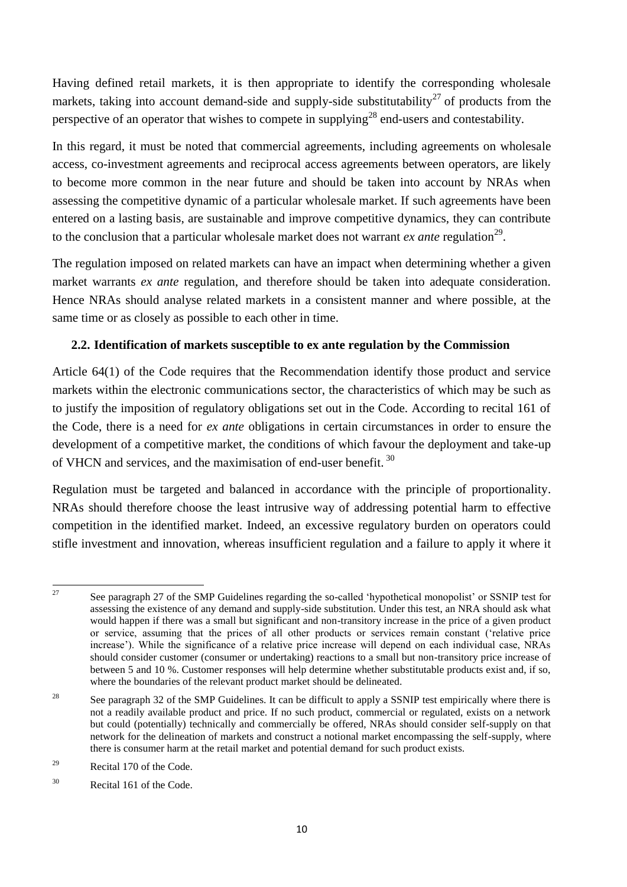Having defined retail markets, it is then appropriate to identify the corresponding wholesale markets, taking into account demand-side and supply-side substitutability<sup>27</sup> of products from the perspective of an operator that wishes to compete in supplying<sup>28</sup> end-users and contestability.

In this regard, it must be noted that commercial agreements, including agreements on wholesale access, co-investment agreements and reciprocal access agreements between operators, are likely to become more common in the near future and should be taken into account by NRAs when assessing the competitive dynamic of a particular wholesale market. If such agreements have been entered on a lasting basis, are sustainable and improve competitive dynamics, they can contribute to the conclusion that a particular wholesale market does not warrant *ex ante* regulation<sup>29</sup>.

The regulation imposed on related markets can have an impact when determining whether a given market warrants *ex ante* regulation, and therefore should be taken into adequate consideration. Hence NRAs should analyse related markets in a consistent manner and where possible, at the same time or as closely as possible to each other in time.

### <span id="page-10-0"></span>**2.2. Identification of markets susceptible to ex ante regulation by the Commission**

Article 64(1) of the Code requires that the Recommendation identify those product and service markets within the electronic communications sector, the characteristics of which may be such as to justify the imposition of regulatory obligations set out in the Code. According to recital 161 of the Code, there is a need for *ex ante* obligations in certain circumstances in order to ensure the development of a competitive market, the conditions of which favour the deployment and take-up of VHCN and services, and the maximisation of end-user benefit.<sup>30</sup>

Regulation must be targeted and balanced in accordance with the principle of proportionality. NRAs should therefore choose the least intrusive way of addressing potential harm to effective competition in the identified market. Indeed, an excessive regulatory burden on operators could stifle investment and innovation, whereas insufficient regulation and a failure to apply it where it

 $27$ <sup>27</sup> See paragraph 27 of the SMP Guidelines regarding the so-called 'hypothetical monopolist' or SSNIP test for assessing the existence of any demand and supply-side substitution. Under this test, an NRA should ask what would happen if there was a small but significant and non-transitory increase in the price of a given product or service, assuming that the prices of all other products or services remain constant ('relative price increase'). While the significance of a relative price increase will depend on each individual case, NRAs should consider customer (consumer or undertaking) reactions to a small but non-transitory price increase of between 5 and 10 %. Customer responses will help determine whether substitutable products exist and, if so, where the boundaries of the relevant product market should be delineated.

<sup>&</sup>lt;sup>28</sup> See paragraph 32 of the SMP Guidelines. It can be difficult to apply a SSNIP test empirically where there is not a readily available product and price. If no such product, commercial or regulated, exists on a network but could (potentially) technically and commercially be offered, NRAs should consider self-supply on that network for the delineation of markets and construct a notional market encompassing the self-supply, where there is consumer harm at the retail market and potential demand for such product exists.

<sup>29</sup> Recital 170 of the Code.

<sup>30</sup> Recital 161 of the Code.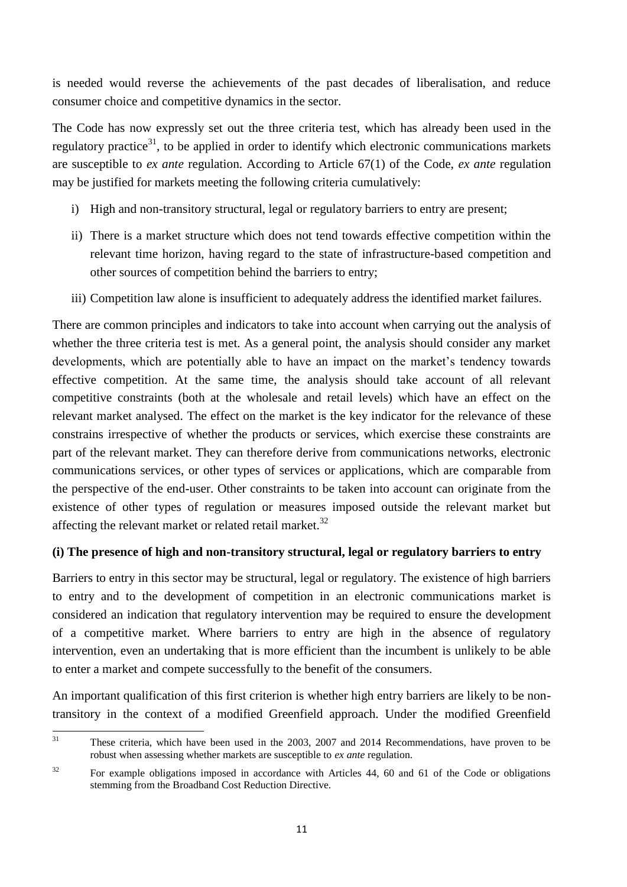is needed would reverse the achievements of the past decades of liberalisation, and reduce consumer choice and competitive dynamics in the sector.

The Code has now expressly set out the three criteria test, which has already been used in the regulatory practice<sup>31</sup>, to be applied in order to identify which electronic communications markets are susceptible to *ex ante* regulation. According to Article 67(1) of the Code, *ex ante* regulation may be justified for markets meeting the following criteria cumulatively:

- i) High and non-transitory structural, legal or regulatory barriers to entry are present;
- ii) There is a market structure which does not tend towards effective competition within the relevant time horizon, having regard to the state of infrastructure-based competition and other sources of competition behind the barriers to entry;
- iii) Competition law alone is insufficient to adequately address the identified market failures.

There are common principles and indicators to take into account when carrying out the analysis of whether the three criteria test is met. As a general point, the analysis should consider any market developments, which are potentially able to have an impact on the market's tendency towards effective competition. At the same time, the analysis should take account of all relevant competitive constraints (both at the wholesale and retail levels) which have an effect on the relevant market analysed. The effect on the market is the key indicator for the relevance of these constrains irrespective of whether the products or services, which exercise these constraints are part of the relevant market. They can therefore derive from communications networks, electronic communications services, or other types of services or applications, which are comparable from the perspective of the end-user. Other constraints to be taken into account can originate from the existence of other types of regulation or measures imposed outside the relevant market but affecting the relevant market or related retail market.<sup>32</sup>

### **(i) The presence of high and non-transitory structural, legal or regulatory barriers to entry**

Barriers to entry in this sector may be structural, legal or regulatory. The existence of high barriers to entry and to the development of competition in an electronic communications market is considered an indication that regulatory intervention may be required to ensure the development of a competitive market. Where barriers to entry are high in the absence of regulatory intervention, even an undertaking that is more efficient than the incumbent is unlikely to be able to enter a market and compete successfully to the benefit of the consumers.

An important qualification of this first criterion is whether high entry barriers are likely to be nontransitory in the context of a modified Greenfield approach. Under the modified Greenfield

<sup>31</sup> These criteria, which have been used in the 2003, 2007 and 2014 Recommendations, have proven to be robust when assessing whether markets are susceptible to *ex ante* regulation.

<sup>&</sup>lt;sup>32</sup> For example obligations imposed in accordance with Articles 44, 60 and 61 of the Code or obligations stemming from the Broadband Cost Reduction Directive.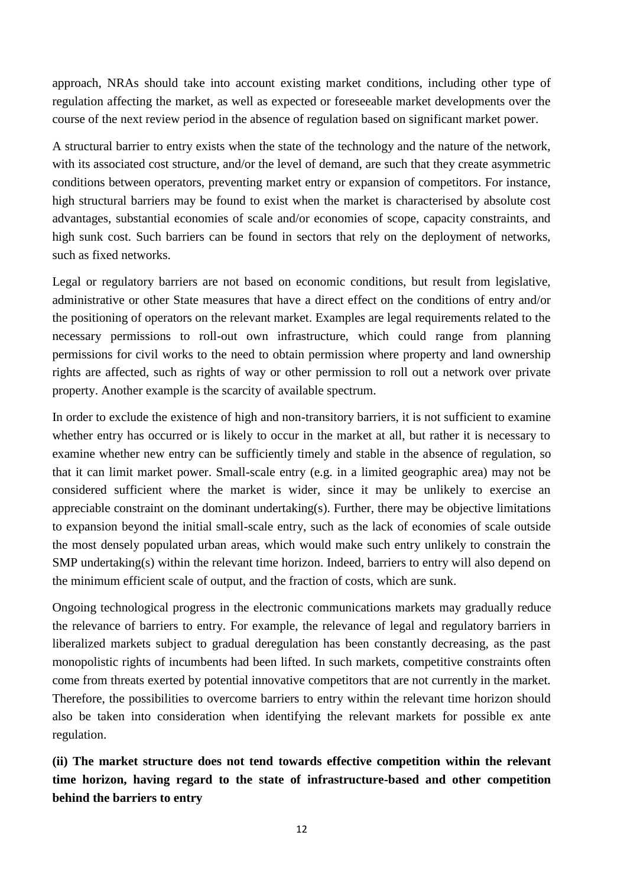approach, NRAs should take into account existing market conditions, including other type of regulation affecting the market, as well as expected or foreseeable market developments over the course of the next review period in the absence of regulation based on significant market power.

A structural barrier to entry exists when the state of the technology and the nature of the network, with its associated cost structure, and/or the level of demand, are such that they create asymmetric conditions between operators, preventing market entry or expansion of competitors. For instance, high structural barriers may be found to exist when the market is characterised by absolute cost advantages, substantial economies of scale and/or economies of scope, capacity constraints, and high sunk cost. Such barriers can be found in sectors that rely on the deployment of networks, such as fixed networks.

Legal or regulatory barriers are not based on economic conditions, but result from legislative, administrative or other State measures that have a direct effect on the conditions of entry and/or the positioning of operators on the relevant market. Examples are legal requirements related to the necessary permissions to roll-out own infrastructure, which could range from planning permissions for civil works to the need to obtain permission where property and land ownership rights are affected, such as rights of way or other permission to roll out a network over private property. Another example is the scarcity of available spectrum.

In order to exclude the existence of high and non-transitory barriers, it is not sufficient to examine whether entry has occurred or is likely to occur in the market at all, but rather it is necessary to examine whether new entry can be sufficiently timely and stable in the absence of regulation, so that it can limit market power. Small-scale entry (e.g. in a limited geographic area) may not be considered sufficient where the market is wider, since it may be unlikely to exercise an appreciable constraint on the dominant undertaking(s). Further, there may be objective limitations to expansion beyond the initial small-scale entry, such as the lack of economies of scale outside the most densely populated urban areas, which would make such entry unlikely to constrain the SMP undertaking(s) within the relevant time horizon. Indeed, barriers to entry will also depend on the minimum efficient scale of output, and the fraction of costs, which are sunk.

Ongoing technological progress in the electronic communications markets may gradually reduce the relevance of barriers to entry. For example, the relevance of legal and regulatory barriers in liberalized markets subject to gradual deregulation has been constantly decreasing, as the past monopolistic rights of incumbents had been lifted. In such markets, competitive constraints often come from threats exerted by potential innovative competitors that are not currently in the market. Therefore, the possibilities to overcome barriers to entry within the relevant time horizon should also be taken into consideration when identifying the relevant markets for possible ex ante regulation.

**(ii) The market structure does not tend towards effective competition within the relevant time horizon, having regard to the state of infrastructure-based and other competition behind the barriers to entry**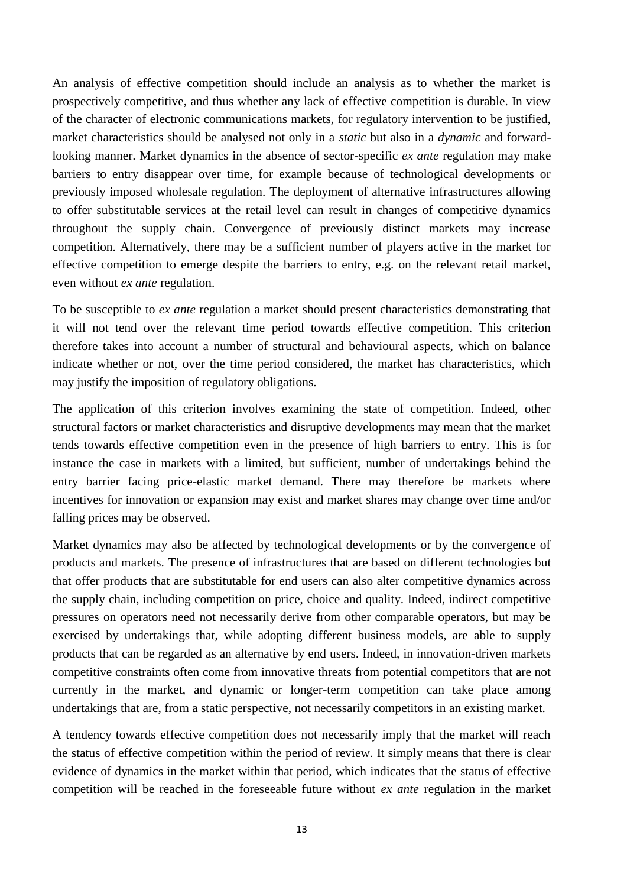An analysis of effective competition should include an analysis as to whether the market is prospectively competitive, and thus whether any lack of effective competition is durable. In view of the character of electronic communications markets, for regulatory intervention to be justified, market characteristics should be analysed not only in a *static* but also in a *dynamic* and forwardlooking manner. Market dynamics in the absence of sector-specific *ex ante* regulation may make barriers to entry disappear over time, for example because of technological developments or previously imposed wholesale regulation. The deployment of alternative infrastructures allowing to offer substitutable services at the retail level can result in changes of competitive dynamics throughout the supply chain. Convergence of previously distinct markets may increase competition. Alternatively, there may be a sufficient number of players active in the market for effective competition to emerge despite the barriers to entry, e.g. on the relevant retail market, even without *ex ante* regulation.

To be susceptible to *ex ante* regulation a market should present characteristics demonstrating that it will not tend over the relevant time period towards effective competition. This criterion therefore takes into account a number of structural and behavioural aspects, which on balance indicate whether or not, over the time period considered, the market has characteristics, which may justify the imposition of regulatory obligations.

The application of this criterion involves examining the state of competition. Indeed, other structural factors or market characteristics and disruptive developments may mean that the market tends towards effective competition even in the presence of high barriers to entry. This is for instance the case in markets with a limited, but sufficient, number of undertakings behind the entry barrier facing price-elastic market demand. There may therefore be markets where incentives for innovation or expansion may exist and market shares may change over time and/or falling prices may be observed.

Market dynamics may also be affected by technological developments or by the convergence of products and markets. The presence of infrastructures that are based on different technologies but that offer products that are substitutable for end users can also alter competitive dynamics across the supply chain, including competition on price, choice and quality. Indeed, indirect competitive pressures on operators need not necessarily derive from other comparable operators, but may be exercised by undertakings that, while adopting different business models, are able to supply products that can be regarded as an alternative by end users. Indeed, in innovation-driven markets competitive constraints often come from innovative threats from potential competitors that are not currently in the market, and dynamic or longer-term competition can take place among undertakings that are, from a static perspective, not necessarily competitors in an existing market.

A tendency towards effective competition does not necessarily imply that the market will reach the status of effective competition within the period of review. It simply means that there is clear evidence of dynamics in the market within that period, which indicates that the status of effective competition will be reached in the foreseeable future without *ex ante* regulation in the market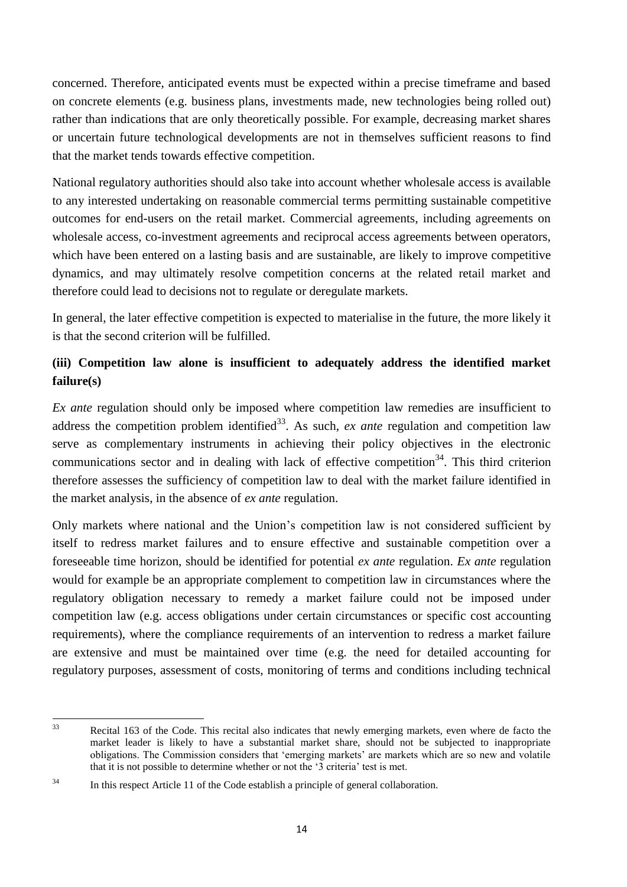concerned. Therefore, anticipated events must be expected within a precise timeframe and based on concrete elements (e.g. business plans, investments made, new technologies being rolled out) rather than indications that are only theoretically possible. For example, decreasing market shares or uncertain future technological developments are not in themselves sufficient reasons to find that the market tends towards effective competition.

National regulatory authorities should also take into account whether wholesale access is available to any interested undertaking on reasonable commercial terms permitting sustainable competitive outcomes for end-users on the retail market. Commercial agreements, including agreements on wholesale access, co-investment agreements and reciprocal access agreements between operators, which have been entered on a lasting basis and are sustainable, are likely to improve competitive dynamics, and may ultimately resolve competition concerns at the related retail market and therefore could lead to decisions not to regulate or deregulate markets.

In general, the later effective competition is expected to materialise in the future, the more likely it is that the second criterion will be fulfilled.

# **(iii) Competition law alone is insufficient to adequately address the identified market failure(s)**

*Ex ante* regulation should only be imposed where competition law remedies are insufficient to address the competition problem identified<sup>33</sup>. As such, *ex ante* regulation and competition law serve as complementary instruments in achieving their policy objectives in the electronic communications sector and in dealing with lack of effective competition<sup>34</sup>. This third criterion therefore assesses the sufficiency of competition law to deal with the market failure identified in the market analysis, in the absence of *ex ante* regulation.

Only markets where national and the Union's competition law is not considered sufficient by itself to redress market failures and to ensure effective and sustainable competition over a foreseeable time horizon, should be identified for potential *ex ante* regulation. *Ex ante* regulation would for example be an appropriate complement to competition law in circumstances where the regulatory obligation necessary to remedy a market failure could not be imposed under competition law (e.g. access obligations under certain circumstances or specific cost accounting requirements), where the compliance requirements of an intervention to redress a market failure are extensive and must be maintained over time (e.g. the need for detailed accounting for regulatory purposes, assessment of costs, monitoring of terms and conditions including technical

 $33$ 

Recital 163 of the Code. This recital also indicates that newly emerging markets, even where de facto the market leader is likely to have a substantial market share, should not be subjected to inappropriate obligations. The Commission considers that 'emerging markets' are markets which are so new and volatile that it is not possible to determine whether or not the '3 criteria' test is met.

<sup>&</sup>lt;sup>34</sup> In this respect Article 11 of the Code establish a principle of general collaboration.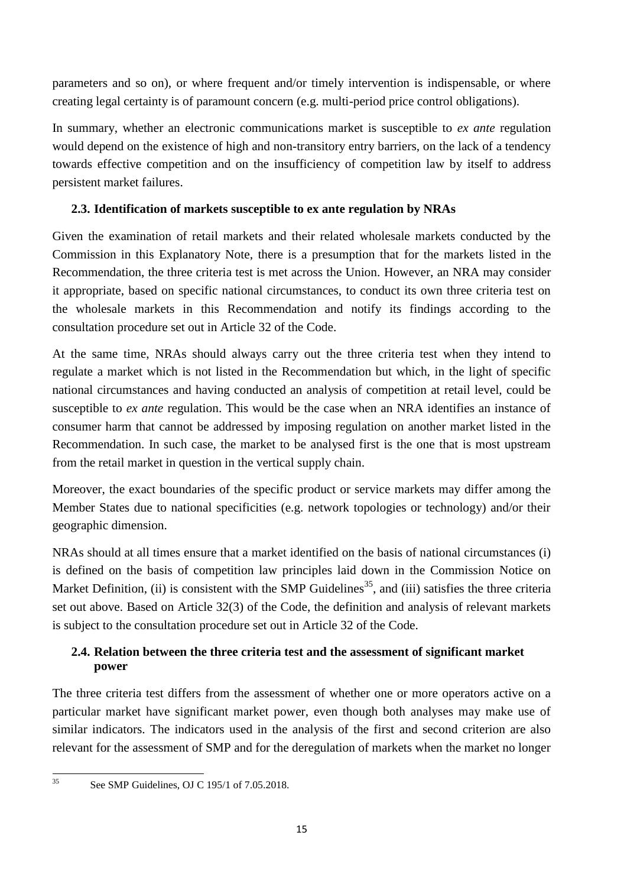parameters and so on), or where frequent and/or timely intervention is indispensable, or where creating legal certainty is of paramount concern (e.g. multi-period price control obligations).

In summary, whether an electronic communications market is susceptible to *ex ante* regulation would depend on the existence of high and non-transitory entry barriers, on the lack of a tendency towards effective competition and on the insufficiency of competition law by itself to address persistent market failures.

## <span id="page-15-0"></span>**2.3. Identification of markets susceptible to ex ante regulation by NRAs**

Given the examination of retail markets and their related wholesale markets conducted by the Commission in this Explanatory Note, there is a presumption that for the markets listed in the Recommendation, the three criteria test is met across the Union. However, an NRA may consider it appropriate, based on specific national circumstances, to conduct its own three criteria test on the wholesale markets in this Recommendation and notify its findings according to the consultation procedure set out in Article 32 of the Code.

At the same time, NRAs should always carry out the three criteria test when they intend to regulate a market which is not listed in the Recommendation but which, in the light of specific national circumstances and having conducted an analysis of competition at retail level, could be susceptible to *ex ante* regulation. This would be the case when an NRA identifies an instance of consumer harm that cannot be addressed by imposing regulation on another market listed in the Recommendation. In such case, the market to be analysed first is the one that is most upstream from the retail market in question in the vertical supply chain.

Moreover, the exact boundaries of the specific product or service markets may differ among the Member States due to national specificities (e.g. network topologies or technology) and/or their geographic dimension.

NRAs should at all times ensure that a market identified on the basis of national circumstances (i) is defined on the basis of competition law principles laid down in the Commission Notice on Market Definition, (ii) is consistent with the SMP Guidelines<sup>35</sup>, and (iii) satisfies the three criteria set out above. Based on Article 32(3) of the Code, the definition and analysis of relevant markets is subject to the consultation procedure set out in Article 32 of the Code.

## <span id="page-15-1"></span>**2.4. Relation between the three criteria test and the assessment of significant market power**

The three criteria test differs from the assessment of whether one or more operators active on a particular market have significant market power, even though both analyses may make use of similar indicators. The indicators used in the analysis of the first and second criterion are also relevant for the assessment of SMP and for the deregulation of markets when the market no longer

 $35$ 

See SMP Guidelines, OJ C 195/1 of 7.05.2018.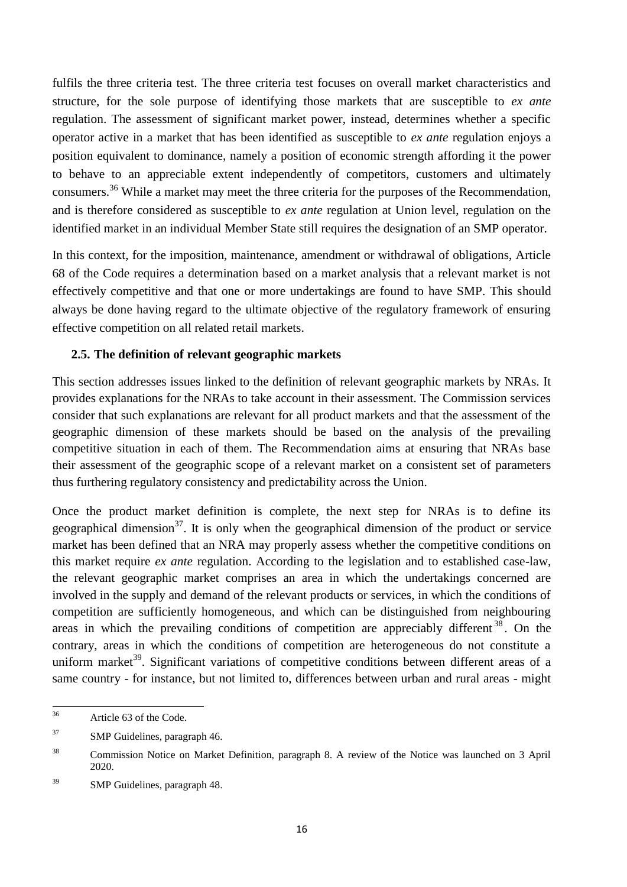fulfils the three criteria test. The three criteria test focuses on overall market characteristics and structure, for the sole purpose of identifying those markets that are susceptible to *ex ante* regulation. The assessment of significant market power, instead, determines whether a specific operator active in a market that has been identified as susceptible to *ex ante* regulation enjoys a position equivalent to dominance, namely a position of economic strength affording it the power to behave to an appreciable extent independently of competitors, customers and ultimately consumers.<sup>36</sup> While a market may meet the three criteria for the purposes of the Recommendation, and is therefore considered as susceptible to *ex ante* regulation at Union level, regulation on the identified market in an individual Member State still requires the designation of an SMP operator.

In this context, for the imposition, maintenance, amendment or withdrawal of obligations, Article 68 of the Code requires a determination based on a market analysis that a relevant market is not effectively competitive and that one or more undertakings are found to have SMP. This should always be done having regard to the ultimate objective of the regulatory framework of ensuring effective competition on all related retail markets.

### <span id="page-16-0"></span>**2.5. The definition of relevant geographic markets**

This section addresses issues linked to the definition of relevant geographic markets by NRAs. It provides explanations for the NRAs to take account in their assessment. The Commission services consider that such explanations are relevant for all product markets and that the assessment of the geographic dimension of these markets should be based on the analysis of the prevailing competitive situation in each of them. The Recommendation aims at ensuring that NRAs base their assessment of the geographic scope of a relevant market on a consistent set of parameters thus furthering regulatory consistency and predictability across the Union.

Once the product market definition is complete, the next step for NRAs is to define its geographical dimension<sup>37</sup>. It is only when the geographical dimension of the product or service market has been defined that an NRA may properly assess whether the competitive conditions on this market require *ex ante* regulation. According to the legislation and to established case-law, the relevant geographic market comprises an area in which the undertakings concerned are involved in the supply and demand of the relevant products or services, in which the conditions of competition are sufficiently homogeneous, and which can be distinguished from neighbouring areas in which the prevailing conditions of competition are appreciably different  $38$ . On the contrary, areas in which the conditions of competition are heterogeneous do not constitute a uniform market<sup>39</sup>. Significant variations of competitive conditions between different areas of a same country - for instance, but not limited to, differences between urban and rural areas - might

 $36$ Article 63 of the Code.

<sup>37</sup> SMP Guidelines, paragraph 46.

<sup>38</sup> Commission Notice on Market Definition, paragraph 8. A review of the Notice was launched on 3 April 2020.

<sup>&</sup>lt;sup>39</sup> SMP Guidelines, paragraph 48.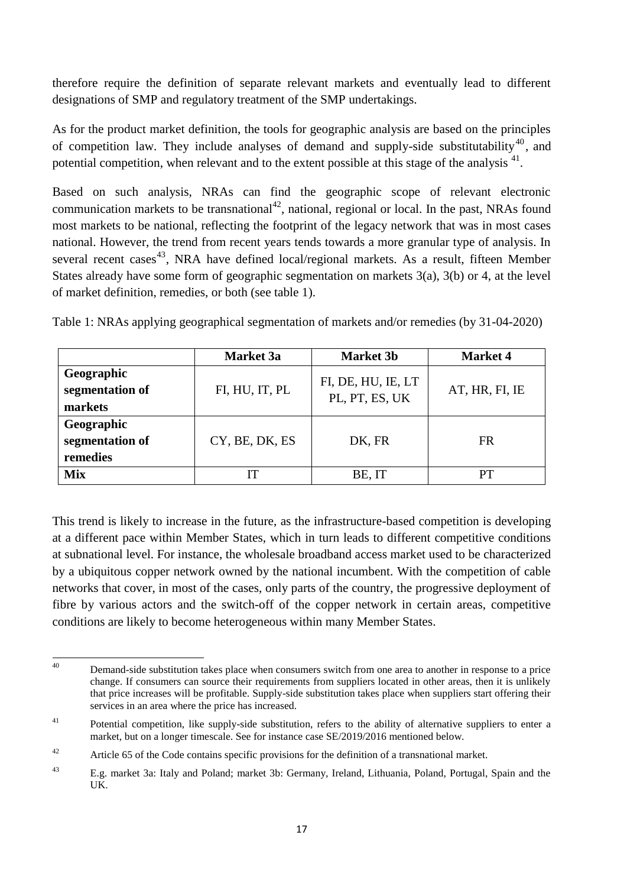therefore require the definition of separate relevant markets and eventually lead to different designations of SMP and regulatory treatment of the SMP undertakings.

As for the product market definition, the tools for geographic analysis are based on the principles of competition law. They include analyses of demand and supply-side substitutability<sup>40</sup>, and potential competition, when relevant and to the extent possible at this stage of the analysis  $41$ .

Based on such analysis, NRAs can find the geographic scope of relevant electronic communication markets to be transnational<sup>42</sup>, national, regional or local. In the past, NRAs found most markets to be national, reflecting the footprint of the legacy network that was in most cases national. However, the trend from recent years tends towards a more granular type of analysis. In several recent cases<sup>43</sup>, NRA have defined local/regional markets. As a result, fifteen Member States already have some form of geographic segmentation on markets 3(a), 3(b) or 4, at the level of market definition, remedies, or both (see table 1).

|                                           | <b>Market</b> 3a | <b>Market 3b</b>                     | <b>Market 4</b> |
|-------------------------------------------|------------------|--------------------------------------|-----------------|
| Geographic<br>segmentation of<br>markets  | FI, HU, IT, PL   | FI, DE, HU, IE, LT<br>PL, PT, ES, UK | AT, HR, FI, IE  |
| Geographic<br>segmentation of<br>remedies | CY, BE, DK, ES   | DK, FR                               | FR              |
| <b>Mix</b>                                | IТ               | BE, IT                               | PТ              |

Table 1: NRAs applying geographical segmentation of markets and/or remedies (by 31-04-2020)

This trend is likely to increase in the future, as the infrastructure-based competition is developing at a different pace within Member States, which in turn leads to different competitive conditions at subnational level. For instance, the wholesale broadband access market used to be characterized by a ubiquitous copper network owned by the national incumbent. With the competition of cable networks that cover, in most of the cases, only parts of the country, the progressive deployment of fibre by various actors and the switch-off of the copper network in certain areas, competitive conditions are likely to become heterogeneous within many Member States.

 $\Delta 0$ Demand-side substitution takes place when consumers switch from one area to another in response to a price change. If consumers can source their requirements from suppliers located in other areas, then it is unlikely that price increases will be profitable. Supply-side substitution takes place when suppliers start offering their services in an area where the price has increased.

 $41$  Potential competition, like supply-side substitution, refers to the ability of alternative suppliers to enter a market, but on a longer timescale. See for instance case SE/2019/2016 mentioned below.

<sup>&</sup>lt;sup>42</sup> Article 65 of the Code contains specific provisions for the definition of a transnational market.

<sup>43</sup> E.g. market 3a: Italy and Poland; market 3b: Germany, Ireland, Lithuania, Poland, Portugal, Spain and the UK.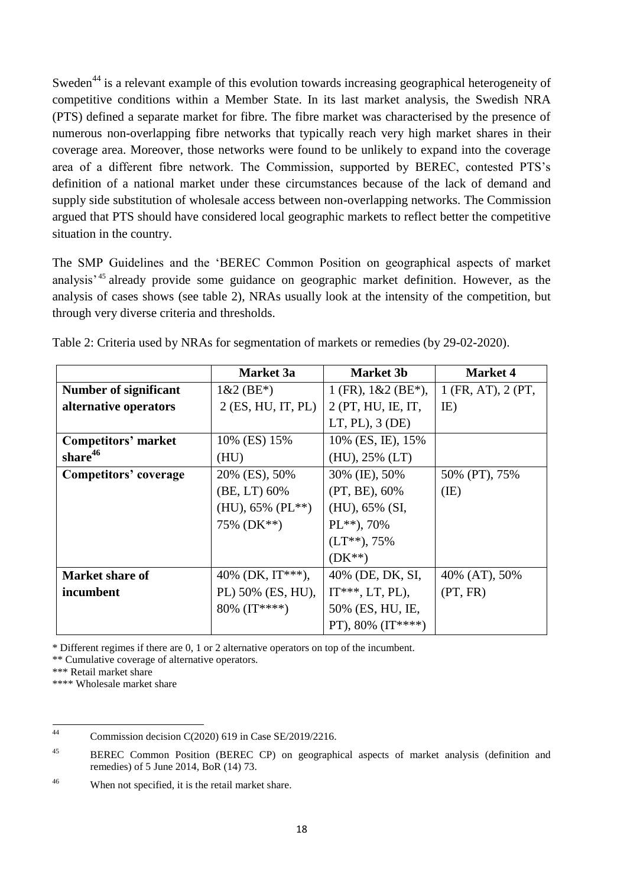Sweden<sup>44</sup> is a relevant example of this evolution towards increasing geographical heterogeneity of competitive conditions within a Member State. In its last market analysis, the Swedish NRA (PTS) defined a separate market for fibre. The fibre market was characterised by the presence of numerous non-overlapping fibre networks that typically reach very high market shares in their coverage area. Moreover, those networks were found to be unlikely to expand into the coverage area of a different fibre network. The Commission, supported by BEREC, contested PTS's definition of a national market under these circumstances because of the lack of demand and supply side substitution of wholesale access between non-overlapping networks. The Commission argued that PTS should have considered local geographic markets to reflect better the competitive situation in the country.

The SMP Guidelines and the 'BEREC Common Position on geographical aspects of market analysis' <sup>45</sup> already provide some guidance on geographic market definition. However, as the analysis of cases shows (see table 2), NRAs usually look at the intensity of the competition, but through very diverse criteria and thresholds.

|                        | <b>Market</b> 3a     | <b>Market 3b</b>       | <b>Market 4</b>    |
|------------------------|----------------------|------------------------|--------------------|
| Number of significant  | $1&2$ (BE*)          | $1$ (FR), $1&2$ (BE*), | 1 (FR, AT), 2 (PT, |
| alternative operators  | $2$ (ES, HU, IT, PL) | 2 (PT, HU, IE, IT,     | IE)                |
|                        |                      | $LT, PL$ , 3 ( $DE$ )  |                    |
| Competitors' market    | 10% (ES) 15%         | 10% (ES, IE), 15%      |                    |
| share <sup>46</sup>    | (HU)                 | $(HU), 25\% (LT)$      |                    |
| Competitors' coverage  | 20% (ES), 50%        | 30% (IE), 50%          | 50% (PT), 75%      |
|                        | (BE, LT) 60%         | $(PT, BE)$ , 60%       | (IE)               |
|                        | $(HU), 65\% (PL**)$  | (HU), 65% (SI,         |                    |
|                        | 75% (DK**)           | $PL^{**}$ , 70%        |                    |
|                        |                      | $(LT^{**}), 75\%$      |                    |
|                        |                      | $(DK^{**})$            |                    |
| <b>Market share of</b> | 40% (DK, $IT***$ ),  | 40% (DE, DK, SI,       | 40% (AT), 50%      |
| incumbent              | PL) 50% (ES, HU),    | $IT***, LT, PL$ ),     | (PT, FR)           |
|                        | 80% (IT****)         | 50% (ES, HU, IE,       |                    |
|                        |                      | PT), $80\%$ (IT****)   |                    |

Table 2: Criteria used by NRAs for segmentation of markets or remedies (by 29-02-2020).

\* Different regimes if there are 0, 1 or 2 alternative operators on top of the incumbent.

\*\* Cumulative coverage of alternative operators.

\*\*\*\* Wholesale market share

<sup>\*\*\*</sup> Retail market share

 $44$ Commission decision C(2020) 619 in Case SE/2019/2216.

<sup>&</sup>lt;sup>45</sup> BEREC Common Position (BEREC CP) on geographical aspects of market analysis (definition and remedies) of 5 June 2014, BoR (14) 73.

<sup>&</sup>lt;sup>46</sup> When not specified, it is the retail market share.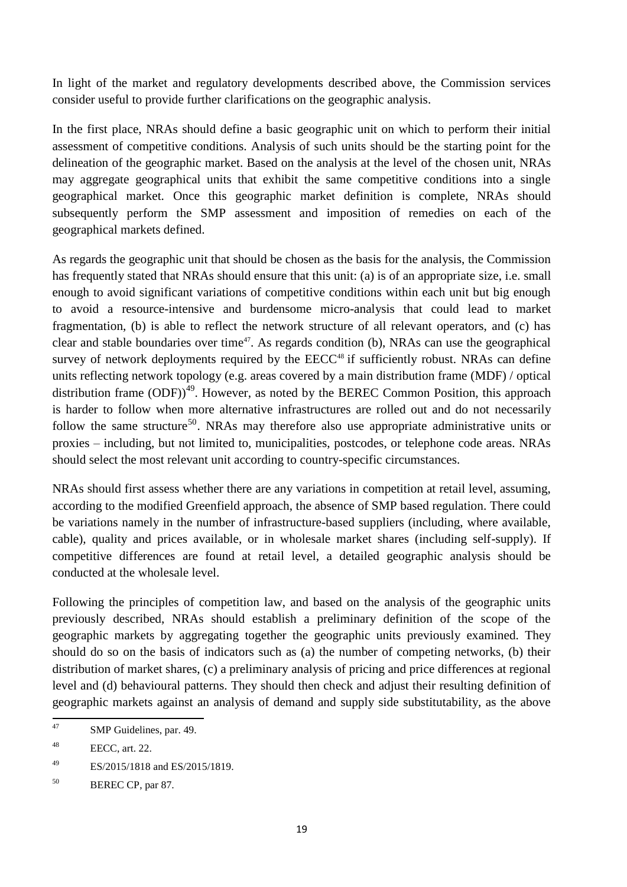In light of the market and regulatory developments described above, the Commission services consider useful to provide further clarifications on the geographic analysis.

In the first place, NRAs should define a basic geographic unit on which to perform their initial assessment of competitive conditions. Analysis of such units should be the starting point for the delineation of the geographic market. Based on the analysis at the level of the chosen unit, NRAs may aggregate geographical units that exhibit the same competitive conditions into a single geographical market. Once this geographic market definition is complete, NRAs should subsequently perform the SMP assessment and imposition of remedies on each of the geographical markets defined.

As regards the geographic unit that should be chosen as the basis for the analysis, the Commission has frequently stated that NRAs should ensure that this unit: (a) is of an appropriate size, i.e. small enough to avoid significant variations of competitive conditions within each unit but big enough to avoid a resource-intensive and burdensome micro-analysis that could lead to market fragmentation, (b) is able to reflect the network structure of all relevant operators, and (c) has clear and stable boundaries over time<sup>47</sup>. As regards condition (b), NRAs can use the geographical survey of network deployments required by the  $EECC<sup>48</sup>$  if sufficiently robust. NRAs can define units reflecting network topology (e.g. areas covered by a main distribution frame (MDF) / optical distribution frame  $(DDF)$ <sup>49</sup>. However, as noted by the BEREC Common Position, this approach is harder to follow when more alternative infrastructures are rolled out and do not necessarily follow the same structure<sup>50</sup>. NRAs may therefore also use appropriate administrative units or proxies – including, but not limited to, municipalities, postcodes, or telephone code areas. NRAs should select the most relevant unit according to country-specific circumstances.

NRAs should first assess whether there are any variations in competition at retail level, assuming, according to the modified Greenfield approach, the absence of SMP based regulation. There could be variations namely in the number of infrastructure-based suppliers (including, where available, cable), quality and prices available, or in wholesale market shares (including self-supply). If competitive differences are found at retail level, a detailed geographic analysis should be conducted at the wholesale level.

Following the principles of competition law, and based on the analysis of the geographic units previously described, NRAs should establish a preliminary definition of the scope of the geographic markets by aggregating together the geographic units previously examined. They should do so on the basis of indicators such as (a) the number of competing networks, (b) their distribution of market shares, (c) a preliminary analysis of pricing and price differences at regional level and (d) behavioural patterns. They should then check and adjust their resulting definition of geographic markets against an analysis of demand and supply side substitutability, as the above

<sup>49</sup> ES/2015/1818 and ES/2015/1819.

 $\frac{47}{3}$ SMP Guidelines, par. 49.

<sup>48</sup> EECC, art. 22.

<sup>50</sup> BEREC CP, par 87.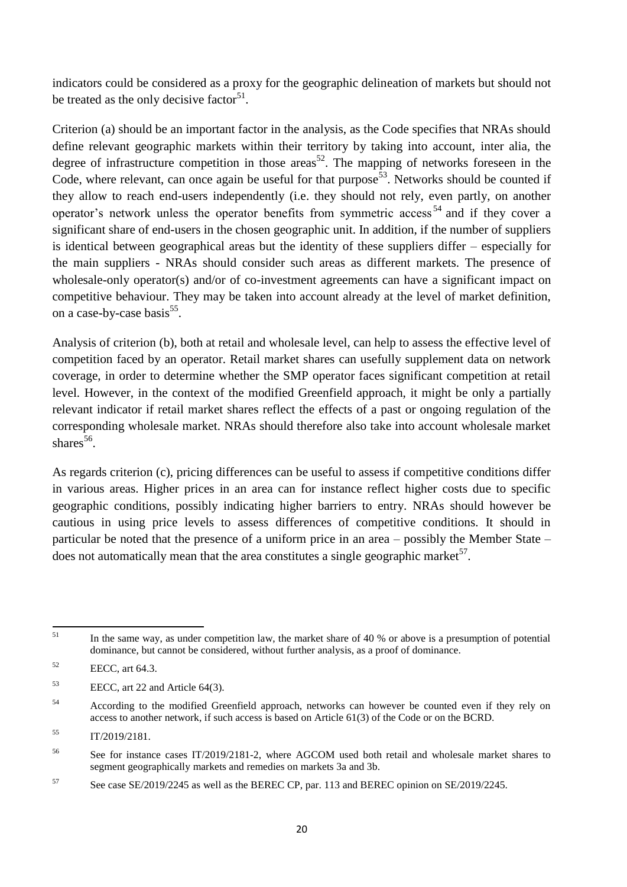indicators could be considered as a proxy for the geographic delineation of markets but should not be treated as the only decisive factor<sup>51</sup>.

Criterion (a) should be an important factor in the analysis, as the Code specifies that NRAs should define relevant geographic markets within their territory by taking into account, inter alia, the degree of infrastructure competition in those areas<sup>52</sup>. The mapping of networks foreseen in the Code, where relevant, can once again be useful for that purpose<sup>53</sup>. Networks should be counted if they allow to reach end-users independently (i.e. they should not rely, even partly, on another operator's network unless the operator benefits from symmetric access<sup>54</sup> and if they cover a significant share of end-users in the chosen geographic unit. In addition, if the number of suppliers is identical between geographical areas but the identity of these suppliers differ – especially for the main suppliers - NRAs should consider such areas as different markets. The presence of wholesale-only operator(s) and/or of co-investment agreements can have a significant impact on competitive behaviour. They may be taken into account already at the level of market definition, on a case-by-case basis<sup>55</sup>.

Analysis of criterion (b), both at retail and wholesale level, can help to assess the effective level of competition faced by an operator. Retail market shares can usefully supplement data on network coverage, in order to determine whether the SMP operator faces significant competition at retail level. However, in the context of the modified Greenfield approach, it might be only a partially relevant indicator if retail market shares reflect the effects of a past or ongoing regulation of the corresponding wholesale market. NRAs should therefore also take into account wholesale market shares $56$ .

As regards criterion (c), pricing differences can be useful to assess if competitive conditions differ in various areas. Higher prices in an area can for instance reflect higher costs due to specific geographic conditions, possibly indicating higher barriers to entry. NRAs should however be cautious in using price levels to assess differences of competitive conditions. It should in particular be noted that the presence of a uniform price in an area – possibly the Member State – does not automatically mean that the area constitutes a single geographic market<sup>57</sup>.

<sup>51</sup> In the same way, as under competition law, the market share of 40 % or above is a presumption of potential dominance, but cannot be considered, without further analysis, as a proof of dominance.

 $52$  EECC, art 64.3.

<sup>53</sup> EECC, art 22 and Article 64(3).

<sup>&</sup>lt;sup>54</sup> According to the modified Greenfield approach, networks can however be counted even if they rely on access to another network, if such access is based on Article 61(3) of the Code or on the BCRD.

 $T/2019/2181.$ 

<sup>56</sup> See for instance cases IT/2019/2181-2, where AGCOM used both retail and wholesale market shares to segment geographically markets and remedies on markets 3a and 3b.

<sup>&</sup>lt;sup>57</sup> See case SE/2019/2245 as well as the BEREC CP, par. 113 and BEREC opinion on SE/2019/2245.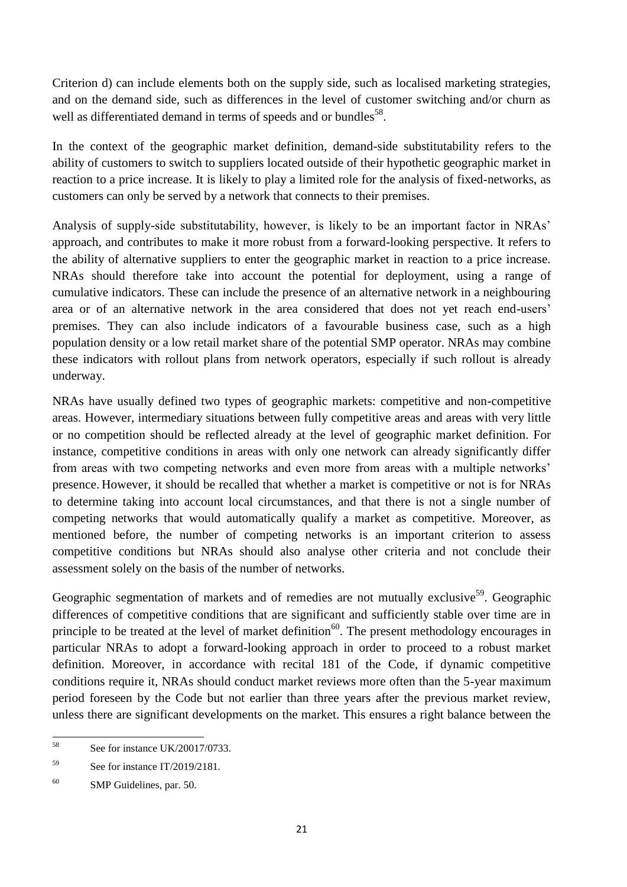Criterion d) can include elements both on the supply side, such as localised marketing strategies, and on the demand side, such as differences in the level of customer switching and/or churn as well as differentiated demand in terms of speeds and or bundles<sup>58</sup>.

In the context of the geographic market definition, demand-side substitutability refers to the ability of customers to switch to suppliers located outside of their hypothetic geographic market in reaction to a price increase. It is likely to play a limited role for the analysis of fixed-networks, as customers can only be served by a network that connects to their premises.

Analysis of supply-side substitutability, however, is likely to be an important factor in NRAs' approach, and contributes to make it more robust from a forward-looking perspective. It refers to the ability of alternative suppliers to enter the geographic market in reaction to a price increase. NRAs should therefore take into account the potential for deployment, using a range of cumulative indicators. These can include the presence of an alternative network in a neighbouring area or of an alternative network in the area considered that does not yet reach end-users' premises. They can also include indicators of a favourable business case, such as a high population density or a low retail market share of the potential SMP operator. NRAs may combine these indicators with rollout plans from network operators, especially if such rollout is already underway.

NRAs have usually defined two types of geographic markets: competitive and non-competitive areas. However, intermediary situations between fully competitive areas and areas with very little or no competition should be reflected already at the level of geographic market definition. For instance, competitive conditions in areas with only one network can already significantly differ from areas with two competing networks and even more from areas with a multiple networks' presence. However, it should be recalled that whether a market is competitive or not is for NRAs to determine taking into account local circumstances, and that there is not a single number of competing networks that would automatically qualify a market as competitive. Moreover, as mentioned before, the number of competing networks is an important criterion to assess competitive conditions but NRAs should also analyse other criteria and not conclude their assessment solely on the basis of the number of networks.

Geographic segmentation of markets and of remedies are not mutually exclusive<sup>59</sup>. Geographic differences of competitive conditions that are significant and sufficiently stable over time are in principle to be treated at the level of market definition<sup>60</sup>. The present methodology encourages in particular NRAs to adopt a forward-looking approach in order to proceed to a robust market definition. Moreover, in accordance with recital 181 of the Code, if dynamic competitive conditions require it, NRAs should conduct market reviews more often than the 5-year maximum period foreseen by the Code but not earlier than three years after the previous market review, unless there are significant developments on the market. This ensures a right balance between the

<sup>58</sup> See for instance UK/20017/0733.

<sup>59</sup> See for instance IT/2019/2181.

<sup>&</sup>lt;sup>60</sup> SMP Guidelines, par. 50.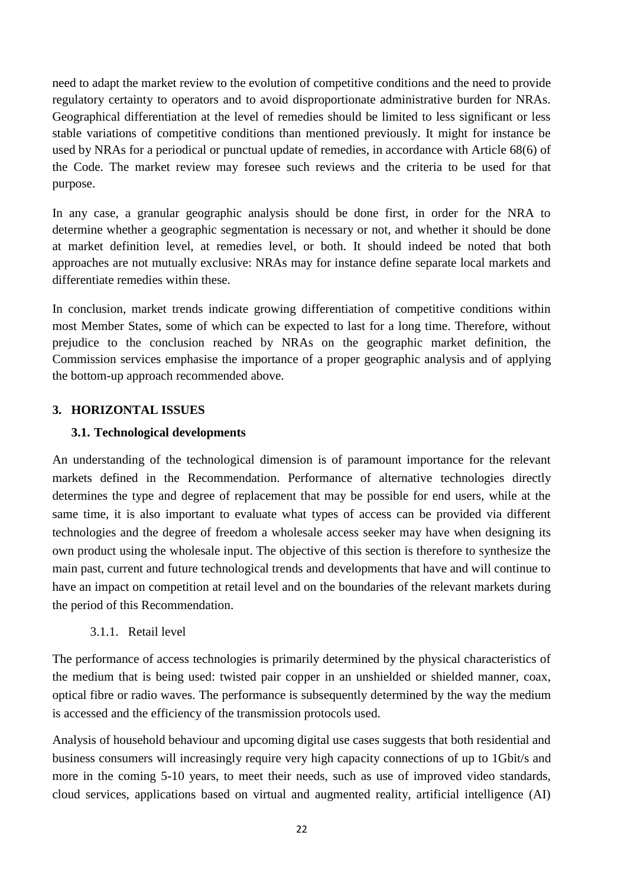need to adapt the market review to the evolution of competitive conditions and the need to provide regulatory certainty to operators and to avoid disproportionate administrative burden for NRAs. Geographical differentiation at the level of remedies should be limited to less significant or less stable variations of competitive conditions than mentioned previously. It might for instance be used by NRAs for a periodical or punctual update of remedies, in accordance with Article 68(6) of the Code. The market review may foresee such reviews and the criteria to be used for that purpose.

In any case, a granular geographic analysis should be done first, in order for the NRA to determine whether a geographic segmentation is necessary or not, and whether it should be done at market definition level, at remedies level, or both. It should indeed be noted that both approaches are not mutually exclusive: NRAs may for instance define separate local markets and differentiate remedies within these.

In conclusion, market trends indicate growing differentiation of competitive conditions within most Member States, some of which can be expected to last for a long time. Therefore, without prejudice to the conclusion reached by NRAs on the geographic market definition, the Commission services emphasise the importance of a proper geographic analysis and of applying the bottom-up approach recommended above.

### <span id="page-22-1"></span><span id="page-22-0"></span>**3. HORIZONTAL ISSUES**

### **3.1. Technological developments**

An understanding of the technological dimension is of paramount importance for the relevant markets defined in the Recommendation. Performance of alternative technologies directly determines the type and degree of replacement that may be possible for end users, while at the same time, it is also important to evaluate what types of access can be provided via different technologies and the degree of freedom a wholesale access seeker may have when designing its own product using the wholesale input. The objective of this section is therefore to synthesize the main past, current and future technological trends and developments that have and will continue to have an impact on competition at retail level and on the boundaries of the relevant markets during the period of this Recommendation.

### 3.1.1. Retail level

<span id="page-22-2"></span>The performance of access technologies is primarily determined by the physical characteristics of the medium that is being used: twisted pair copper in an unshielded or shielded manner, coax, optical fibre or radio waves. The performance is subsequently determined by the way the medium is accessed and the efficiency of the transmission protocols used.

Analysis of household behaviour and upcoming digital use cases suggests that both residential and business consumers will increasingly require very high capacity connections of up to 1Gbit/s and more in the coming 5-10 years, to meet their needs, such as use of improved video standards, cloud services, applications based on virtual and augmented reality, artificial intelligence (AI)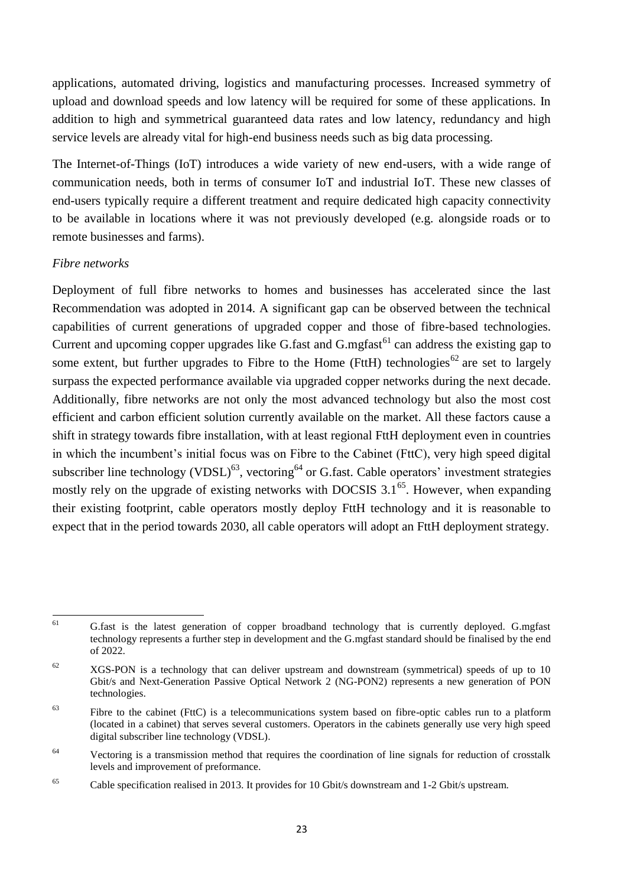applications, automated driving, logistics and manufacturing processes. Increased symmetry of upload and download speeds and low latency will be required for some of these applications. In addition to high and symmetrical guaranteed data rates and low latency, redundancy and high service levels are already vital for high-end business needs such as big data processing.

The Internet-of-Things (IoT) introduces a wide variety of new end-users, with a wide range of communication needs, both in terms of consumer IoT and industrial IoT. These new classes of end-users typically require a different treatment and require dedicated high capacity connectivity to be available in locations where it was not previously developed (e.g. alongside roads or to remote businesses and farms).

#### *Fibre networks*

Deployment of full fibre networks to homes and businesses has accelerated since the last Recommendation was adopted in 2014. A significant gap can be observed between the technical capabilities of current generations of upgraded copper and those of fibre-based technologies. Current and upcoming copper upgrades like G.fast and  $G$ .mgfast<sup>61</sup> can address the existing gap to some extent, but further upgrades to Fibre to the Home (FttH) technologies<sup>62</sup> are set to largely surpass the expected performance available via upgraded copper networks during the next decade. Additionally, fibre networks are not only the most advanced technology but also the most cost efficient and carbon efficient solution currently available on the market. All these factors cause a shift in strategy towards fibre installation, with at least regional FttH deployment even in countries in which the incumbent's initial focus was on Fibre to the Cabinet (FttC), very high speed digital subscriber line technology (VDSL)<sup>63</sup>, vectoring<sup>64</sup> or G.fast. Cable operators' investment strategies mostly rely on the upgrade of existing networks with DOCSIS  $3.1^{65}$ . However, when expanding their existing footprint, cable operators mostly deploy FttH technology and it is reasonable to expect that in the period towards 2030, all cable operators will adopt an FttH deployment strategy.

<sup>61</sup> <sup>61</sup> G.fast is the latest generation of copper broadband technology that is currently deployed. G.mgfast technology represents a further step in development and the G.mgfast standard should be finalised by the end of 2022.

 $62$  XGS-PON is a technology that can deliver upstream and downstream (symmetrical) speeds of up to 10 Gbit/s and Next-Generation Passive Optical Network 2 (NG-PON2) represents a new generation of PON technologies.

 $63$  Fibre to the cabinet (FttC) is a telecommunications system based on fibre-optic cables run to a platform (located in a cabinet) that serves several customers. Operators in the cabinets generally use very high speed digital subscriber line technology (VDSL).

<sup>&</sup>lt;sup>64</sup> Vectoring is a transmission method that requires the coordination of line signals for reduction of crosstalk levels and improvement of preformance.

<sup>65</sup> Cable specification realised in 2013. It provides for 10 Gbit/s downstream and 1-2 Gbit/s upstream.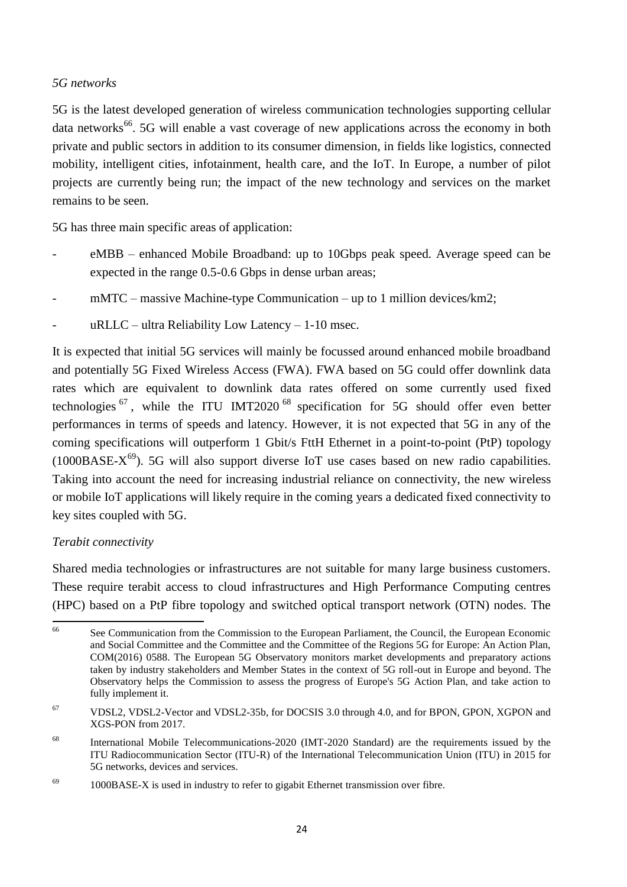#### *5G networks*

5G is the latest developed generation of wireless communication technologies supporting cellular data networks<sup>66</sup>. 5G will enable a vast coverage of new applications across the economy in both private and public sectors in addition to its consumer dimension, in fields like logistics, connected mobility, intelligent cities, infotainment, health care, and the IoT. In Europe, a number of pilot projects are currently being run; the impact of the new technology and services on the market remains to be seen.

5G has three main specific areas of application:

- eMBB enhanced Mobile Broadband: up to 10Gbps peak speed. Average speed can be expected in the range 0.5-0.6 Gbps in dense urban areas;
- $mMTC massive Machine-type Communication up to 1 million devices/km2;$
- $uRLLC ultra Reliability Low Latency 1-10 msec.$

It is expected that initial 5G services will mainly be focussed around enhanced mobile broadband and potentially 5G Fixed Wireless Access (FWA). FWA based on 5G could offer downlink data rates which are equivalent to downlink data rates offered on some currently used fixed technologies  $67$ , while the ITU IMT2020<sup>68</sup> specification for 5G should offer even better performances in terms of speeds and latency. However, it is not expected that 5G in any of the coming specifications will outperform 1 Gbit/s FttH Ethernet in a point-to-point (PtP) topology (1000BASE- $X^{69}$ ). 5G will also support diverse IoT use cases based on new radio capabilities. Taking into account the need for increasing industrial reliance on connectivity, the new wireless or mobile IoT applications will likely require in the coming years a dedicated fixed connectivity to key sites coupled with 5G.

### *Terabit connectivity*

Shared media technologies or infrastructures are not suitable for many large business customers. These require terabit access to cloud infrastructures and High Performance Computing centres (HPC) based on a PtP fibre topology and switched optical transport network (OTN) nodes. The

<sup>66</sup> <sup>66</sup> See Communication from the Commission to the European Parliament, the Council, the European Economic and Social Committee and the Committee and the Committee of the Regions 5G for Europe: An Action Plan, COM(2016) 0588. The European 5G Observatory monitors market developments and preparatory actions taken by industry stakeholders and Member States in the context of 5G roll-out in Europe and beyond. The Observatory helps the Commission to assess the progress of Europe's 5G Action Plan, and take action to fully implement it.

<sup>67</sup> VDSL2, VDSL2-Vector and VDSL2-35b, for DOCSIS 3.0 through 4.0, and for BPON, GPON, XGPON and XGS-PON from 2017.

<sup>68</sup> International Mobile Telecommunications-2020 (IMT-2020 Standard) are the requirements issued by the ITU Radiocommunication Sector (ITU-R) of the International Telecommunication Union (ITU) in 2015 for 5G networks, devices and services.

<sup>&</sup>lt;sup>69</sup> 1000BASE-X is used in industry to refer to gigabit Ethernet transmission over fibre.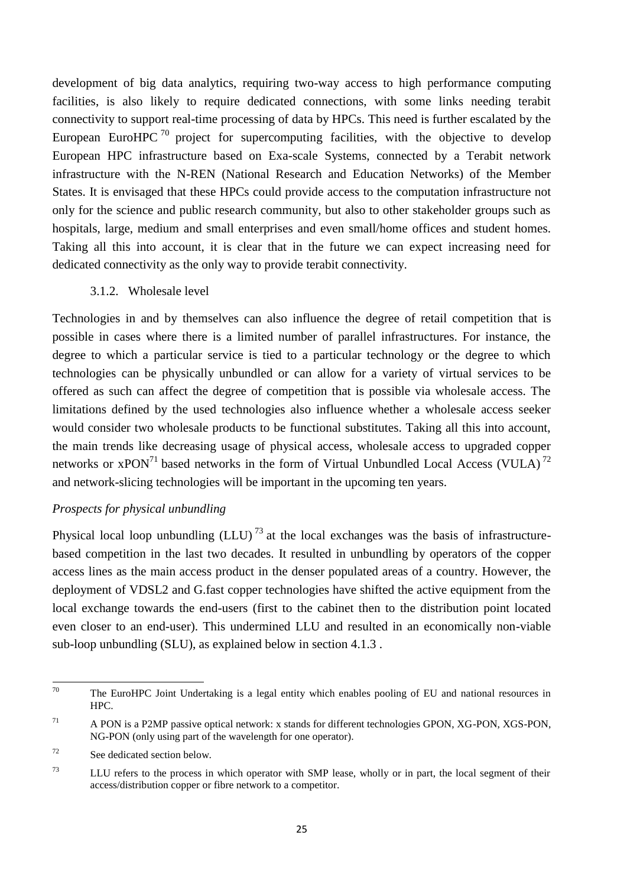development of big data analytics, requiring two-way access to high performance computing facilities, is also likely to require dedicated connections, with some links needing terabit connectivity to support real-time processing of data by HPCs. This need is further escalated by the European EuroHPC  $70$  project for supercomputing facilities, with the objective to develop European HPC infrastructure based on Exa-scale Systems, connected by a Terabit network infrastructure with the N-REN (National Research and Education Networks) of the Member States. It is envisaged that these HPCs could provide access to the computation infrastructure not only for the science and public research community, but also to other stakeholder groups such as hospitals, large, medium and small enterprises and even small/home offices and student homes. Taking all this into account, it is clear that in the future we can expect increasing need for dedicated connectivity as the only way to provide terabit connectivity.

3.1.2. Wholesale level

<span id="page-25-0"></span>Technologies in and by themselves can also influence the degree of retail competition that is possible in cases where there is a limited number of parallel infrastructures. For instance, the degree to which a particular service is tied to a particular technology or the degree to which technologies can be physically unbundled or can allow for a variety of virtual services to be offered as such can affect the degree of competition that is possible via wholesale access. The limitations defined by the used technologies also influence whether a wholesale access seeker would consider two wholesale products to be functional substitutes. Taking all this into account, the main trends like decreasing usage of physical access, wholesale access to upgraded copper networks or  $xPON^{71}$  based networks in the form of Virtual Unbundled Local Access (VULA)<sup>72</sup> and network-slicing technologies will be important in the upcoming ten years.

#### *Prospects for physical unbundling*

Physical local loop unbundling  $(LLU)^{73}$  at the local exchanges was the basis of infrastructurebased competition in the last two decades. It resulted in unbundling by operators of the copper access lines as the main access product in the denser populated areas of a country. However, the deployment of VDSL2 and G.fast copper technologies have shifted the active equipment from the local exchange towards the end-users (first to the cabinet then to the distribution point located even closer to an end-user). This undermined LLU and resulted in an economically non-viable sub-loop unbundling (SLU), as explained below in section 4.1.3 .

<sup>70</sup> The EuroHPC Joint Undertaking is a legal entity which enables pooling of EU and national resources in HPC.

<sup>71</sup> A PON is a P2MP passive optical network: x stands for different technologies GPON, XG-PON, XGS-PON, NG-PON (only using part of the wavelength for one operator).

 $72$  See dedicated section below.

<sup>&</sup>lt;sup>73</sup> LLU refers to the process in which operator with SMP lease, wholly or in part, the local segment of their access/distribution copper or fibre network to a competitor.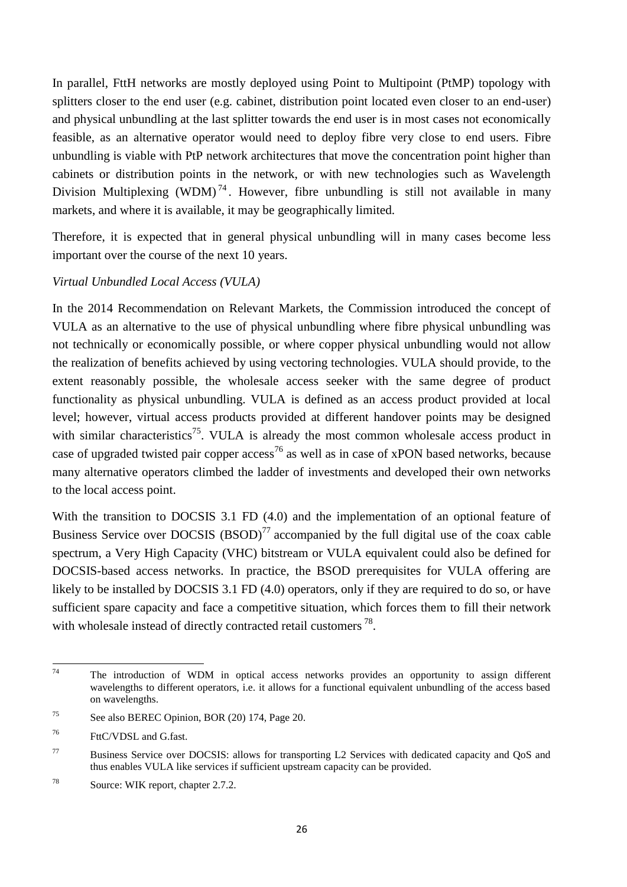In parallel, FttH networks are mostly deployed using Point to Multipoint (PtMP) topology with splitters closer to the end user (e.g. cabinet, distribution point located even closer to an end-user) and physical unbundling at the last splitter towards the end user is in most cases not economically feasible, as an alternative operator would need to deploy fibre very close to end users. Fibre unbundling is viable with PtP network architectures that move the concentration point higher than cabinets or distribution points in the network, or with new technologies such as Wavelength Division Multiplexing (WDM)<sup>74</sup>. However, fibre unbundling is still not available in many markets, and where it is available, it may be geographically limited.

Therefore, it is expected that in general physical unbundling will in many cases become less important over the course of the next 10 years.

### *Virtual Unbundled Local Access (VULA)*

In the 2014 Recommendation on Relevant Markets, the Commission introduced the concept of VULA as an alternative to the use of physical unbundling where fibre physical unbundling was not technically or economically possible, or where copper physical unbundling would not allow the realization of benefits achieved by using vectoring technologies. VULA should provide, to the extent reasonably possible, the wholesale access seeker with the same degree of product functionality as physical unbundling. VULA is defined as an access product provided at local level; however, virtual access products provided at different handover points may be designed with similar characteristics<sup>75</sup>. VULA is already the most common wholesale access product in case of upgraded twisted pair copper  $access^{76}$  as well as in case of xPON based networks, because many alternative operators climbed the ladder of investments and developed their own networks to the local access point.

With the transition to DOCSIS 3.1 FD (4.0) and the implementation of an optional feature of Business Service over DOCSIS (BSOD)<sup>77</sup> accompanied by the full digital use of the coax cable spectrum, a Very High Capacity (VHC) bitstream or VULA equivalent could also be defined for DOCSIS-based access networks. In practice, the BSOD prerequisites for VULA offering are likely to be installed by DOCSIS 3.1 FD (4.0) operators, only if they are required to do so, or have sufficient spare capacity and face a competitive situation, which forces them to fill their network with wholesale instead of directly contracted retail customers  $^{78}$ .

<sup>74</sup> The introduction of WDM in optical access networks provides an opportunity to assign different wavelengths to different operators, i.e. it allows for a functional equivalent unbundling of the access based on wavelengths.

<sup>75</sup> See also BEREC Opinion, BOR (20) 174, Page 20.

<sup>76</sup> FttC/VDSL and G.fast.

<sup>77</sup> Business Service over DOCSIS: allows for transporting L2 Services with dedicated capacity and QoS and thus enables VULA like services if sufficient upstream capacity can be provided.

<sup>78</sup> Source: WIK report, chapter 2.7.2.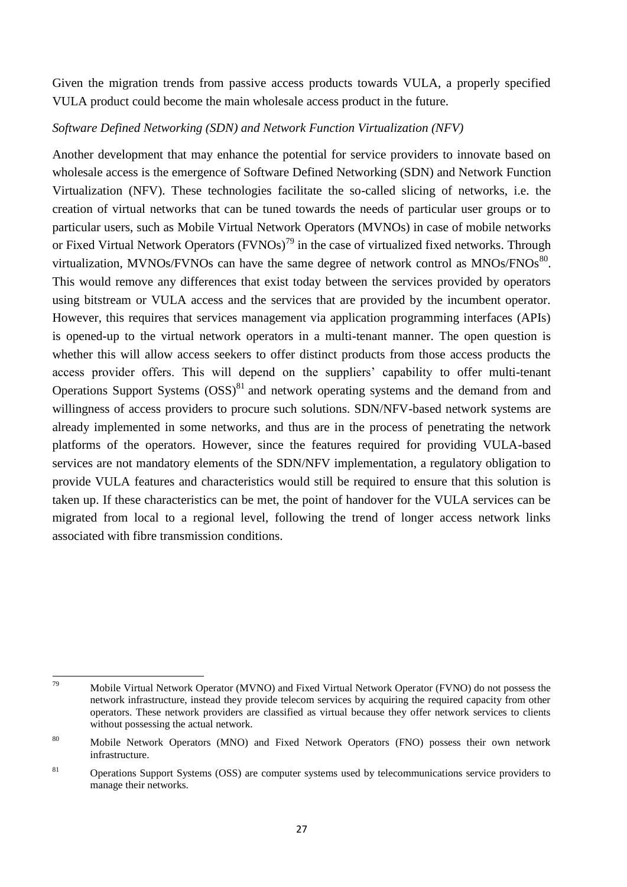Given the migration trends from passive access products towards VULA, a properly specified VULA product could become the main wholesale access product in the future.

#### *Software Defined Networking (SDN) and Network Function Virtualization (NFV)*

Another development that may enhance the potential for service providers to innovate based on wholesale access is the emergence of Software Defined Networking (SDN) and Network Function Virtualization (NFV). These technologies facilitate the so-called slicing of networks, i.e. the creation of virtual networks that can be tuned towards the needs of particular user groups or to particular users, such as Mobile Virtual Network Operators (MVNOs) in case of mobile networks or Fixed Virtual Network Operators  $(FVNOs)^{79}$  in the case of virtualized fixed networks. Through virtualization, MVNOs/FVNOs can have the same degree of network control as  $MNOS/FNOS^{80}$ . This would remove any differences that exist today between the services provided by operators using bitstream or VULA access and the services that are provided by the incumbent operator. However, this requires that services management via application programming interfaces (APIs) is opened-up to the virtual network operators in a multi-tenant manner. The open question is whether this will allow access seekers to offer distinct products from those access products the access provider offers. This will depend on the suppliers' capability to offer multi-tenant Operations Support Systems  $(OSS)^{81}$  and network operating systems and the demand from and willingness of access providers to procure such solutions. SDN/NFV-based network systems are already implemented in some networks, and thus are in the process of penetrating the network platforms of the operators. However, since the features required for providing VULA-based services are not mandatory elements of the SDN/NFV implementation, a regulatory obligation to provide VULA features and characteristics would still be required to ensure that this solution is taken up. If these characteristics can be met, the point of handover for the VULA services can be migrated from local to a regional level, following the trend of longer access network links associated with fibre transmission conditions.

<sup>79</sup> <sup>79</sup> Mobile Virtual Network Operator (MVNO) and Fixed Virtual Network Operator (FVNO) do not possess the network infrastructure, instead they provide telecom services by acquiring the required capacity from other operators. These network providers are classified as virtual because they offer network services to clients without possessing the actual network.

<sup>80</sup> Mobile Network Operators (MNO) and Fixed Network Operators (FNO) possess their own network infrastructure.

<sup>&</sup>lt;sup>81</sup> Operations Support Systems (OSS) are computer systems used by telecommunications service providers to manage their networks.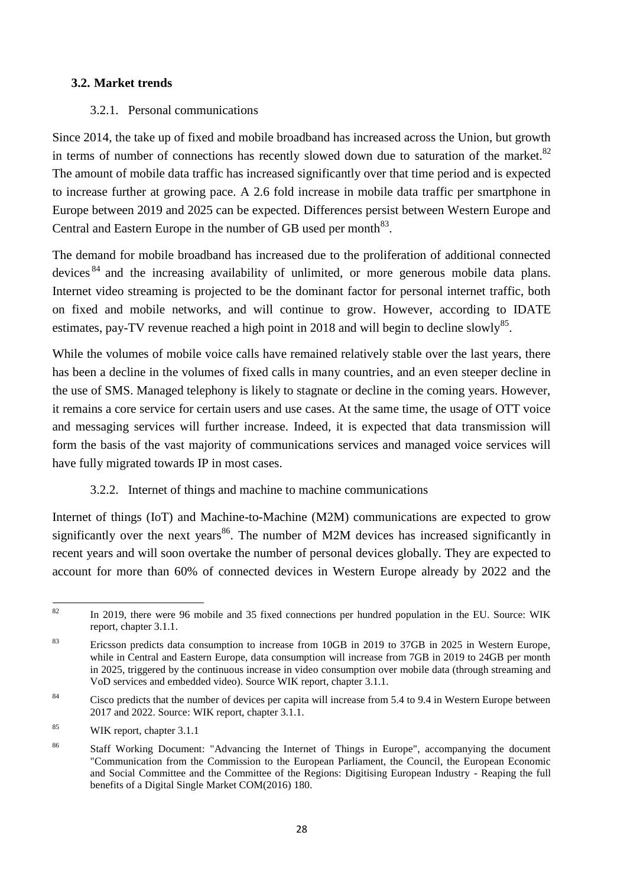#### <span id="page-28-0"></span>**3.2. Market trends**

#### 3.2.1. Personal communications

<span id="page-28-1"></span>Since 2014, the take up of fixed and mobile broadband has increased across the Union, but growth in terms of number of connections has recently slowed down due to saturation of the market. $82$ The amount of mobile data traffic has increased significantly over that time period and is expected to increase further at growing pace. A 2.6 fold increase in mobile data traffic per smartphone in Europe between 2019 and 2025 can be expected. Differences persist between Western Europe and Central and Eastern Europe in the number of GB used per month $^{83}$ .

The demand for mobile broadband has increased due to the proliferation of additional connected devices <sup>84</sup> and the increasing availability of unlimited, or more generous mobile data plans. Internet video streaming is projected to be the dominant factor for personal internet traffic, both on fixed and mobile networks, and will continue to grow. However, according to IDATE estimates, pay-TV revenue reached a high point in 2018 and will begin to decline slowly<sup>85</sup>.

While the volumes of mobile voice calls have remained relatively stable over the last years, there has been a decline in the volumes of fixed calls in many countries, and an even steeper decline in the use of SMS. Managed telephony is likely to stagnate or decline in the coming years. However, it remains a core service for certain users and use cases. At the same time, the usage of OTT voice and messaging services will further increase. Indeed, it is expected that data transmission will form the basis of the vast majority of communications services and managed voice services will have fully migrated towards IP in most cases.

### 3.2.2. Internet of things and machine to machine communications

<span id="page-28-2"></span>Internet of things (IoT) and Machine-to-Machine (M2M) communications are expected to grow significantly over the next years<sup>86</sup>. The number of M2M devices has increased significantly in recent years and will soon overtake the number of personal devices globally. They are expected to account for more than 60% of connected devices in Western Europe already by 2022 and the

<sup>85</sup> WIK report, chapter 3.1.1

 $\mathbf{S}^{\prime}$ <sup>82</sup> In 2019, there were 96 mobile and 35 fixed connections per hundred population in the EU. Source: WIK report, chapter 3.1.1.

<sup>&</sup>lt;sup>83</sup> Ericsson predicts data consumption to increase from 10GB in 2019 to 37GB in 2025 in Western Europe, while in Central and Eastern Europe, data consumption will increase from 7GB in 2019 to 24GB per month in 2025, triggered by the continuous increase in video consumption over mobile data (through streaming and VoD services and embedded video). Source WIK report, chapter 3.1.1.

<sup>&</sup>lt;sup>84</sup> Cisco predicts that the number of devices per capita will increase from 5.4 to 9.4 in Western Europe between 2017 and 2022. Source: WIK report, chapter 3.1.1.

<sup>&</sup>lt;sup>86</sup> Staff Working Document: "Advancing the Internet of Things in Europe", accompanying the document "Communication from the Commission to the European Parliament, the Council, the European Economic and Social Committee and the Committee of the Regions: Digitising European Industry - Reaping the full benefits of a Digital Single Market COM(2016) 180.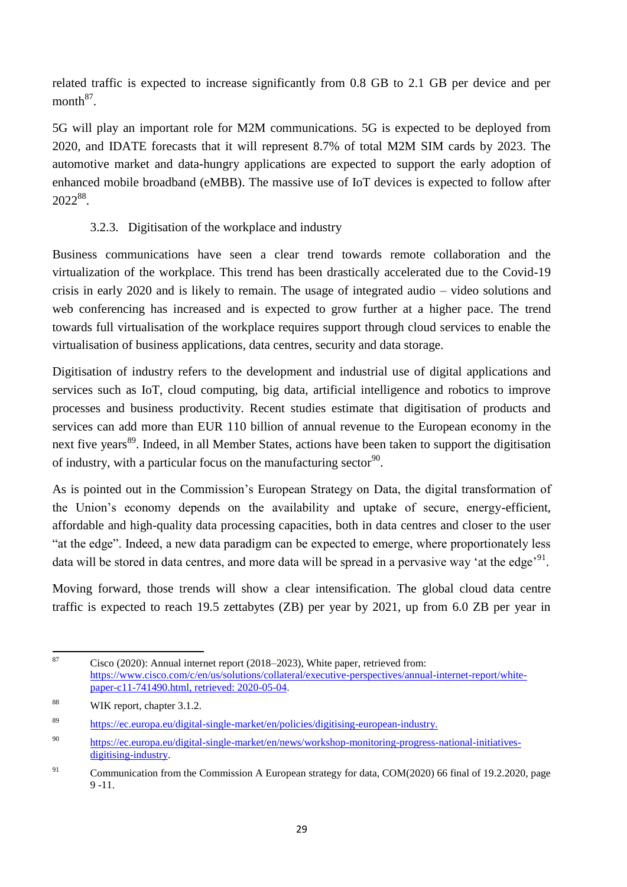related traffic is expected to increase significantly from 0.8 GB to 2.1 GB per device and per  $month<sup>87</sup>$ .

5G will play an important role for M2M communications. 5G is expected to be deployed from 2020, and IDATE forecasts that it will represent 8.7% of total M2M SIM cards by 2023. The automotive market and data-hungry applications are expected to support the early adoption of enhanced mobile broadband (eMBB). The massive use of IoT devices is expected to follow after 2022<sup>88</sup> .

## 3.2.3. Digitisation of the workplace and industry

<span id="page-29-0"></span>Business communications have seen a clear trend towards remote collaboration and the virtualization of the workplace. This trend has been drastically accelerated due to the Covid-19 crisis in early 2020 and is likely to remain. The usage of integrated audio – video solutions and web conferencing has increased and is expected to grow further at a higher pace. The trend towards full virtualisation of the workplace requires support through cloud services to enable the virtualisation of business applications, data centres, security and data storage.

Digitisation of industry refers to the development and industrial use of digital applications and services such as IoT, cloud computing, big data, artificial intelligence and robotics to improve processes and business productivity. Recent studies estimate that digitisation of products and services can add more than EUR 110 billion of annual revenue to the European economy in the next five years<sup>89</sup>. Indeed, in all Member States, actions have been taken to support the digitisation of industry, with a particular focus on the manufacturing sector<sup>90</sup>.

As is pointed out in the Commission's European Strategy on Data, the digital transformation of the Union's economy depends on the availability and uptake of secure, energy-efficient, affordable and high-quality data processing capacities, both in data centres and closer to the user "at the edge". Indeed, a new data paradigm can be expected to emerge, where proportionately less data will be stored in data centres, and more data will be spread in a pervasive way 'at the edge'<sup>91</sup>.

Moving forward, those trends will show a clear intensification. The global cloud data centre traffic is expected to reach 19.5 zettabytes (ZB) per year by 2021, up from 6.0 ZB per year in

<sup>87</sup> Cisco (2020): Annual internet report (2018–2023), White paper, retrieved from: [https://www.cisco.com/c/en/us/solutions/collateral/executive-perspectives/annual-internet-report/white](https://www.cisco.com/c/en/us/solutions/collateral/executive-perspectives/annual-internet-report/white-paper-c11-741490.html,%20retrieved:%202020-05-04)[paper-c11-741490.html, retrieved: 2020-05-04.](https://www.cisco.com/c/en/us/solutions/collateral/executive-perspectives/annual-internet-report/white-paper-c11-741490.html,%20retrieved:%202020-05-04)

<sup>88</sup> WIK report, chapter 3.1.2.

<sup>89</sup> [https://ec.europa.eu/digital-single-market/en/policies/digitising-european-industry.](https://ec.europa.eu/digital-single-market/en/policies/digitising-european-industry)

<sup>90</sup> [https://ec.europa.eu/digital-single-market/en/news/workshop-monitoring-progress-national-initiatives](https://ec.europa.eu/digital-single-market/en/news/workshop-monitoring-progress-national-initiatives-digitising-industry)[digitising-industry.](https://ec.europa.eu/digital-single-market/en/news/workshop-monitoring-progress-national-initiatives-digitising-industry)

<sup>&</sup>lt;sup>91</sup> Communication from the Commission A European strategy for data, COM(2020) 66 final of 19.2.2020, page 9 -11.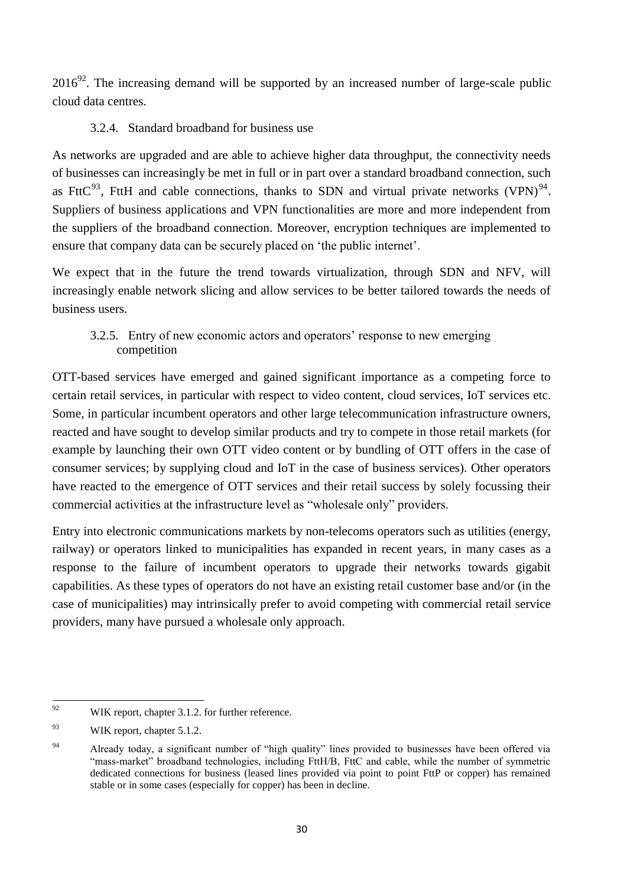$2016^{92}$ . The increasing demand will be supported by an increased number of large-scale public cloud data centres.

### 3.2.4. Standard broadband for business use

<span id="page-30-0"></span>As networks are upgraded and are able to achieve higher data throughput, the connectivity needs of businesses can increasingly be met in full or in part over a standard broadband connection, such as FttC<sup>93</sup>, FttH and cable connections, thanks to SDN and virtual private networks (VPN)<sup>94</sup>. Suppliers of business applications and VPN functionalities are more and more independent from the suppliers of the broadband connection. Moreover, encryption techniques are implemented to ensure that company data can be securely placed on 'the public internet'.

We expect that in the future the trend towards virtualization, through SDN and NFV, will increasingly enable network slicing and allow services to be better tailored towards the needs of business users.

### <span id="page-30-1"></span>3.2.5. Entry of new economic actors and operators' response to new emerging competition

OTT-based services have emerged and gained significant importance as a competing force to certain retail services, in particular with respect to video content, cloud services, IoT services etc. Some, in particular incumbent operators and other large telecommunication infrastructure owners, reacted and have sought to develop similar products and try to compete in those retail markets (for example by launching their own OTT video content or by bundling of OTT offers in the case of consumer services; by supplying cloud and IoT in the case of business services). Other operators have reacted to the emergence of OTT services and their retail success by solely focussing their commercial activities at the infrastructure level as "wholesale only" providers.

Entry into electronic communications markets by non-telecoms operators such as utilities (energy, railway) or operators linked to municipalities has expanded in recent years, in many cases as a response to the failure of incumbent operators to upgrade their networks towards gigabit capabilities. As these types of operators do not have an existing retail customer base and/or (in the case of municipalities) may intrinsically prefer to avoid competing with commercial retail service providers, many have pursued a wholesale only approach.

 $\overline{Q}$ WIK report, chapter 3.1.2. for further reference.

<sup>93</sup> WIK report, chapter 5.1.2.

<sup>&</sup>lt;sup>94</sup> Already today, a significant number of "high quality" lines provided to businesses have been offered via "mass-market" broadband technologies, including FttH/B, FttC and cable, while the number of symmetric dedicated connections for business (leased lines provided via point to point FttP or copper) has remained stable or in some cases (especially for copper) has been in decline.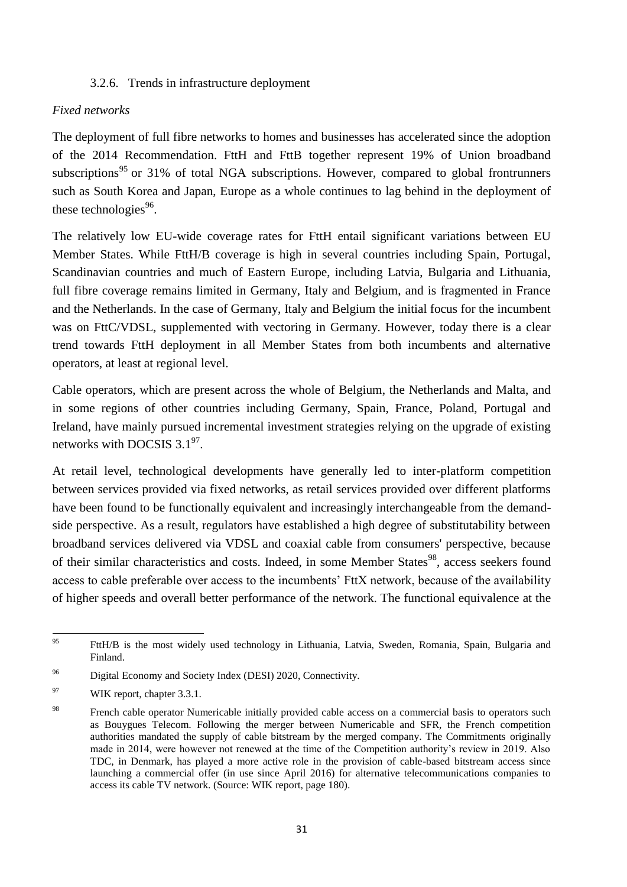#### 3.2.6. Trends in infrastructure deployment

#### <span id="page-31-0"></span>*Fixed networks*

The deployment of full fibre networks to homes and businesses has accelerated since the adoption of the 2014 Recommendation. FttH and FttB together represent 19% of Union broadband subscriptions<sup>95</sup> or 31% of total NGA subscriptions. However, compared to global frontrunners such as South Korea and Japan, Europe as a whole continues to lag behind in the deployment of these technologies $96$ .

The relatively low EU-wide coverage rates for FttH entail significant variations between EU Member States. While FttH/B coverage is high in several countries including Spain, Portugal, Scandinavian countries and much of Eastern Europe, including Latvia, Bulgaria and Lithuania, full fibre coverage remains limited in Germany, Italy and Belgium, and is fragmented in France and the Netherlands. In the case of Germany, Italy and Belgium the initial focus for the incumbent was on FttC/VDSL, supplemented with vectoring in Germany. However, today there is a clear trend towards FttH deployment in all Member States from both incumbents and alternative operators, at least at regional level.

Cable operators, which are present across the whole of Belgium, the Netherlands and Malta, and in some regions of other countries including Germany, Spain, France, Poland, Portugal and Ireland, have mainly pursued incremental investment strategies relying on the upgrade of existing networks with DOCSIS  $3.1^{97}$ .

At retail level, technological developments have generally led to inter-platform competition between services provided via fixed networks, as retail services provided over different platforms have been found to be functionally equivalent and increasingly interchangeable from the demandside perspective. As a result, regulators have established a high degree of substitutability between broadband services delivered via VDSL and coaxial cable from consumers' perspective, because of their similar characteristics and costs. Indeed, in some Member States<sup>98</sup>, access seekers found access to cable preferable over access to the incumbents' FttX network, because of the availability of higher speeds and overall better performance of the network. The functional equivalence at the

<sup>95</sup> <sup>95</sup> FttH/B is the most widely used technology in Lithuania, Latvia, Sweden, Romania, Spain, Bulgaria and Finland.

<sup>96</sup> Digital Economy and Society Index (DESI) 2020, Connectivity.

<sup>&</sup>lt;sup>97</sup> WIK report, chapter 3.3.1.

<sup>&</sup>lt;sup>98</sup> French cable operator Numericable initially provided cable access on a commercial basis to operators such as Bouygues Telecom. Following the merger between Numericable and SFR, the French competition authorities mandated the supply of cable bitstream by the merged company. The Commitments originally made in 2014, were however not renewed at the time of the Competition authority's review in 2019. Also TDC, in Denmark, has played a more active role in the provision of cable-based bitstream access since launching a commercial offer (in use since April 2016) for alternative telecommunications companies to access its cable TV network. (Source: WIK report, page 180).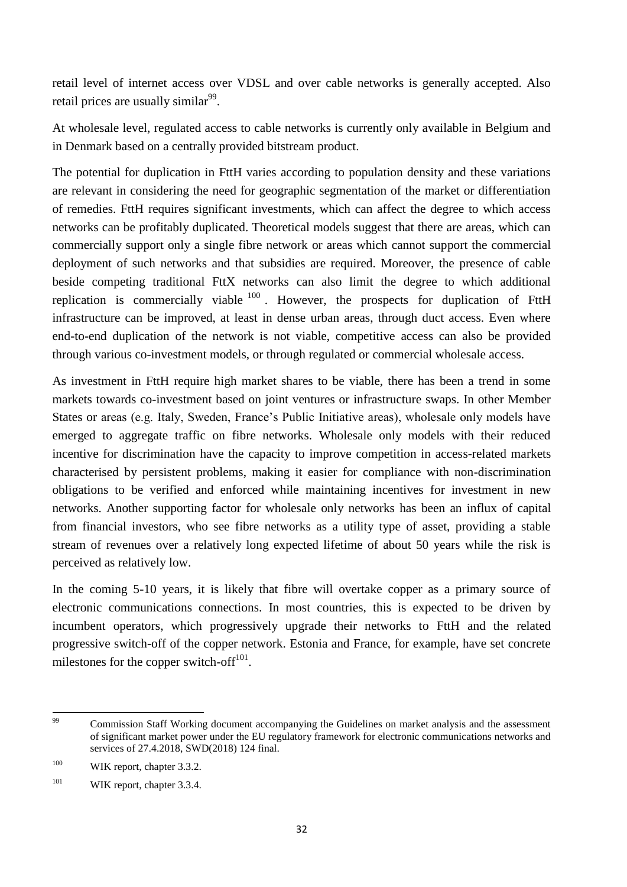retail level of internet access over VDSL and over cable networks is generally accepted. Also retail prices are usually similar<sup>99</sup>.

At wholesale level, regulated access to cable networks is currently only available in Belgium and in Denmark based on a centrally provided bitstream product.

The potential for duplication in FttH varies according to population density and these variations are relevant in considering the need for geographic segmentation of the market or differentiation of remedies. FttH requires significant investments, which can affect the degree to which access networks can be profitably duplicated. Theoretical models suggest that there are areas, which can commercially support only a single fibre network or areas which cannot support the commercial deployment of such networks and that subsidies are required. Moreover, the presence of cable beside competing traditional FttX networks can also limit the degree to which additional replication is commercially viable  $100$ . However, the prospects for duplication of FttH infrastructure can be improved, at least in dense urban areas, through duct access. Even where end-to-end duplication of the network is not viable, competitive access can also be provided through various co-investment models, or through regulated or commercial wholesale access.

As investment in FttH require high market shares to be viable, there has been a trend in some markets towards co-investment based on joint ventures or infrastructure swaps. In other Member States or areas (e.g. Italy, Sweden, France's Public Initiative areas), wholesale only models have emerged to aggregate traffic on fibre networks. Wholesale only models with their reduced incentive for discrimination have the capacity to improve competition in access-related markets characterised by persistent problems, making it easier for compliance with non-discrimination obligations to be verified and enforced while maintaining incentives for investment in new networks. Another supporting factor for wholesale only networks has been an influx of capital from financial investors, who see fibre networks as a utility type of asset, providing a stable stream of revenues over a relatively long expected lifetime of about 50 years while the risk is perceived as relatively low.

In the coming 5-10 years, it is likely that fibre will overtake copper as a primary source of electronic communications connections. In most countries, this is expected to be driven by incumbent operators, which progressively upgrade their networks to FttH and the related progressive switch-off of the copper network. Estonia and France, for example, have set concrete milestones for the copper switch-off $101$ .

<sup>99</sup> Commission Staff Working document accompanying the Guidelines on market analysis and the assessment of significant market power under the EU regulatory framework for electronic communications networks and services of 27.4.2018, SWD(2018) 124 final.

<sup>&</sup>lt;sup>100</sup> WIK report, chapter 3.3.2.

<sup>&</sup>lt;sup>101</sup> WIK report, chapter 3.3.4.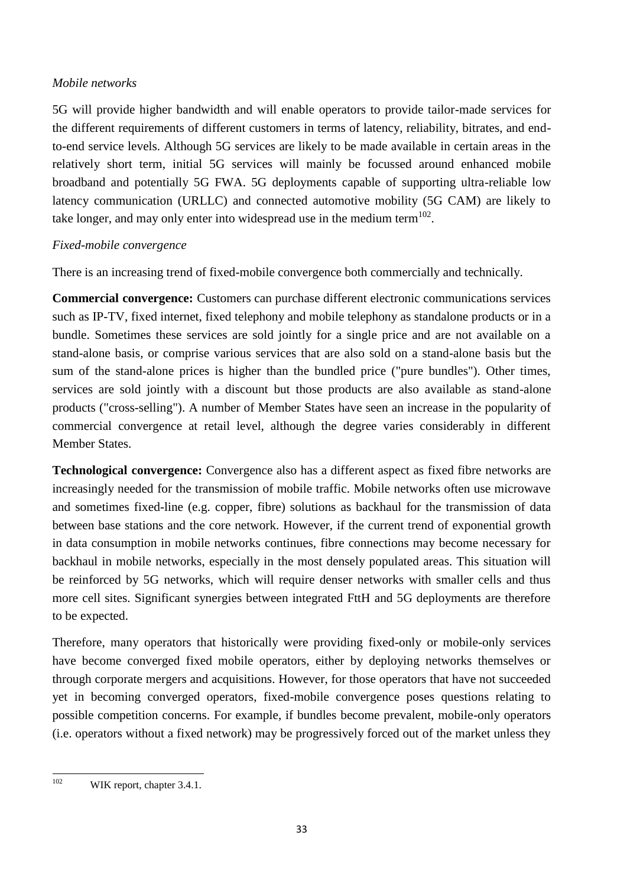#### *Mobile networks*

5G will provide higher bandwidth and will enable operators to provide tailor-made services for the different requirements of different customers in terms of latency, reliability, bitrates, and endto-end service levels. Although 5G services are likely to be made available in certain areas in the relatively short term, initial 5G services will mainly be focussed around enhanced mobile broadband and potentially 5G FWA. 5G deployments capable of supporting ultra-reliable low latency communication (URLLC) and connected automotive mobility (5G CAM) are likely to take longer, and may only enter into widespread use in the medium term<sup>102</sup>.

### *Fixed-mobile convergence*

There is an increasing trend of fixed-mobile convergence both commercially and technically.

**Commercial convergence:** Customers can purchase different electronic communications services such as IP-TV, fixed internet, fixed telephony and mobile telephony as standalone products or in a bundle. Sometimes these services are sold jointly for a single price and are not available on a stand-alone basis, or comprise various services that are also sold on a stand-alone basis but the sum of the stand-alone prices is higher than the bundled price ("pure bundles"). Other times, services are sold jointly with a discount but those products are also available as stand-alone products ("cross-selling"). A number of Member States have seen an increase in the popularity of commercial convergence at retail level, although the degree varies considerably in different Member States.

**Technological convergence:** Convergence also has a different aspect as fixed fibre networks are increasingly needed for the transmission of mobile traffic. Mobile networks often use microwave and sometimes fixed-line (e.g. copper, fibre) solutions as backhaul for the transmission of data between base stations and the core network. However, if the current trend of exponential growth in data consumption in mobile networks continues, fibre connections may become necessary for backhaul in mobile networks, especially in the most densely populated areas. This situation will be reinforced by 5G networks, which will require denser networks with smaller cells and thus more cell sites. Significant synergies between integrated FttH and 5G deployments are therefore to be expected.

Therefore, many operators that historically were providing fixed-only or mobile-only services have become converged fixed mobile operators, either by deploying networks themselves or through corporate mergers and acquisitions. However, for those operators that have not succeeded yet in becoming converged operators, fixed-mobile convergence poses questions relating to possible competition concerns. For example, if bundles become prevalent, mobile-only operators (i.e. operators without a fixed network) may be progressively forced out of the market unless they

<sup>102</sup> WIK report, chapter 3.4.1.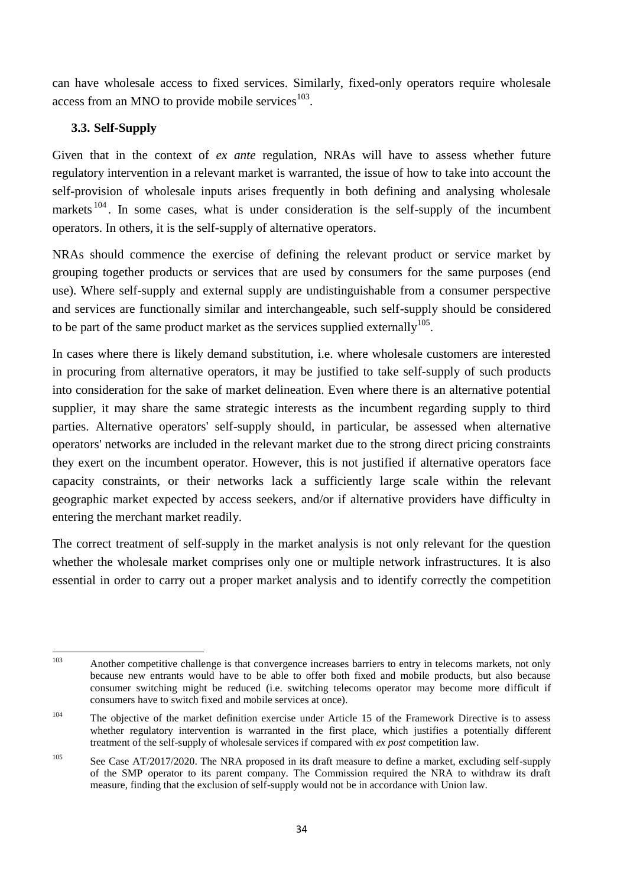can have wholesale access to fixed services. Similarly, fixed-only operators require wholesale access from an MNO to provide mobile services $103$ .

### <span id="page-34-0"></span>**3.3. Self-Supply**

Given that in the context of *ex ante* regulation, NRAs will have to assess whether future regulatory intervention in a relevant market is warranted, the issue of how to take into account the self-provision of wholesale inputs arises frequently in both defining and analysing wholesale markets<sup>104</sup>. In some cases, what is under consideration is the self-supply of the incumbent operators. In others, it is the self-supply of alternative operators.

NRAs should commence the exercise of defining the relevant product or service market by grouping together products or services that are used by consumers for the same purposes (end use). Where self-supply and external supply are undistinguishable from a consumer perspective and services are functionally similar and interchangeable, such self-supply should be considered to be part of the same product market as the services supplied externally  $105$ .

In cases where there is likely demand substitution, i.e. where wholesale customers are interested in procuring from alternative operators, it may be justified to take self-supply of such products into consideration for the sake of market delineation. Even where there is an alternative potential supplier, it may share the same strategic interests as the incumbent regarding supply to third parties. Alternative operators' self-supply should, in particular, be assessed when alternative operators' networks are included in the relevant market due to the strong direct pricing constraints they exert on the incumbent operator. However, this is not justified if alternative operators face capacity constraints, or their networks lack a sufficiently large scale within the relevant geographic market expected by access seekers, and/or if alternative providers have difficulty in entering the merchant market readily.

The correct treatment of self-supply in the market analysis is not only relevant for the question whether the wholesale market comprises only one or multiple network infrastructures. It is also essential in order to carry out a proper market analysis and to identify correctly the competition

<sup>103</sup> Another competitive challenge is that convergence increases barriers to entry in telecoms markets, not only because new entrants would have to be able to offer both fixed and mobile products, but also because consumer switching might be reduced (i.e. switching telecoms operator may become more difficult if consumers have to switch fixed and mobile services at once).

<sup>&</sup>lt;sup>104</sup> The objective of the market definition exercise under Article 15 of the Framework Directive is to assess whether regulatory intervention is warranted in the first place, which justifies a potentially different treatment of the self-supply of wholesale services if compared with *ex post* competition law.

<sup>&</sup>lt;sup>105</sup> See Case AT/2017/2020. The NRA proposed in its draft measure to define a market, excluding self-supply of the SMP operator to its parent company. The Commission required the NRA to withdraw its draft measure, finding that the exclusion of self-supply would not be in accordance with Union law.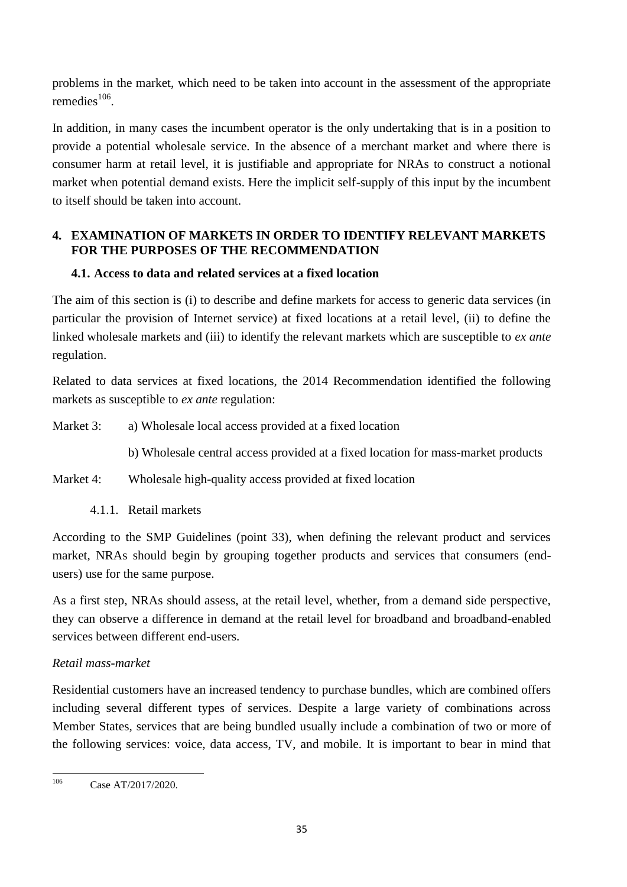problems in the market, which need to be taken into account in the assessment of the appropriate remedies $^{106}$ .

In addition, in many cases the incumbent operator is the only undertaking that is in a position to provide a potential wholesale service. In the absence of a merchant market and where there is consumer harm at retail level, it is justifiable and appropriate for NRAs to construct a notional market when potential demand exists. Here the implicit self-supply of this input by the incumbent to itself should be taken into account.

### <span id="page-35-0"></span>**4. EXAMINATION OF MARKETS IN ORDER TO IDENTIFY RELEVANT MARKETS FOR THE PURPOSES OF THE RECOMMENDATION**

## <span id="page-35-1"></span>**4.1. Access to data and related services at a fixed location**

The aim of this section is (i) to describe and define markets for access to generic data services (in particular the provision of Internet service) at fixed locations at a retail level, (ii) to define the linked wholesale markets and (iii) to identify the relevant markets which are susceptible to *ex ante* regulation.

Related to data services at fixed locations, the 2014 Recommendation identified the following markets as susceptible to *ex ante* regulation:

- Market 3: a) Wholesale local access provided at a fixed location
	- b) Wholesale central access provided at a fixed location for mass-market products
- Market 4: Wholesale high-quality access provided at fixed location
	- 4.1.1. Retail markets

<span id="page-35-2"></span>According to the SMP Guidelines (point 33), when defining the relevant product and services market, NRAs should begin by grouping together products and services that consumers (endusers) use for the same purpose.

As a first step, NRAs should assess, at the retail level, whether, from a demand side perspective, they can observe a difference in demand at the retail level for broadband and broadband-enabled services between different end-users.

## *Retail mass-market*

Residential customers have an increased tendency to purchase bundles, which are combined offers including several different types of services. Despite a large variety of combinations across Member States, services that are being bundled usually include a combination of two or more of the following services: voice, data access, TV, and mobile. It is important to bear in mind that

<sup>106</sup> Case AT/2017/2020.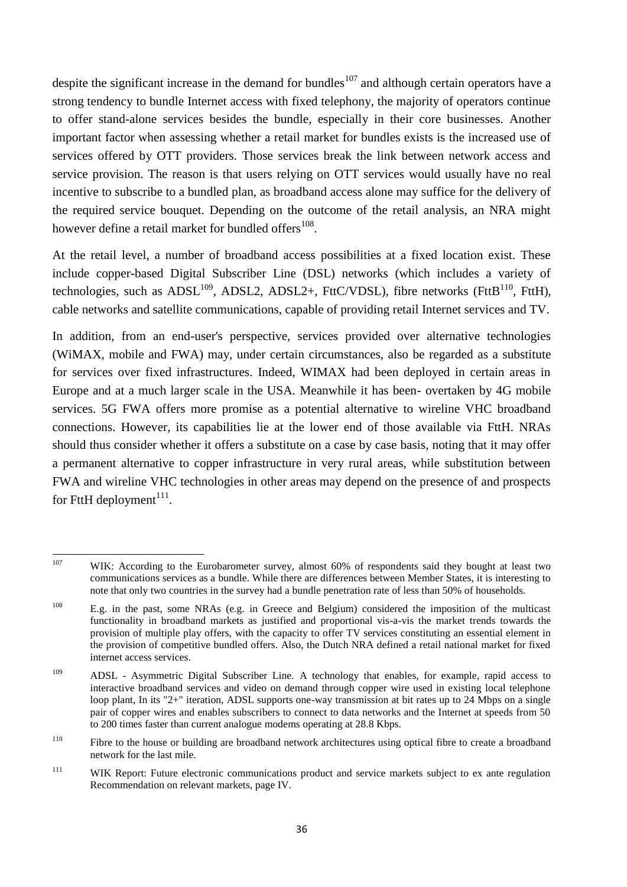despite the significant increase in the demand for bundles<sup>107</sup> and although certain operators have a strong tendency to bundle Internet access with fixed telephony, the majority of operators continue to offer stand-alone services besides the bundle, especially in their core businesses. Another important factor when assessing whether a retail market for bundles exists is the increased use of services offered by OTT providers. Those services break the link between network access and service provision. The reason is that users relying on OTT services would usually have no real incentive to subscribe to a bundled plan, as broadband access alone may suffice for the delivery of the required service bouquet. Depending on the outcome of the retail analysis, an NRA might however define a retail market for bundled offers $^{108}$ .

At the retail level, a number of broadband access possibilities at a fixed location exist. These include copper-based Digital Subscriber Line (DSL) networks (which includes a variety of technologies, such as  $\text{ADSL}^{109}$ ,  $\text{ADSL2}$ ,  $\text{ADSL}^{2+}$ , FttC/VDSL), fibre networks (FttB<sup>110</sup>, FttH), cable networks and satellite communications, capable of providing retail Internet services and TV.

In addition, from an end-user's perspective, services provided over alternative technologies (WiMAX, mobile and FWA) may, under certain circumstances, also be regarded as a substitute for services over fixed infrastructures. Indeed, WIMAX had been deployed in certain areas in Europe and at a much larger scale in the USA. Meanwhile it has been- overtaken by 4G mobile services. 5G FWA offers more promise as a potential alternative to wireline VHC broadband connections. However, its capabilities lie at the lower end of those available via FttH. NRAs should thus consider whether it offers a substitute on a case by case basis, noting that it may offer a permanent alternative to copper infrastructure in very rural areas, while substitution between FWA and wireline VHC technologies in other areas may depend on the presence of and prospects for FttH deployment $^{111}$ .

 $107$ WIK: According to the Eurobarometer survey, almost 60% of respondents said they bought at least two communications services as a bundle. While there are differences between Member States, it is interesting to note that only two countries in the survey had a bundle penetration rate of less than 50% of households.

<sup>108</sup> E.g. in the past, some NRAs (e.g. in Greece and Belgium) considered the imposition of the multicast functionality in broadband markets as justified and proportional vis-a-vis the market trends towards the provision of multiple play offers, with the capacity to offer TV services constituting an essential element in the provision of competitive bundled offers. Also, the Dutch NRA defined a retail national market for fixed internet access services.

<sup>109</sup> ADSL - Asymmetric Digital Subscriber Line. A technology that enables, for example, rapid access to interactive broadband services and video on demand through copper wire used in existing local telephone loop plant, In its "2+" iteration, ADSL supports one-way transmission at bit rates up to 24 Mbps on a single pair of copper wires and enables subscribers to connect to data networks and the Internet at speeds from 50 to 200 times faster than current analogue modems operating at 28.8 Kbps.

<sup>&</sup>lt;sup>110</sup> Fibre to the house or building are broadband network architectures using optical fibre to create a broadband network for the last mile.

<sup>&</sup>lt;sup>111</sup> WIK Report: Future electronic communications product and service markets subject to ex ante regulation Recommendation on relevant markets, page IV.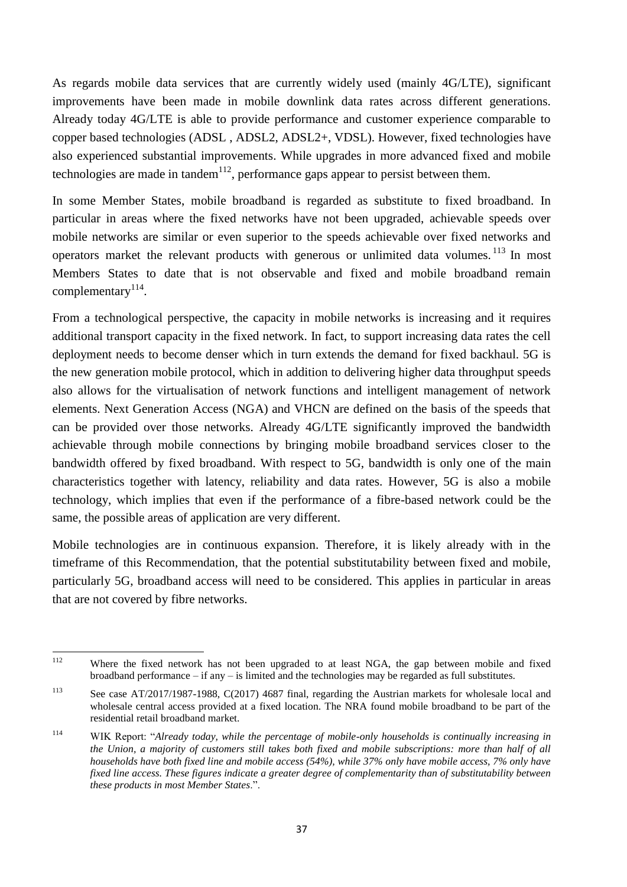As regards mobile data services that are currently widely used (mainly 4G/LTE), significant improvements have been made in mobile downlink data rates across different generations. Already today 4G/LTE is able to provide performance and customer experience comparable to copper based technologies (ADSL , ADSL2, ADSL2+, VDSL). However, fixed technologies have also experienced substantial improvements. While upgrades in more advanced fixed and mobile technologies are made in tandem<sup>112</sup>, performance gaps appear to persist between them.

In some Member States, mobile broadband is regarded as substitute to fixed broadband. In particular in areas where the fixed networks have not been upgraded, achievable speeds over mobile networks are similar or even superior to the speeds achievable over fixed networks and operators market the relevant products with generous or unlimited data volumes.<sup>113</sup> In most Members States to date that is not observable and fixed and mobile broadband remain complementary $^{114}$ .

From a technological perspective, the capacity in mobile networks is increasing and it requires additional transport capacity in the fixed network. In fact, to support increasing data rates the cell deployment needs to become denser which in turn extends the demand for fixed backhaul. 5G is the new generation mobile protocol, which in addition to delivering higher data throughput speeds also allows for the virtualisation of network functions and intelligent management of network elements. Next Generation Access (NGA) and VHCN are defined on the basis of the speeds that can be provided over those networks. Already 4G/LTE significantly improved the bandwidth achievable through mobile connections by bringing mobile broadband services closer to the bandwidth offered by fixed broadband. With respect to 5G, bandwidth is only one of the main characteristics together with latency, reliability and data rates. However, 5G is also a mobile technology, which implies that even if the performance of a fibre-based network could be the same, the possible areas of application are very different.

Mobile technologies are in continuous expansion. Therefore, it is likely already with in the timeframe of this Recommendation, that the potential substitutability between fixed and mobile, particularly 5G, broadband access will need to be considered. This applies in particular in areas that are not covered by fibre networks.

<sup>112</sup> Where the fixed network has not been upgraded to at least NGA, the gap between mobile and fixed broadband performance – if any – is limited and the technologies may be regarded as full substitutes.

<sup>113</sup> See case AT/2017/1987-1988, C(2017) 4687 final, regarding the Austrian markets for wholesale local and wholesale central access provided at a fixed location. The NRA found mobile broadband to be part of the residential retail broadband market.

<sup>114</sup> WIK Report: "*Already today, while the percentage of mobile-only households is continually increasing in the Union, a majority of customers still takes both fixed and mobile subscriptions: more than half of all households have both fixed line and mobile access (54%), while 37% only have mobile access, 7% only have fixed line access. These figures indicate a greater degree of complementarity than of substitutability between these products in most Member States*.".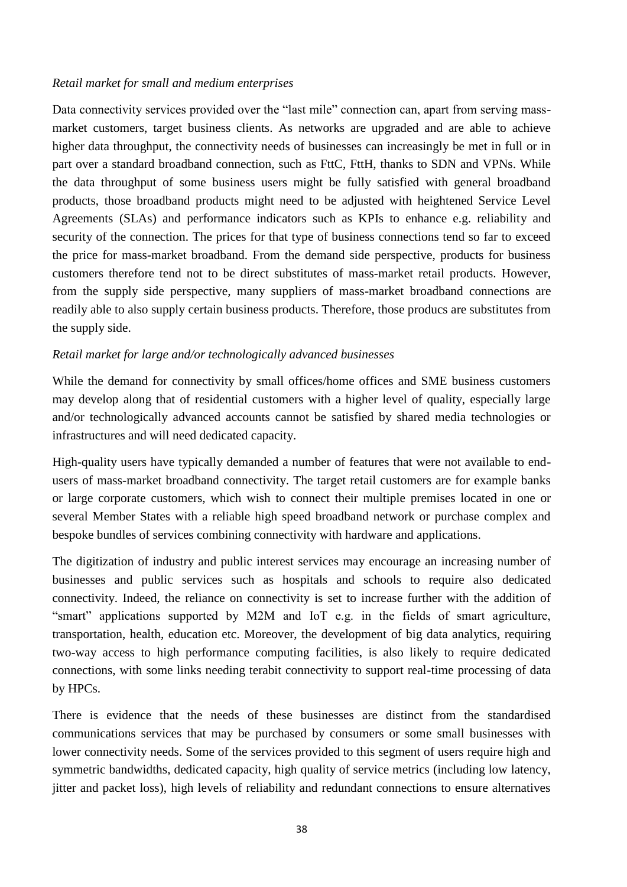#### *Retail market for small and medium enterprises*

Data connectivity services provided over the "last mile" connection can, apart from serving massmarket customers, target business clients. As networks are upgraded and are able to achieve higher data throughput, the connectivity needs of businesses can increasingly be met in full or in part over a standard broadband connection, such as FttC, FttH, thanks to SDN and VPNs. While the data throughput of some business users might be fully satisfied with general broadband products, those broadband products might need to be adjusted with heightened Service Level Agreements (SLAs) and performance indicators such as KPIs to enhance e.g. reliability and security of the connection. The prices for that type of business connections tend so far to exceed the price for mass-market broadband. From the demand side perspective, products for business customers therefore tend not to be direct substitutes of mass-market retail products. However, from the supply side perspective, many suppliers of mass-market broadband connections are readily able to also supply certain business products. Therefore, those producs are substitutes from the supply side.

## *Retail market for large and/or technologically advanced businesses*

While the demand for connectivity by small offices/home offices and SME business customers may develop along that of residential customers with a higher level of quality, especially large and/or technologically advanced accounts cannot be satisfied by shared media technologies or infrastructures and will need dedicated capacity.

High-quality users have typically demanded a number of features that were not available to endusers of mass-market broadband connectivity. The target retail customers are for example banks or large corporate customers, which wish to connect their multiple premises located in one or several Member States with a reliable high speed broadband network or purchase complex and bespoke bundles of services combining connectivity with hardware and applications.

The digitization of industry and public interest services may encourage an increasing number of businesses and public services such as hospitals and schools to require also dedicated connectivity. Indeed, the reliance on connectivity is set to increase further with the addition of "smart" applications supported by M2M and IoT e.g. in the fields of smart agriculture, transportation, health, education etc. Moreover, the development of big data analytics, requiring two-way access to high performance computing facilities, is also likely to require dedicated connections, with some links needing terabit connectivity to support real-time processing of data by HPCs.

There is evidence that the needs of these businesses are distinct from the standardised communications services that may be purchased by consumers or some small businesses with lower connectivity needs. Some of the services provided to this segment of users require high and symmetric bandwidths, dedicated capacity, high quality of service metrics (including low latency, jitter and packet loss), high levels of reliability and redundant connections to ensure alternatives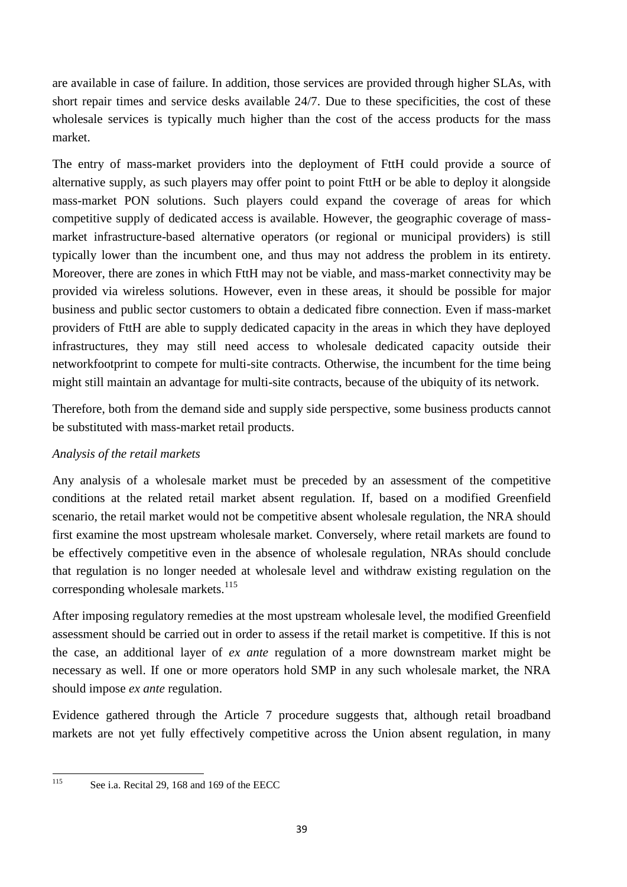are available in case of failure. In addition, those services are provided through higher SLAs, with short repair times and service desks available 24/7. Due to these specificities, the cost of these wholesale services is typically much higher than the cost of the access products for the mass market.

The entry of mass-market providers into the deployment of FttH could provide a source of alternative supply, as such players may offer point to point FttH or be able to deploy it alongside mass-market PON solutions. Such players could expand the coverage of areas for which competitive supply of dedicated access is available. However, the geographic coverage of massmarket infrastructure-based alternative operators (or regional or municipal providers) is still typically lower than the incumbent one, and thus may not address the problem in its entirety. Moreover, there are zones in which FttH may not be viable, and mass-market connectivity may be provided via wireless solutions. However, even in these areas, it should be possible for major business and public sector customers to obtain a dedicated fibre connection. Even if mass-market providers of FttH are able to supply dedicated capacity in the areas in which they have deployed infrastructures, they may still need access to wholesale dedicated capacity outside their networkfootprint to compete for multi-site contracts. Otherwise, the incumbent for the time being might still maintain an advantage for multi-site contracts, because of the ubiquity of its network.

Therefore, both from the demand side and supply side perspective, some business products cannot be substituted with mass-market retail products.

# *Analysis of the retail markets*

Any analysis of a wholesale market must be preceded by an assessment of the competitive conditions at the related retail market absent regulation. If, based on a modified Greenfield scenario, the retail market would not be competitive absent wholesale regulation, the NRA should first examine the most upstream wholesale market. Conversely, where retail markets are found to be effectively competitive even in the absence of wholesale regulation, NRAs should conclude that regulation is no longer needed at wholesale level and withdraw existing regulation on the corresponding wholesale markets.<sup>115</sup>

After imposing regulatory remedies at the most upstream wholesale level, the modified Greenfield assessment should be carried out in order to assess if the retail market is competitive. If this is not the case, an additional layer of *ex ante* regulation of a more downstream market might be necessary as well. If one or more operators hold SMP in any such wholesale market, the NRA should impose *ex ante* regulation.

Evidence gathered through the Article 7 procedure suggests that, although retail broadband markets are not yet fully effectively competitive across the Union absent regulation, in many

115

See i.a. Recital 29, 168 and 169 of the EECC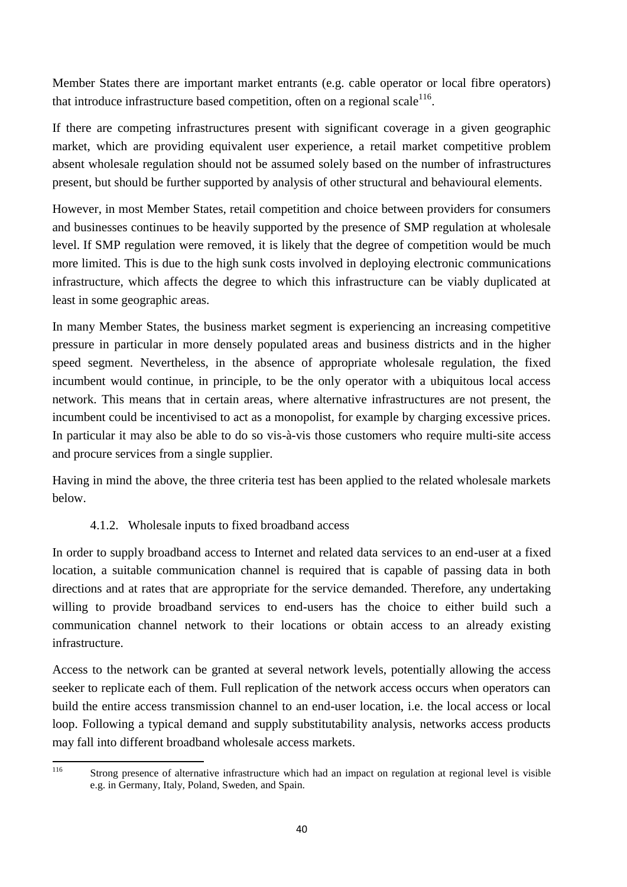Member States there are important market entrants (e.g. cable operator or local fibre operators) that introduce infrastructure based competition, often on a regional scale  $116$ .

If there are competing infrastructures present with significant coverage in a given geographic market, which are providing equivalent user experience, a retail market competitive problem absent wholesale regulation should not be assumed solely based on the number of infrastructures present, but should be further supported by analysis of other structural and behavioural elements.

However, in most Member States, retail competition and choice between providers for consumers and businesses continues to be heavily supported by the presence of SMP regulation at wholesale level. If SMP regulation were removed, it is likely that the degree of competition would be much more limited. This is due to the high sunk costs involved in deploying electronic communications infrastructure, which affects the degree to which this infrastructure can be viably duplicated at least in some geographic areas.

In many Member States, the business market segment is experiencing an increasing competitive pressure in particular in more densely populated areas and business districts and in the higher speed segment. Nevertheless, in the absence of appropriate wholesale regulation, the fixed incumbent would continue, in principle, to be the only operator with a ubiquitous local access network. This means that in certain areas, where alternative infrastructures are not present, the incumbent could be incentivised to act as a monopolist, for example by charging excessive prices. In particular it may also be able to do so vis-à-vis those customers who require multi-site access and procure services from a single supplier.

Having in mind the above, the three criteria test has been applied to the related wholesale markets below.

# 4.1.2. Wholesale inputs to fixed broadband access

In order to supply broadband access to Internet and related data services to an end-user at a fixed location, a suitable communication channel is required that is capable of passing data in both directions and at rates that are appropriate for the service demanded. Therefore, any undertaking willing to provide broadband services to end-users has the choice to either build such a communication channel network to their locations or obtain access to an already existing infrastructure.

Access to the network can be granted at several network levels, potentially allowing the access seeker to replicate each of them. Full replication of the network access occurs when operators can build the entire access transmission channel to an end-user location, i.e. the local access or local loop. Following a typical demand and supply substitutability analysis, networks access products may fall into different broadband wholesale access markets.

<sup>116</sup> 

Strong presence of alternative infrastructure which had an impact on regulation at regional level is visible e.g. in Germany, Italy, Poland, Sweden, and Spain.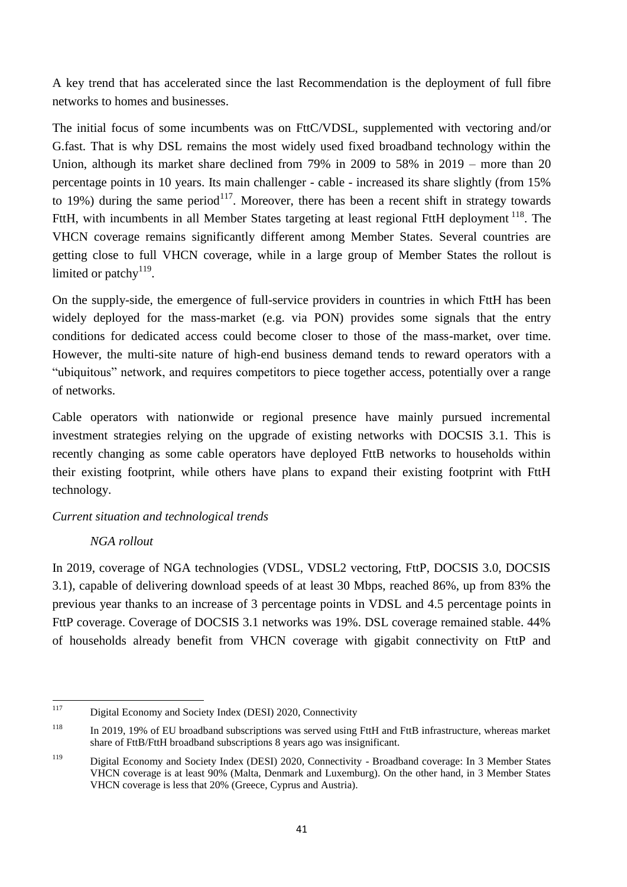A key trend that has accelerated since the last Recommendation is the deployment of full fibre networks to homes and businesses.

The initial focus of some incumbents was on FttC/VDSL, supplemented with vectoring and/or G.fast. That is why DSL remains the most widely used fixed broadband technology within the Union, although its market share declined from 79% in 2009 to 58% in 2019 – more than 20 percentage points in 10 years. Its main challenger - cable - increased its share slightly (from 15% to 19%) during the same period<sup>117</sup>. Moreover, there has been a recent shift in strategy towards FttH, with incumbents in all Member States targeting at least regional FttH deployment  $^{118}$ . The VHCN coverage remains significantly different among Member States. Several countries are getting close to full VHCN coverage, while in a large group of Member States the rollout is limited or patchy $119$ .

On the supply-side, the emergence of full-service providers in countries in which FttH has been widely deployed for the mass-market (e.g. via PON) provides some signals that the entry conditions for dedicated access could become closer to those of the mass-market, over time. However, the multi-site nature of high-end business demand tends to reward operators with a "ubiquitous" network, and requires competitors to piece together access, potentially over a range of networks.

Cable operators with nationwide or regional presence have mainly pursued incremental investment strategies relying on the upgrade of existing networks with DOCSIS 3.1. This is recently changing as some cable operators have deployed FttB networks to households within their existing footprint, while others have plans to expand their existing footprint with FttH technology.

# *Current situation and technological trends*

# *NGA rollout*

In 2019, coverage of NGA technologies (VDSL, VDSL2 vectoring, FttP, DOCSIS 3.0, DOCSIS 3.1), capable of delivering download speeds of at least 30 Mbps, reached 86%, up from 83% the previous year thanks to an increase of 3 percentage points in VDSL and 4.5 percentage points in FttP coverage. Coverage of DOCSIS 3.1 networks was 19%. DSL coverage remained stable. 44% of households already benefit from VHCN coverage with gigabit connectivity on FttP and

<sup>117</sup> Digital Economy and Society Index (DESI) 2020, Connectivity

<sup>118</sup> In 2019, 19% of EU broadband subscriptions was served using FttH and FttB infrastructure, whereas market share of FttB/FttH broadband subscriptions 8 years ago was insignificant.

<sup>119</sup> Digital Economy and Society Index (DESI) 2020, Connectivity - Broadband coverage: In 3 Member States VHCN coverage is at least 90% (Malta, Denmark and Luxemburg). On the other hand, in 3 Member States VHCN coverage is less that 20% (Greece, Cyprus and Austria).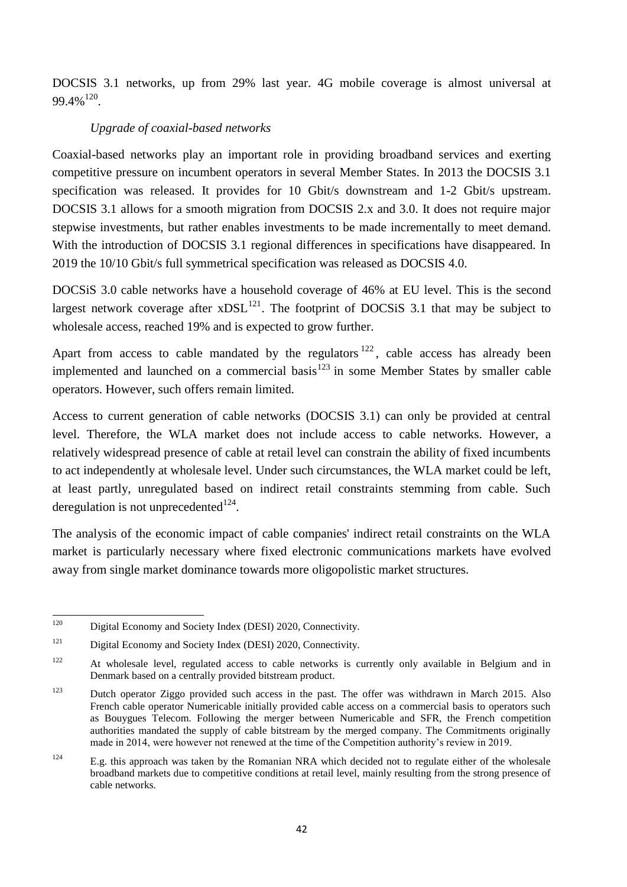DOCSIS 3.1 networks, up from 29% last year. 4G mobile coverage is almost universal at  $99.4\%$ <sup>120</sup>.

# *Upgrade of coaxial-based networks*

Coaxial-based networks play an important role in providing broadband services and exerting competitive pressure on incumbent operators in several Member States. In 2013 the DOCSIS 3.1 specification was released. It provides for 10 Gbit/s downstream and 1-2 Gbit/s upstream. DOCSIS 3.1 allows for a smooth migration from DOCSIS 2.x and 3.0. It does not require major stepwise investments, but rather enables investments to be made incrementally to meet demand. With the introduction of DOCSIS 3.1 regional differences in specifications have disappeared. In 2019 the 10/10 Gbit/s full symmetrical specification was released as DOCSIS 4.0.

DOCSiS 3.0 cable networks have a household coverage of 46% at EU level. This is the second largest network coverage after  $xDSL^{121}$ . The footprint of DOCSiS 3.1 that may be subject to wholesale access, reached 19% and is expected to grow further.

Apart from access to cable mandated by the regulators  $122$ , cable access has already been implemented and launched on a commercial basis<sup>123</sup> in some Member States by smaller cable operators. However, such offers remain limited.

Access to current generation of cable networks (DOCSIS 3.1) can only be provided at central level. Therefore, the WLA market does not include access to cable networks. However, a relatively widespread presence of cable at retail level can constrain the ability of fixed incumbents to act independently at wholesale level. Under such circumstances, the WLA market could be left, at least partly, unregulated based on indirect retail constraints stemming from cable. Such deregulation is not unprecedented $^{124}$ .

The analysis of the economic impact of cable companies' indirect retail constraints on the WLA market is particularly necessary where fixed electronic communications markets have evolved away from single market dominance towards more oligopolistic market structures.

<sup>120</sup> Digital Economy and Society Index (DESI) 2020, Connectivity.

<sup>&</sup>lt;sup>121</sup> Digital Economy and Society Index (DESI) 2020, Connectivity.

<sup>&</sup>lt;sup>122</sup> At wholesale level, regulated access to cable networks is currently only available in Belgium and in Denmark based on a centrally provided bitstream product.

<sup>&</sup>lt;sup>123</sup> Dutch operator Ziggo provided such access in the past. The offer was withdrawn in March 2015. Also French cable operator Numericable initially provided cable access on a commercial basis to operators such as Bouygues Telecom. Following the merger between Numericable and SFR, the French competition authorities mandated the supply of cable bitstream by the merged company. The Commitments originally made in 2014, were however not renewed at the time of the Competition authority's review in 2019.

<sup>&</sup>lt;sup>124</sup> E.g. this approach was taken by the Romanian NRA which decided not to regulate either of the wholesale broadband markets due to competitive conditions at retail level, mainly resulting from the strong presence of cable networks.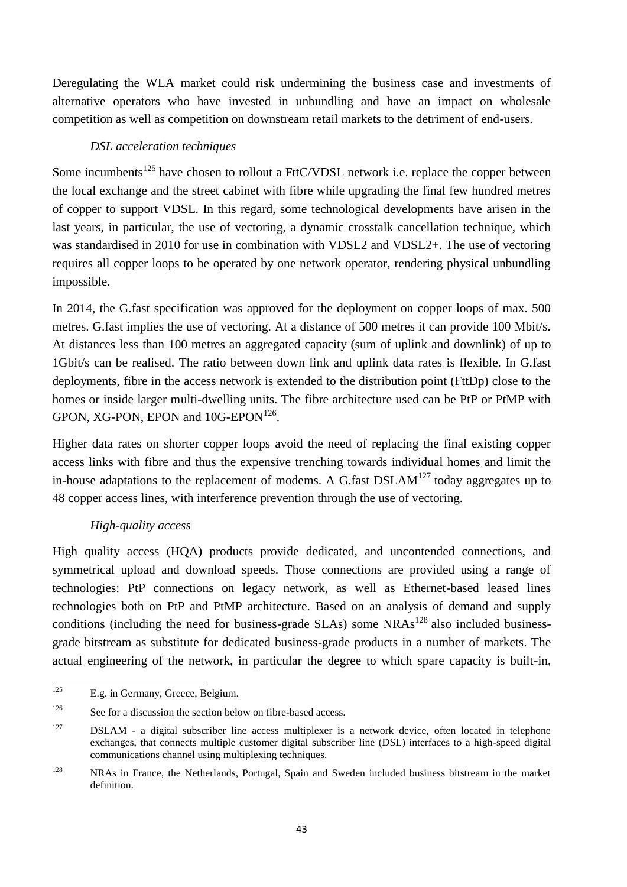Deregulating the WLA market could risk undermining the business case and investments of alternative operators who have invested in unbundling and have an impact on wholesale competition as well as competition on downstream retail markets to the detriment of end-users.

## *DSL acceleration techniques*

Some incumbents<sup>125</sup> have chosen to rollout a FttC/VDSL network i.e. replace the copper between the local exchange and the street cabinet with fibre while upgrading the final few hundred metres of copper to support VDSL. In this regard, some technological developments have arisen in the last years, in particular, the use of vectoring, a dynamic crosstalk cancellation technique, which was standardised in 2010 for use in combination with VDSL2 and VDSL2+. The use of vectoring requires all copper loops to be operated by one network operator, rendering physical unbundling impossible.

In 2014, the G.fast specification was approved for the deployment on copper loops of max. 500 metres. G.fast implies the use of vectoring. At a distance of 500 metres it can provide 100 Mbit/s. At distances less than 100 metres an aggregated capacity (sum of uplink and downlink) of up to 1Gbit/s can be realised. The ratio between down link and uplink data rates is flexible. In G.fast deployments, fibre in the access network is extended to the distribution point (FttDp) close to the homes or inside larger multi-dwelling units. The fibre architecture used can be PtP or PtMP with GPON, XG-PON, EPON and  $10G$ -EPON<sup>126</sup>.

Higher data rates on shorter copper loops avoid the need of replacing the final existing copper access links with fibre and thus the expensive trenching towards individual homes and limit the in-house adaptations to the replacement of modems. A G fast  $DSLAM<sup>127</sup>$  today aggregates up to 48 copper access lines, with interference prevention through the use of vectoring.

# *High-quality access*

High quality access (HQA) products provide dedicated, and uncontended connections, and symmetrical upload and download speeds. Those connections are provided using a range of technologies: PtP connections on legacy network, as well as Ethernet-based leased lines technologies both on PtP and PtMP architecture. Based on an analysis of demand and supply conditions (including the need for business-grade SLAs) some NRAs<sup>128</sup> also included businessgrade bitstream as substitute for dedicated business-grade products in a number of markets. The actual engineering of the network, in particular the degree to which spare capacity is built-in,

 $125$ E.g. in Germany, Greece, Belgium.

 $126$  See for a discussion the section below on fibre-based access.

<sup>&</sup>lt;sup>127</sup> DSLAM - a digital subscriber line access multiplexer is a network device, often located in telephone exchanges, that connects multiple customer digital subscriber line (DSL) interfaces to a high-speed digital communications channel using multiplexing techniques.

<sup>&</sup>lt;sup>128</sup> NRAs in France, the Netherlands, Portugal, Spain and Sweden included business bitstream in the market definition.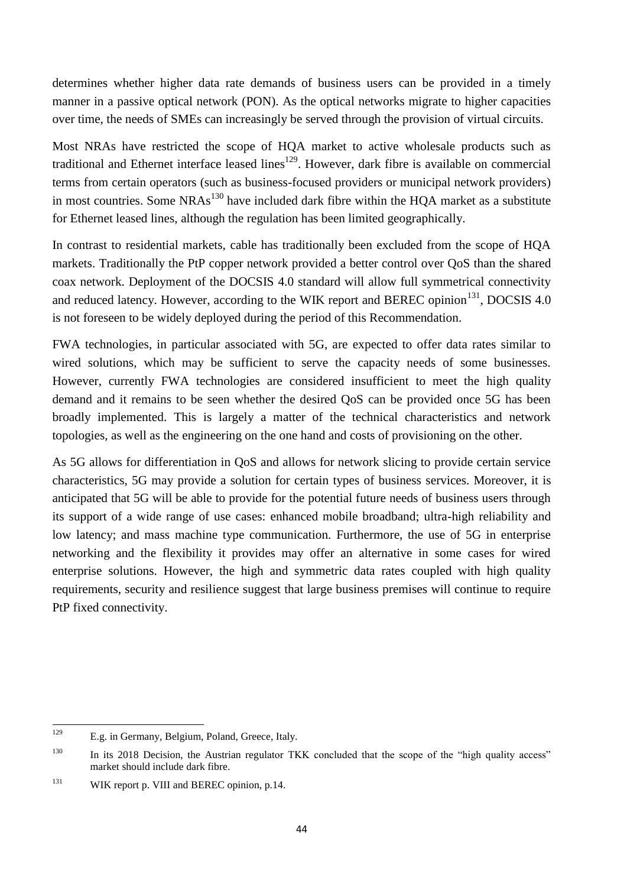determines whether higher data rate demands of business users can be provided in a timely manner in a passive optical network (PON). As the optical networks migrate to higher capacities over time, the needs of SMEs can increasingly be served through the provision of virtual circuits.

Most NRAs have restricted the scope of HQA market to active wholesale products such as traditional and Ethernet interface leased lines<sup>129</sup>. However, dark fibre is available on commercial terms from certain operators (such as business-focused providers or municipal network providers) in most countries. Some  $NRAs<sup>130</sup>$  have included dark fibre within the HQA market as a substitute for Ethernet leased lines, although the regulation has been limited geographically.

In contrast to residential markets, cable has traditionally been excluded from the scope of HQA markets. Traditionally the PtP copper network provided a better control over QoS than the shared coax network. Deployment of the DOCSIS 4.0 standard will allow full symmetrical connectivity and reduced latency. However, according to the WIK report and BEREC opinion<sup>131</sup>, DOCSIS 4.0 is not foreseen to be widely deployed during the period of this Recommendation.

FWA technologies, in particular associated with 5G, are expected to offer data rates similar to wired solutions, which may be sufficient to serve the capacity needs of some businesses. However, currently FWA technologies are considered insufficient to meet the high quality demand and it remains to be seen whether the desired QoS can be provided once 5G has been broadly implemented. This is largely a matter of the technical characteristics and network topologies, as well as the engineering on the one hand and costs of provisioning on the other.

As 5G allows for differentiation in QoS and allows for network slicing to provide certain service characteristics, 5G may provide a solution for certain types of business services. Moreover, it is anticipated that 5G will be able to provide for the potential future needs of business users through its support of a wide range of use cases: enhanced mobile broadband; ultra-high reliability and low latency; and mass machine type communication. Furthermore, the use of 5G in enterprise networking and the flexibility it provides may offer an alternative in some cases for wired enterprise solutions. However, the high and symmetric data rates coupled with high quality requirements, security and resilience suggest that large business premises will continue to require PtP fixed connectivity.

<sup>129</sup> E.g. in Germany, Belgium, Poland, Greece, Italy.

<sup>&</sup>lt;sup>130</sup> In its 2018 Decision, the Austrian regulator TKK concluded that the scope of the "high quality access" market should include dark fibre.

<sup>&</sup>lt;sup>131</sup> WIK report p. VIII and BEREC opinion, p.14.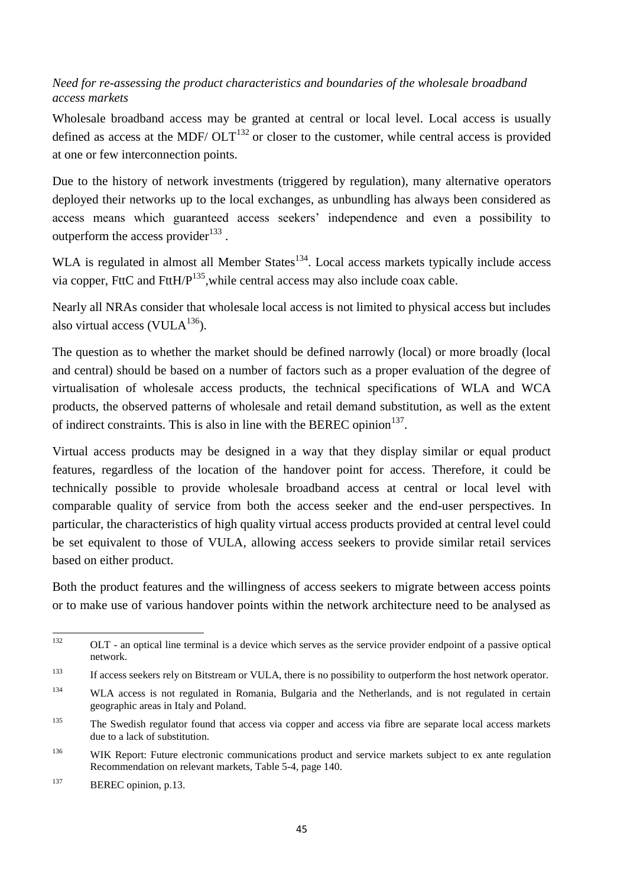# *Need for re-assessing the product characteristics and boundaries of the wholesale broadband access markets*

Wholesale broadband access may be granted at central or local level. Local access is usually defined as access at the MDF/  $\text{OLT}^{132}$  or closer to the customer, while central access is provided at one or few interconnection points.

Due to the history of network investments (triggered by regulation), many alternative operators deployed their networks up to the local exchanges, as unbundling has always been considered as access means which guaranteed access seekers' independence and even a possibility to outperform the access provider $^{133}$ .

WLA is regulated in almost all Member States<sup>134</sup>. Local access markets typically include access via copper, FttC and FttH/ $P^{135}$ , while central access may also include coax cable.

Nearly all NRAs consider that wholesale local access is not limited to physical access but includes also virtual access (VUL $A^{136}$ ).

The question as to whether the market should be defined narrowly (local) or more broadly (local and central) should be based on a number of factors such as a proper evaluation of the degree of virtualisation of wholesale access products, the technical specifications of WLA and WCA products, the observed patterns of wholesale and retail demand substitution, as well as the extent of indirect constraints. This is also in line with the BEREC opinion<sup>137</sup>.

Virtual access products may be designed in a way that they display similar or equal product features, regardless of the location of the handover point for access. Therefore, it could be technically possible to provide wholesale broadband access at central or local level with comparable quality of service from both the access seeker and the end-user perspectives. In particular, the characteristics of high quality virtual access products provided at central level could be set equivalent to those of VULA, allowing access seekers to provide similar retail services based on either product.

Both the product features and the willingness of access seekers to migrate between access points or to make use of various handover points within the network architecture need to be analysed as

<sup>132</sup> <sup>132</sup> OLT - an optical line terminal is a device which serves as the service provider endpoint of a passive optical network.

<sup>&</sup>lt;sup>133</sup> If access seekers rely on Bitstream or VULA, there is no possibility to outperform the host network operator.

<sup>&</sup>lt;sup>134</sup> WLA access is not regulated in Romania, Bulgaria and the Netherlands, and is not regulated in certain geographic areas in Italy and Poland.

<sup>&</sup>lt;sup>135</sup> The Swedish regulator found that access via copper and access via fibre are separate local access markets due to a lack of substitution.

<sup>&</sup>lt;sup>136</sup> WIK Report: Future electronic communications product and service markets subject to ex ante regulation Recommendation on relevant markets, Table 5-4, page 140.

<sup>&</sup>lt;sup>137</sup> BEREC opinion, p.13.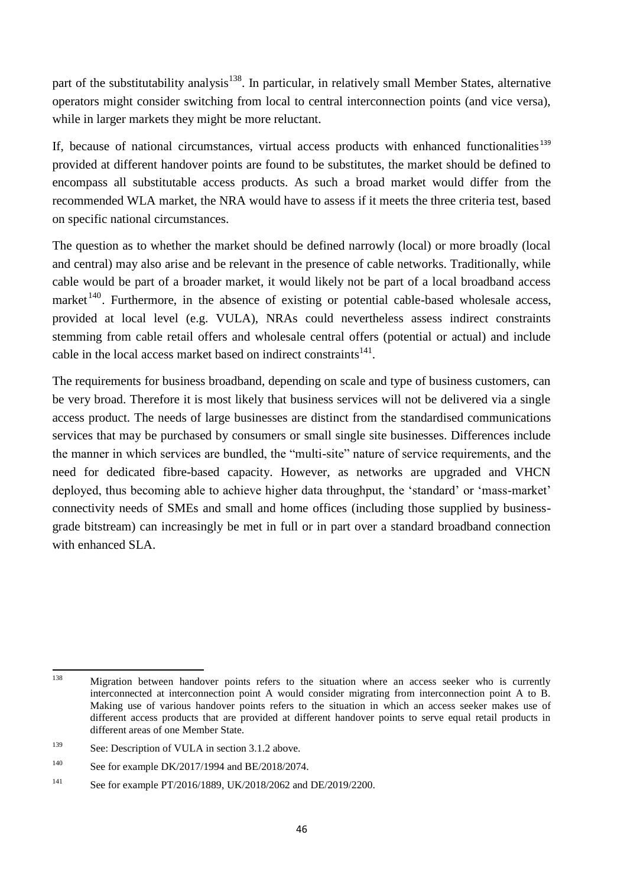part of the substitutability analysis<sup>138</sup>. In particular, in relatively small Member States, alternative operators might consider switching from local to central interconnection points (and vice versa), while in larger markets they might be more reluctant.

If, because of national circumstances, virtual access products with enhanced functionalities<sup>139</sup> provided at different handover points are found to be substitutes, the market should be defined to encompass all substitutable access products. As such a broad market would differ from the recommended WLA market, the NRA would have to assess if it meets the three criteria test, based on specific national circumstances.

The question as to whether the market should be defined narrowly (local) or more broadly (local and central) may also arise and be relevant in the presence of cable networks. Traditionally, while cable would be part of a broader market, it would likely not be part of a local broadband access market<sup>140</sup>. Furthermore, in the absence of existing or potential cable-based wholesale access, provided at local level (e.g. VULA), NRAs could nevertheless assess indirect constraints stemming from cable retail offers and wholesale central offers (potential or actual) and include cable in the local access market based on indirect constraints<sup>141</sup>.

The requirements for business broadband, depending on scale and type of business customers, can be very broad. Therefore it is most likely that business services will not be delivered via a single access product. The needs of large businesses are distinct from the standardised communications services that may be purchased by consumers or small single site businesses. Differences include the manner in which services are bundled, the "multi-site" nature of service requirements, and the need for dedicated fibre-based capacity. However, as networks are upgraded and VHCN deployed, thus becoming able to achieve higher data throughput, the 'standard' or 'mass-market' connectivity needs of SMEs and small and home offices (including those supplied by businessgrade bitstream) can increasingly be met in full or in part over a standard broadband connection with enhanced SLA.

<sup>138</sup> Migration between handover points refers to the situation where an access seeker who is currently interconnected at interconnection point A would consider migrating from interconnection point A to B. Making use of various handover points refers to the situation in which an access seeker makes use of different access products that are provided at different handover points to serve equal retail products in different areas of one Member State.

<sup>&</sup>lt;sup>139</sup> See: Description of VULA in section 3.1.2 above.

<sup>140</sup> See for example DK/2017/1994 and BE/2018/2074.

<sup>141</sup> See for example PT/2016/1889, UK/2018/2062 and DE/2019/2200.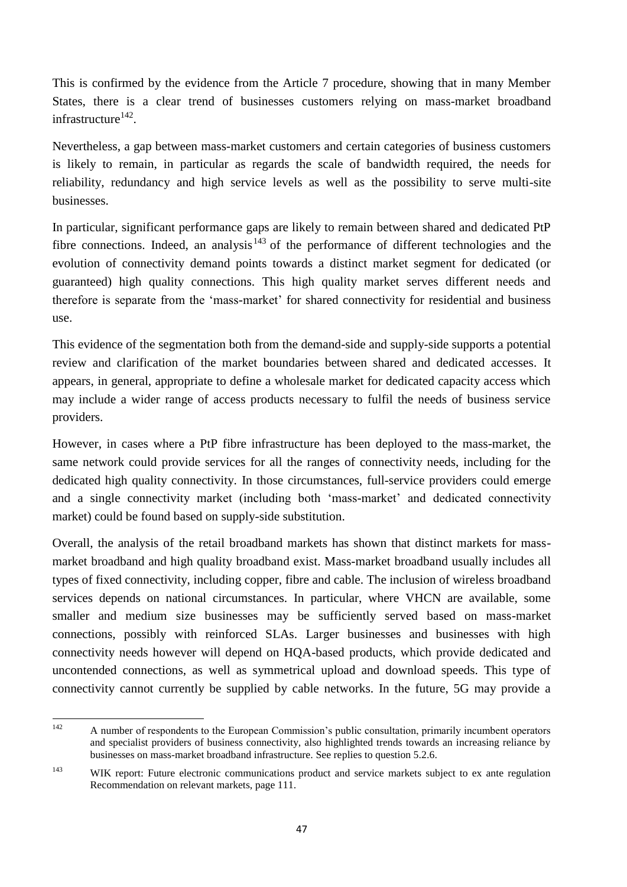This is confirmed by the evidence from the Article 7 procedure, showing that in many Member States, there is a clear trend of businesses customers relying on mass-market broadband infrastructure<sup>142</sup>.

Nevertheless, a gap between mass-market customers and certain categories of business customers is likely to remain, in particular as regards the scale of bandwidth required, the needs for reliability, redundancy and high service levels as well as the possibility to serve multi-site businesses.

In particular, significant performance gaps are likely to remain between shared and dedicated PtP fibre connections. Indeed, an analysis<sup>143</sup> of the performance of different technologies and the evolution of connectivity demand points towards a distinct market segment for dedicated (or guaranteed) high quality connections. This high quality market serves different needs and therefore is separate from the 'mass-market' for shared connectivity for residential and business use.

This evidence of the segmentation both from the demand-side and supply-side supports a potential review and clarification of the market boundaries between shared and dedicated accesses. It appears, in general, appropriate to define a wholesale market for dedicated capacity access which may include a wider range of access products necessary to fulfil the needs of business service providers.

However, in cases where a PtP fibre infrastructure has been deployed to the mass-market, the same network could provide services for all the ranges of connectivity needs, including for the dedicated high quality connectivity. In those circumstances, full-service providers could emerge and a single connectivity market (including both 'mass-market' and dedicated connectivity market) could be found based on supply-side substitution.

Overall, the analysis of the retail broadband markets has shown that distinct markets for massmarket broadband and high quality broadband exist. Mass-market broadband usually includes all types of fixed connectivity, including copper, fibre and cable. The inclusion of wireless broadband services depends on national circumstances. In particular, where VHCN are available, some smaller and medium size businesses may be sufficiently served based on mass-market connections, possibly with reinforced SLAs. Larger businesses and businesses with high connectivity needs however will depend on HQA-based products, which provide dedicated and uncontended connections, as well as symmetrical upload and download speeds. This type of connectivity cannot currently be supplied by cable networks. In the future, 5G may provide a

<sup>142</sup> <sup>142</sup> A number of respondents to the European Commission's public consultation, primarily incumbent operators and specialist providers of business connectivity, also highlighted trends towards an increasing reliance by businesses on mass-market broadband infrastructure. See replies to question 5.2.6.

<sup>&</sup>lt;sup>143</sup> WIK report: Future electronic communications product and service markets subject to ex ante regulation Recommendation on relevant markets, page 111.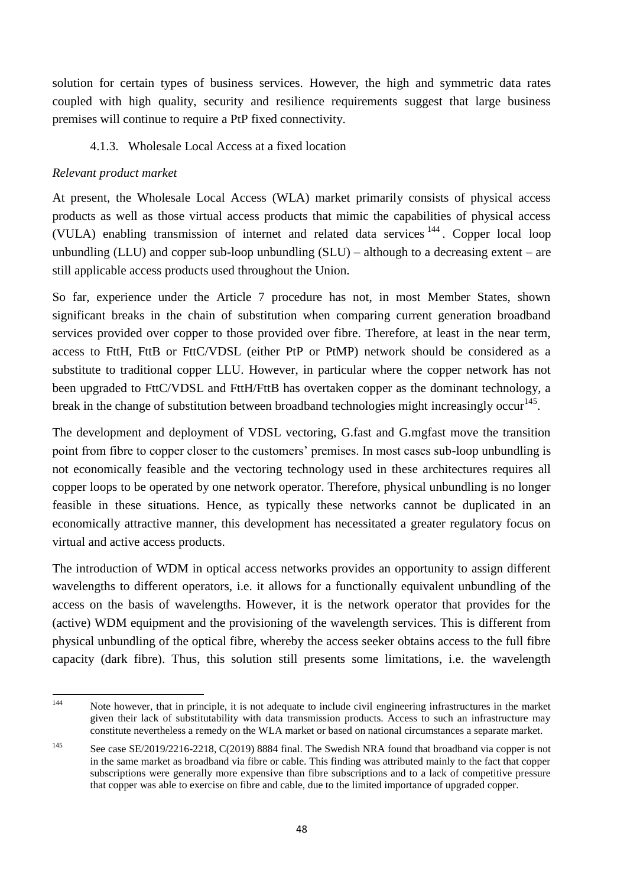solution for certain types of business services. However, the high and symmetric data rates coupled with high quality, security and resilience requirements suggest that large business premises will continue to require a PtP fixed connectivity.

# 4.1.3. Wholesale Local Access at a fixed location

# *Relevant product market*

At present, the Wholesale Local Access (WLA) market primarily consists of physical access products as well as those virtual access products that mimic the capabilities of physical access (VULA) enabling transmission of internet and related data services <sup>144</sup> . Copper local loop unbundling (LLU) and copper sub-loop unbundling  $(SLU)$  – although to a decreasing extent – are still applicable access products used throughout the Union.

So far, experience under the Article 7 procedure has not, in most Member States, shown significant breaks in the chain of substitution when comparing current generation broadband services provided over copper to those provided over fibre. Therefore, at least in the near term, access to FttH, FttB or FttC/VDSL (either PtP or PtMP) network should be considered as a substitute to traditional copper LLU. However, in particular where the copper network has not been upgraded to FttC/VDSL and FttH/FttB has overtaken copper as the dominant technology, a break in the change of substitution between broadband technologies might increasingly occur<sup>145</sup>.

The development and deployment of VDSL vectoring, G.fast and G.mgfast move the transition point from fibre to copper closer to the customers' premises. In most cases sub-loop unbundling is not economically feasible and the vectoring technology used in these architectures requires all copper loops to be operated by one network operator. Therefore, physical unbundling is no longer feasible in these situations. Hence, as typically these networks cannot be duplicated in an economically attractive manner, this development has necessitated a greater regulatory focus on virtual and active access products.

The introduction of WDM in optical access networks provides an opportunity to assign different wavelengths to different operators, i.e. it allows for a functionally equivalent unbundling of the access on the basis of wavelengths. However, it is the network operator that provides for the (active) WDM equipment and the provisioning of the wavelength services. This is different from physical unbundling of the optical fibre, whereby the access seeker obtains access to the full fibre capacity (dark fibre). Thus, this solution still presents some limitations, i.e. the wavelength

 $144$ Note however, that in principle, it is not adequate to include civil engineering infrastructures in the market given their lack of substitutability with data transmission products. Access to such an infrastructure may constitute nevertheless a remedy on the WLA market or based on national circumstances a separate market.

<sup>145</sup> See case SE/2019/2216-2218, C(2019) 8884 final. The Swedish NRA found that broadband via copper is not in the same market as broadband via fibre or cable. This finding was attributed mainly to the fact that copper subscriptions were generally more expensive than fibre subscriptions and to a lack of competitive pressure that copper was able to exercise on fibre and cable, due to the limited importance of upgraded copper.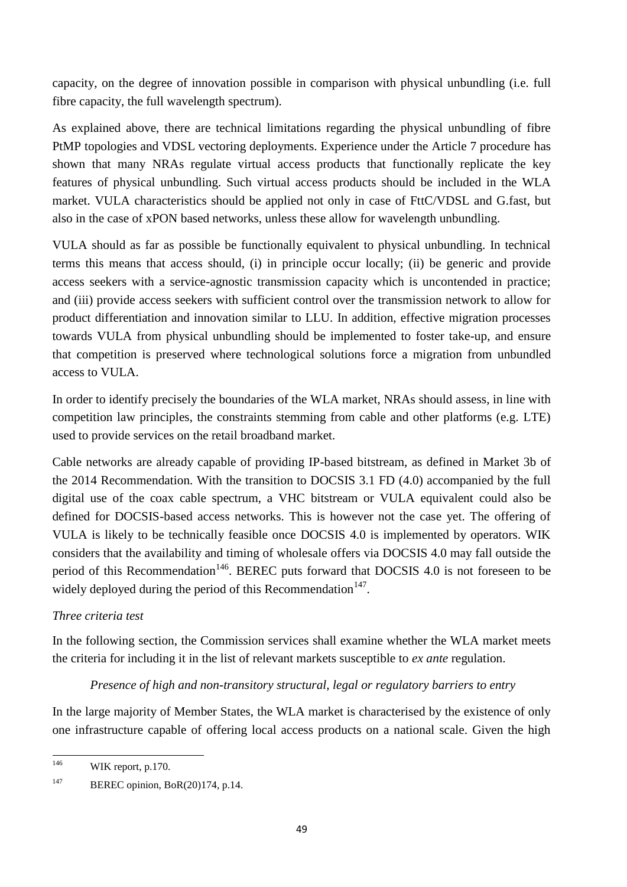capacity, on the degree of innovation possible in comparison with physical unbundling (i.e. full fibre capacity, the full wavelength spectrum).

As explained above, there are technical limitations regarding the physical unbundling of fibre PtMP topologies and VDSL vectoring deployments. Experience under the Article 7 procedure has shown that many NRAs regulate virtual access products that functionally replicate the key features of physical unbundling. Such virtual access products should be included in the WLA market. VULA characteristics should be applied not only in case of FttC/VDSL and G.fast, but also in the case of xPON based networks, unless these allow for wavelength unbundling.

VULA should as far as possible be functionally equivalent to physical unbundling. In technical terms this means that access should, (i) in principle occur locally; (ii) be generic and provide access seekers with a service-agnostic transmission capacity which is uncontended in practice; and (iii) provide access seekers with sufficient control over the transmission network to allow for product differentiation and innovation similar to LLU. In addition, effective migration processes towards VULA from physical unbundling should be implemented to foster take-up, and ensure that competition is preserved where technological solutions force a migration from unbundled access to VULA.

In order to identify precisely the boundaries of the WLA market, NRAs should assess, in line with competition law principles, the constraints stemming from cable and other platforms (e.g. LTE) used to provide services on the retail broadband market.

Cable networks are already capable of providing IP-based bitstream, as defined in Market 3b of the 2014 Recommendation. With the transition to DOCSIS 3.1 FD (4.0) accompanied by the full digital use of the coax cable spectrum, a VHC bitstream or VULA equivalent could also be defined for DOCSIS-based access networks. This is however not the case yet. The offering of VULA is likely to be technically feasible once DOCSIS 4.0 is implemented by operators. WIK considers that the availability and timing of wholesale offers via DOCSIS 4.0 may fall outside the period of this Recommendation<sup>146</sup>. BEREC puts forward that DOCSIS 4.0 is not foreseen to be widely deployed during the period of this Recommendation $^{147}$ .

# *Three criteria test*

In the following section, the Commission services shall examine whether the WLA market meets the criteria for including it in the list of relevant markets susceptible to *ex ante* regulation.

# *Presence of high and non-transitory structural, legal or regulatory barriers to entry*

In the large majority of Member States, the WLA market is characterised by the existence of only one infrastructure capable of offering local access products on a national scale. Given the high

<sup>146</sup> WIK report, p.170.

<sup>&</sup>lt;sup>147</sup> BEREC opinion, BoR(20)174, p.14.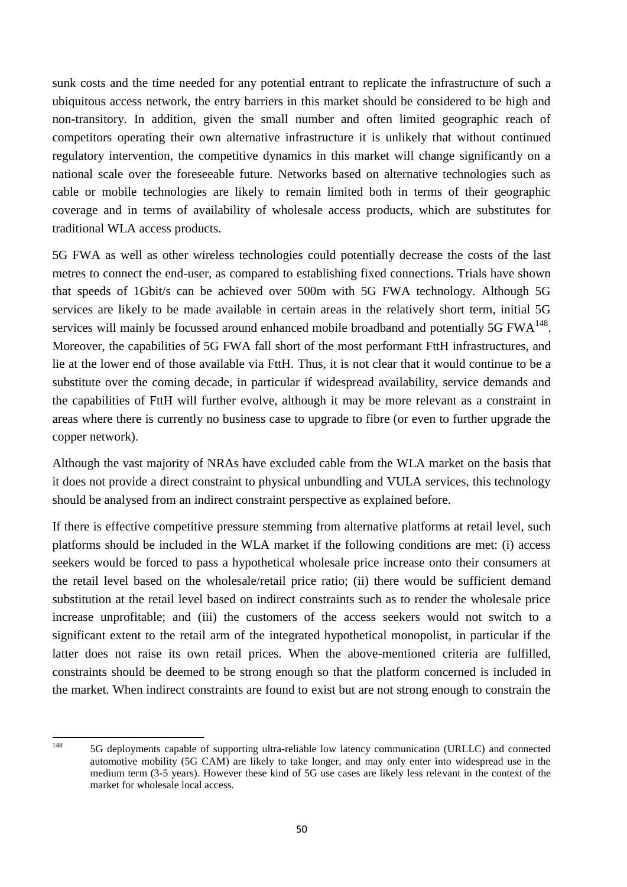sunk costs and the time needed for any potential entrant to replicate the infrastructure of such a ubiquitous access network, the entry barriers in this market should be considered to be high and non-transitory. In addition, given the small number and often limited geographic reach of competitors operating their own alternative infrastructure it is unlikely that without continued regulatory intervention, the competitive dynamics in this market will change significantly on a national scale over the foreseeable future. Networks based on alternative technologies such as cable or mobile technologies are likely to remain limited both in terms of their geographic coverage and in terms of availability of wholesale access products, which are substitutes for traditional WLA access products.

5G FWA as well as other wireless technologies could potentially decrease the costs of the last metres to connect the end-user, as compared to establishing fixed connections. Trials have shown that speeds of 1Gbit/s can be achieved over 500m with 5G FWA technology. Although 5G services are likely to be made available in certain areas in the relatively short term, initial 5G services will mainly be focussed around enhanced mobile broadband and potentially 5G  $FWA^{148}$ . Moreover, the capabilities of 5G FWA fall short of the most performant FttH infrastructures, and lie at the lower end of those available via FttH. Thus, it is not clear that it would continue to be a substitute over the coming decade, in particular if widespread availability, service demands and the capabilities of FttH will further evolve, although it may be more relevant as a constraint in areas where there is currently no business case to upgrade to fibre (or even to further upgrade the copper network).

Although the vast majority of NRAs have excluded cable from the WLA market on the basis that it does not provide a direct constraint to physical unbundling and VULA services, this technology should be analysed from an indirect constraint perspective as explained before.

If there is effective competitive pressure stemming from alternative platforms at retail level, such platforms should be included in the WLA market if the following conditions are met: (i) access seekers would be forced to pass a hypothetical wholesale price increase onto their consumers at the retail level based on the wholesale/retail price ratio; (ii) there would be sufficient demand substitution at the retail level based on indirect constraints such as to render the wholesale price increase unprofitable; and (iii) the customers of the access seekers would not switch to a significant extent to the retail arm of the integrated hypothetical monopolist, in particular if the latter does not raise its own retail prices. When the above-mentioned criteria are fulfilled, constraints should be deemed to be strong enough so that the platform concerned is included in the market. When indirect constraints are found to exist but are not strong enough to constrain the

148

<sup>5</sup>G deployments capable of supporting ultra-reliable low latency communication (URLLC) and connected automotive mobility (5G CAM) are likely to take longer, and may only enter into widespread use in the medium term (3-5 years). However these kind of 5G use cases are likely less relevant in the context of the market for wholesale local access.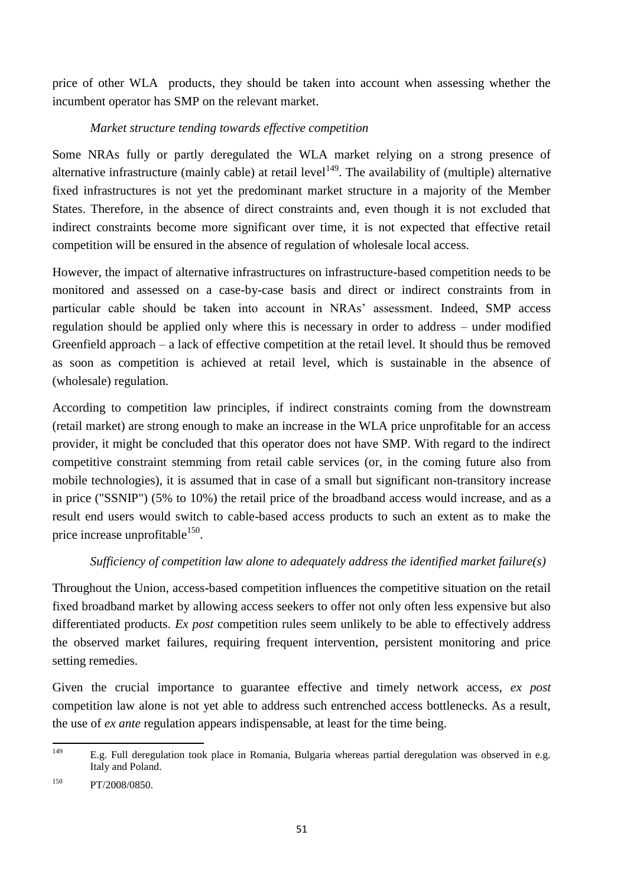price of other WLA products, they should be taken into account when assessing whether the incumbent operator has SMP on the relevant market.

## *Market structure tending towards effective competition*

Some NRAs fully or partly deregulated the WLA market relying on a strong presence of alternative infrastructure (mainly cable) at retail level<sup>149</sup>. The availability of (multiple) alternative fixed infrastructures is not yet the predominant market structure in a majority of the Member States. Therefore, in the absence of direct constraints and, even though it is not excluded that indirect constraints become more significant over time, it is not expected that effective retail competition will be ensured in the absence of regulation of wholesale local access.

However, the impact of alternative infrastructures on infrastructure-based competition needs to be monitored and assessed on a case-by-case basis and direct or indirect constraints from in particular cable should be taken into account in NRAs' assessment. Indeed, SMP access regulation should be applied only where this is necessary in order to address – under modified Greenfield approach – a lack of effective competition at the retail level. It should thus be removed as soon as competition is achieved at retail level, which is sustainable in the absence of (wholesale) regulation.

According to competition law principles, if indirect constraints coming from the downstream (retail market) are strong enough to make an increase in the WLA price unprofitable for an access provider, it might be concluded that this operator does not have SMP. With regard to the indirect competitive constraint stemming from retail cable services (or, in the coming future also from mobile technologies), it is assumed that in case of a small but significant non-transitory increase in price ("SSNIP") (5% to 10%) the retail price of the broadband access would increase, and as a result end users would switch to cable-based access products to such an extent as to make the price increase unprofitable  $150$ .

# *Sufficiency of competition law alone to adequately address the identified market failure(s)*

Throughout the Union, access-based competition influences the competitive situation on the retail fixed broadband market by allowing access seekers to offer not only often less expensive but also differentiated products. *Ex post* competition rules seem unlikely to be able to effectively address the observed market failures, requiring frequent intervention, persistent monitoring and price setting remedies.

Given the crucial importance to guarantee effective and timely network access, *ex post* competition law alone is not yet able to address such entrenched access bottlenecks. As a result, the use of *ex ante* regulation appears indispensable, at least for the time being.

<sup>149</sup> E.g. Full deregulation took place in Romania, Bulgaria whereas partial deregulation was observed in e.g. Italy and Poland.

<sup>&</sup>lt;sup>150</sup> PT/2008/0850.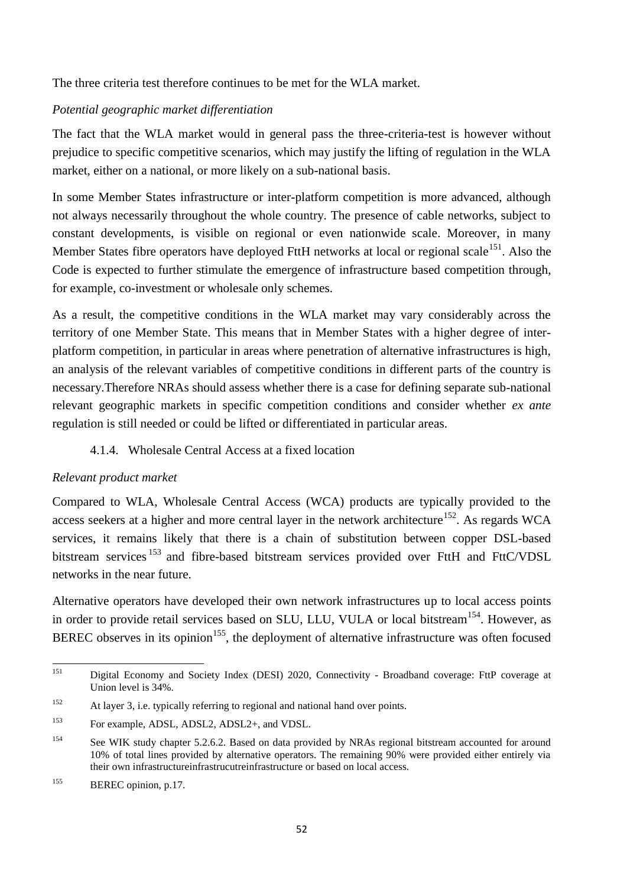The three criteria test therefore continues to be met for the WLA market.

# *Potential geographic market differentiation*

The fact that the WLA market would in general pass the three-criteria-test is however without prejudice to specific competitive scenarios, which may justify the lifting of regulation in the WLA market, either on a national, or more likely on a sub-national basis.

In some Member States infrastructure or inter-platform competition is more advanced, although not always necessarily throughout the whole country. The presence of cable networks, subject to constant developments, is visible on regional or even nationwide scale. Moreover, in many Member States fibre operators have deployed FttH networks at local or regional scale<sup>151</sup>. Also the Code is expected to further stimulate the emergence of infrastructure based competition through, for example, co-investment or wholesale only schemes.

As a result, the competitive conditions in the WLA market may vary considerably across the territory of one Member State. This means that in Member States with a higher degree of interplatform competition, in particular in areas where penetration of alternative infrastructures is high, an analysis of the relevant variables of competitive conditions in different parts of the country is necessary.Therefore NRAs should assess whether there is a case for defining separate sub-national relevant geographic markets in specific competition conditions and consider whether *ex ante* regulation is still needed or could be lifted or differentiated in particular areas.

# 4.1.4. Wholesale Central Access at a fixed location

# *Relevant product market*

Compared to WLA, Wholesale Central Access (WCA) products are typically provided to the access seekers at a higher and more central layer in the network architecture<sup>152</sup>. As regards WCA services, it remains likely that there is a chain of substitution between copper DSL-based bitstream services <sup>153</sup> and fibre-based bitstream services provided over FttH and FttC/VDSL networks in the near future.

Alternative operators have developed their own network infrastructures up to local access points in order to provide retail services based on SLU, LLU, VULA or local bitstream<sup>154</sup>. However, as BEREC observes in its opinion<sup>155</sup>, the deployment of alternative infrastructure was often focused

<sup>151</sup> <sup>151</sup> Digital Economy and Society Index (DESI) 2020, Connectivity - Broadband coverage: FttP coverage at Union level is 34%.

<sup>152</sup> At layer 3, i.e. typically referring to regional and national hand over points.

<sup>153</sup> For example, ADSL, ADSL2, ADSL2+, and VDSL.

<sup>&</sup>lt;sup>154</sup> See WIK study chapter 5.2.6.2. Based on data provided by NRAs regional bitstream accounted for around 10% of total lines provided by alternative operators. The remaining 90% were provided either entirely via their own infrastructureinfrastrucutreinfrastructure or based on local access.

<sup>&</sup>lt;sup>155</sup> BEREC opinion, p.17.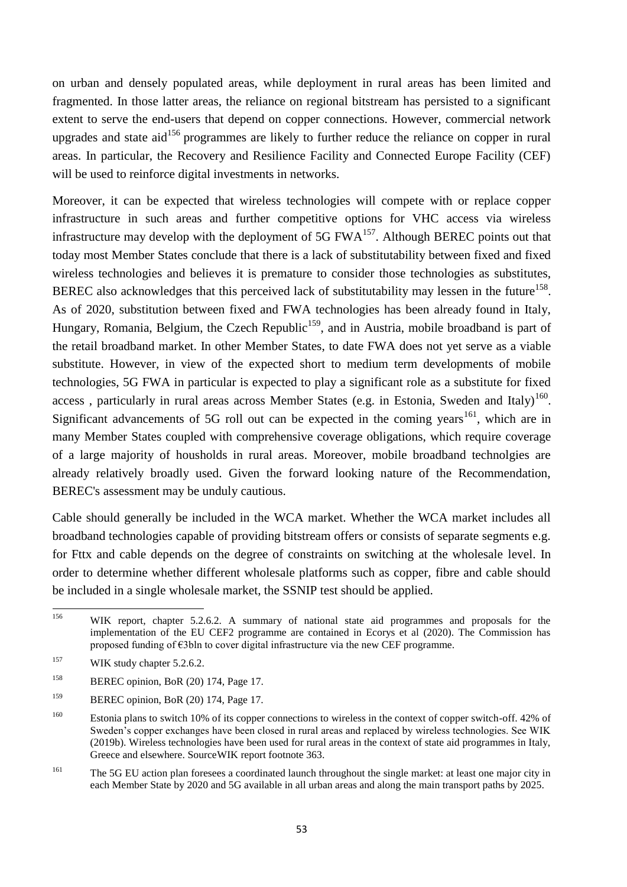on urban and densely populated areas, while deployment in rural areas has been limited and fragmented. In those latter areas, the reliance on regional bitstream has persisted to a significant extent to serve the end-users that depend on copper connections. However, commercial network upgrades and state aid<sup>156</sup> programmes are likely to further reduce the reliance on copper in rural areas. In particular, the Recovery and Resilience Facility and Connected Europe Facility (CEF) will be used to reinforce digital investments in networks.

Moreover, it can be expected that wireless technologies will compete with or replace copper infrastructure in such areas and further competitive options for VHC access via wireless infrastructure may develop with the deployment of 5G  $FWA<sup>157</sup>$ . Although BEREC points out that today most Member States conclude that there is a lack of substitutability between fixed and fixed wireless technologies and believes it is premature to consider those technologies as substitutes, BEREC also acknowledges that this perceived lack of substitutability may lessen in the future<sup>158</sup>. As of 2020, substitution between fixed and FWA technologies has been already found in Italy, Hungary, Romania, Belgium, the Czech Republic<sup>159</sup>, and in Austria, mobile broadband is part of the retail broadband market. In other Member States, to date FWA does not yet serve as a viable substitute. However, in view of the expected short to medium term developments of mobile technologies, 5G FWA in particular is expected to play a significant role as a substitute for fixed access, particularly in rural areas across Member States (e.g. in Estonia, Sweden and Italy)<sup>160</sup>. Significant advancements of 5G roll out can be expected in the coming years<sup>161</sup>, which are in many Member States coupled with comprehensive coverage obligations, which require coverage of a large majority of housholds in rural areas. Moreover, mobile broadband technolgies are already relatively broadly used. Given the forward looking nature of the Recommendation, BEREC's assessment may be unduly cautious.

Cable should generally be included in the WCA market. Whether the WCA market includes all broadband technologies capable of providing bitstream offers or consists of separate segments e.g. for Fttx and cable depends on the degree of constraints on switching at the wholesale level. In order to determine whether different wholesale platforms such as copper, fibre and cable should be included in a single wholesale market, the SSNIP test should be applied.

<sup>161</sup> The 5G EU action plan foresees a coordinated launch throughout the single market: at least one major city in each Member State by 2020 and 5G available in all urban areas and along the main transport paths by 2025.

<sup>156</sup> WIK report, chapter 5.2.6.2. A summary of national state aid programmes and proposals for the implementation of the EU CEF2 programme are contained in Ecorys et al (2020). The Commission has proposed funding of €3bln to cover digital infrastructure via the new CEF programme.

<sup>&</sup>lt;sup>157</sup> WIK study chapter 5.2.6.2.

<sup>&</sup>lt;sup>158</sup> BEREC opinion, BoR (20) 174, Page 17.

<sup>&</sup>lt;sup>159</sup> BEREC opinion, BoR (20) 174, Page 17.

<sup>&</sup>lt;sup>160</sup> Estonia plans to switch 10% of its copper connections to wireless in the context of copper switch-off. 42% of Sweden's copper exchanges have been closed in rural areas and replaced by wireless technologies. See WIK (2019b). Wireless technologies have been used for rural areas in the context of state aid programmes in Italy, Greece and elsewhere. SourceWIK report footnote 363.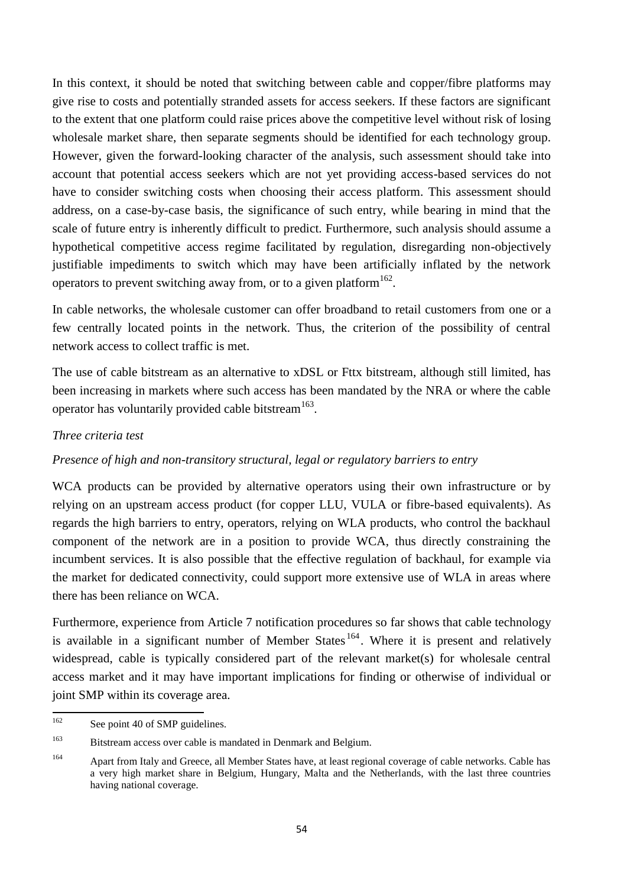In this context, it should be noted that switching between cable and copper/fibre platforms may give rise to costs and potentially stranded assets for access seekers. If these factors are significant to the extent that one platform could raise prices above the competitive level without risk of losing wholesale market share, then separate segments should be identified for each technology group. However, given the forward-looking character of the analysis, such assessment should take into account that potential access seekers which are not yet providing access-based services do not have to consider switching costs when choosing their access platform. This assessment should address, on a case-by-case basis, the significance of such entry, while bearing in mind that the scale of future entry is inherently difficult to predict. Furthermore, such analysis should assume a hypothetical competitive access regime facilitated by regulation, disregarding non-objectively justifiable impediments to switch which may have been artificially inflated by the network operators to prevent switching away from, or to a given platform  $162$ .

In cable networks, the wholesale customer can offer broadband to retail customers from one or a few centrally located points in the network. Thus, the criterion of the possibility of central network access to collect traffic is met.

The use of cable bitstream as an alternative to xDSL or Fttx bitstream, although still limited, has been increasing in markets where such access has been mandated by the NRA or where the cable operator has voluntarily provided cable bitstream<sup>163</sup>.

## *Three criteria test*

## *Presence of high and non-transitory structural, legal or regulatory barriers to entry*

WCA products can be provided by alternative operators using their own infrastructure or by relying on an upstream access product (for copper LLU, VULA or fibre-based equivalents). As regards the high barriers to entry, operators, relying on WLA products, who control the backhaul component of the network are in a position to provide WCA, thus directly constraining the incumbent services. It is also possible that the effective regulation of backhaul, for example via the market for dedicated connectivity, could support more extensive use of WLA in areas where there has been reliance on WCA.

Furthermore, experience from Article 7 notification procedures so far shows that cable technology is available in a significant number of Member States<sup>164</sup>. Where it is present and relatively widespread, cable is typically considered part of the relevant market(s) for wholesale central access market and it may have important implications for finding or otherwise of individual or joint SMP within its coverage area.

<sup>162</sup> See point 40 of SMP guidelines.

<sup>&</sup>lt;sup>163</sup> Bitstream access over cable is mandated in Denmark and Belgium.

<sup>164</sup> Apart from Italy and Greece, all Member States have, at least regional coverage of cable networks. Cable has a very high market share in Belgium, Hungary, Malta and the Netherlands, with the last three countries having national coverage.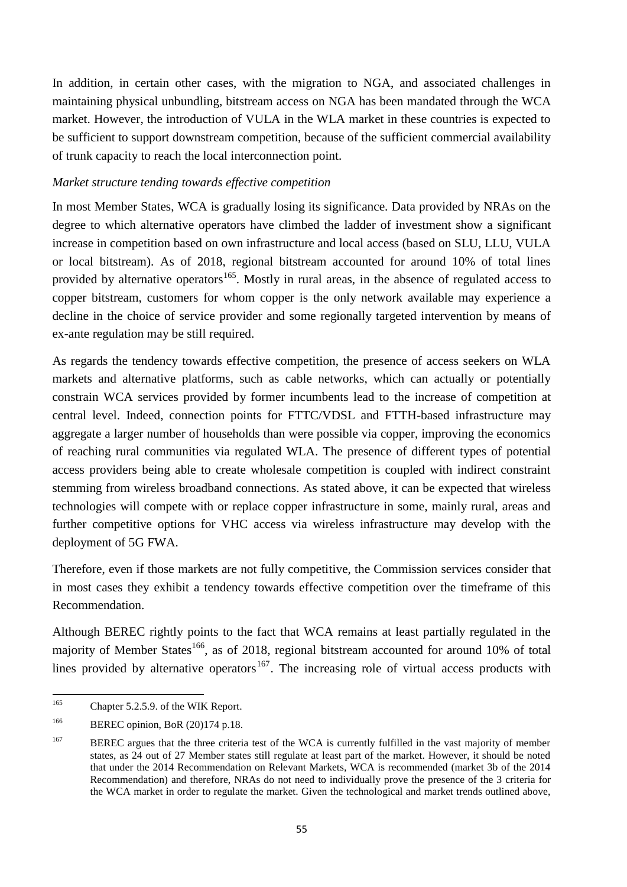In addition, in certain other cases, with the migration to NGA, and associated challenges in maintaining physical unbundling, bitstream access on NGA has been mandated through the WCA market. However, the introduction of VULA in the WLA market in these countries is expected to be sufficient to support downstream competition, because of the sufficient commercial availability of trunk capacity to reach the local interconnection point.

## *Market structure tending towards effective competition*

In most Member States, WCA is gradually losing its significance. Data provided by NRAs on the degree to which alternative operators have climbed the ladder of investment show a significant increase in competition based on own infrastructure and local access (based on SLU, LLU, VULA or local bitstream). As of 2018, regional bitstream accounted for around 10% of total lines provided by alternative operators<sup>165</sup>. Mostly in rural areas, in the absence of regulated access to copper bitstream, customers for whom copper is the only network available may experience a decline in the choice of service provider and some regionally targeted intervention by means of ex-ante regulation may be still required.

As regards the tendency towards effective competition, the presence of access seekers on WLA markets and alternative platforms, such as cable networks, which can actually or potentially constrain WCA services provided by former incumbents lead to the increase of competition at central level. Indeed, connection points for FTTC/VDSL and FTTH-based infrastructure may aggregate a larger number of households than were possible via copper, improving the economics of reaching rural communities via regulated WLA. The presence of different types of potential access providers being able to create wholesale competition is coupled with indirect constraint stemming from wireless broadband connections. As stated above, it can be expected that wireless technologies will compete with or replace copper infrastructure in some, mainly rural, areas and further competitive options for VHC access via wireless infrastructure may develop with the deployment of 5G FWA.

Therefore, even if those markets are not fully competitive, the Commission services consider that in most cases they exhibit a tendency towards effective competition over the timeframe of this Recommendation.

Although BEREC rightly points to the fact that WCA remains at least partially regulated in the majority of Member States<sup>166</sup>, as of 2018, regional bitstream accounted for around 10% of total lines provided by alternative operators $167$ . The increasing role of virtual access products with

<sup>165</sup> Chapter 5.2.5.9. of the WIK Report.

<sup>&</sup>lt;sup>166</sup> BEREC opinion, BoR (20)174 p.18.

<sup>&</sup>lt;sup>167</sup> BEREC argues that the three criteria test of the WCA is currently fulfilled in the vast majority of member states, as 24 out of 27 Member states still regulate at least part of the market. However, it should be noted that under the 2014 Recommendation on Relevant Markets, WCA is recommended (market 3b of the 2014 Recommendation) and therefore, NRAs do not need to individually prove the presence of the 3 criteria for the WCA market in order to regulate the market. Given the technological and market trends outlined above,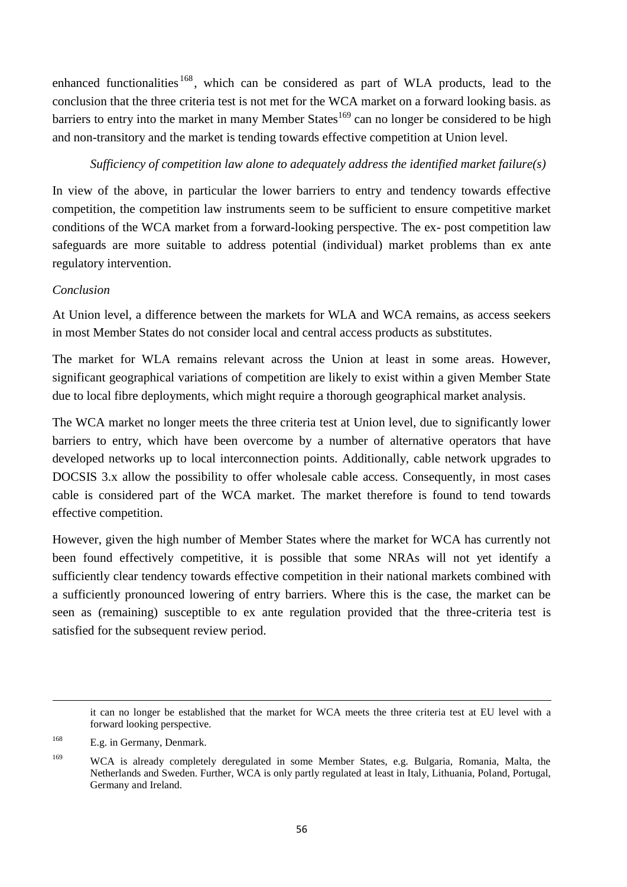enhanced functionalities <sup>168</sup>, which can be considered as part of WLA products, lead to the conclusion that the three criteria test is not met for the WCA market on a forward looking basis. as barriers to entry into the market in many Member States<sup>169</sup> can no longer be considered to be high and non-transitory and the market is tending towards effective competition at Union level.

# *Sufficiency of competition law alone to adequately address the identified market failure(s)*

In view of the above, in particular the lower barriers to entry and tendency towards effective competition, the competition law instruments seem to be sufficient to ensure competitive market conditions of the WCA market from a forward-looking perspective. The ex- post competition law safeguards are more suitable to address potential (individual) market problems than ex ante regulatory intervention.

# *Conclusion*

At Union level, a difference between the markets for WLA and WCA remains, as access seekers in most Member States do not consider local and central access products as substitutes.

The market for WLA remains relevant across the Union at least in some areas. However, significant geographical variations of competition are likely to exist within a given Member State due to local fibre deployments, which might require a thorough geographical market analysis.

The WCA market no longer meets the three criteria test at Union level, due to significantly lower barriers to entry, which have been overcome by a number of alternative operators that have developed networks up to local interconnection points. Additionally, cable network upgrades to DOCSIS 3.x allow the possibility to offer wholesale cable access. Consequently, in most cases cable is considered part of the WCA market. The market therefore is found to tend towards effective competition.

However, given the high number of Member States where the market for WCA has currently not been found effectively competitive, it is possible that some NRAs will not yet identify a sufficiently clear tendency towards effective competition in their national markets combined with a sufficiently pronounced lowering of entry barriers. Where this is the case, the market can be seen as (remaining) susceptible to ex ante regulation provided that the three-criteria test is satisfied for the subsequent review period.

it can no longer be established that the market for WCA meets the three criteria test at EU level with a forward looking perspective.

 $\overline{a}$ 

<sup>&</sup>lt;sup>168</sup> E.g. in Germany, Denmark.

<sup>&</sup>lt;sup>169</sup> WCA is already completely deregulated in some Member States, e.g. Bulgaria, Romania, Malta, the Netherlands and Sweden. Further, WCA is only partly regulated at least in Italy, Lithuania, Poland, Portugal, Germany and Ireland.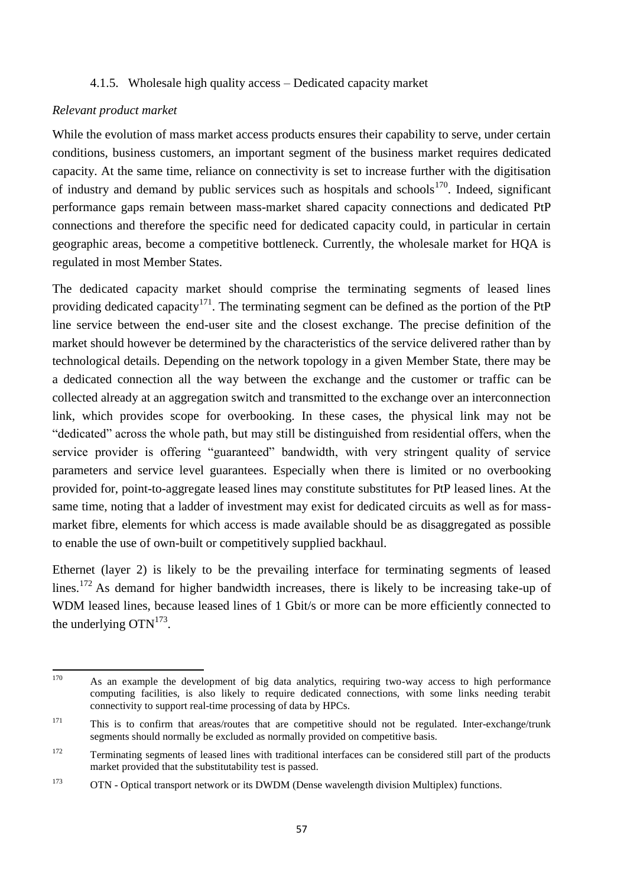## 4.1.5. Wholesale high quality access – Dedicated capacity market

### *Relevant product market*

While the evolution of mass market access products ensures their capability to serve, under certain conditions, business customers, an important segment of the business market requires dedicated capacity. At the same time, reliance on connectivity is set to increase further with the digitisation of industry and demand by public services such as hospitals and schools<sup>170</sup>. Indeed, significant performance gaps remain between mass-market shared capacity connections and dedicated PtP connections and therefore the specific need for dedicated capacity could, in particular in certain geographic areas, become a competitive bottleneck. Currently, the wholesale market for HQA is regulated in most Member States.

The dedicated capacity market should comprise the terminating segments of leased lines providing dedicated capacity<sup>171</sup>. The terminating segment can be defined as the portion of the PtP line service between the end-user site and the closest exchange. The precise definition of the market should however be determined by the characteristics of the service delivered rather than by technological details. Depending on the network topology in a given Member State, there may be a dedicated connection all the way between the exchange and the customer or traffic can be collected already at an aggregation switch and transmitted to the exchange over an interconnection link, which provides scope for overbooking. In these cases, the physical link may not be "dedicated" across the whole path, but may still be distinguished from residential offers, when the service provider is offering "guaranteed" bandwidth, with very stringent quality of service parameters and service level guarantees. Especially when there is limited or no overbooking provided for, point-to-aggregate leased lines may constitute substitutes for PtP leased lines. At the same time, noting that a ladder of investment may exist for dedicated circuits as well as for massmarket fibre, elements for which access is made available should be as disaggregated as possible to enable the use of own-built or competitively supplied backhaul.

Ethernet (layer 2) is likely to be the prevailing interface for terminating segments of leased lines.<sup>172</sup> As demand for higher bandwidth increases, there is likely to be increasing take-up of WDM leased lines, because leased lines of 1 Gbit/s or more can be more efficiently connected to the underlying  $OTN^{173}$ .

<sup>170</sup> As an example the development of big data analytics, requiring two-way access to high performance computing facilities, is also likely to require dedicated connections, with some links needing terabit connectivity to support real-time processing of data by HPCs.

<sup>&</sup>lt;sup>171</sup> This is to confirm that areas/routes that are competitive should not be regulated. Inter-exchange/trunk segments should normally be excluded as normally provided on competitive basis.

<sup>&</sup>lt;sup>172</sup> Terminating segments of leased lines with traditional interfaces can be considered still part of the products market provided that the substitutability test is passed.

<sup>&</sup>lt;sup>173</sup> OTN - Optical transport network or its DWDM (Dense wavelength division Multiplex) functions.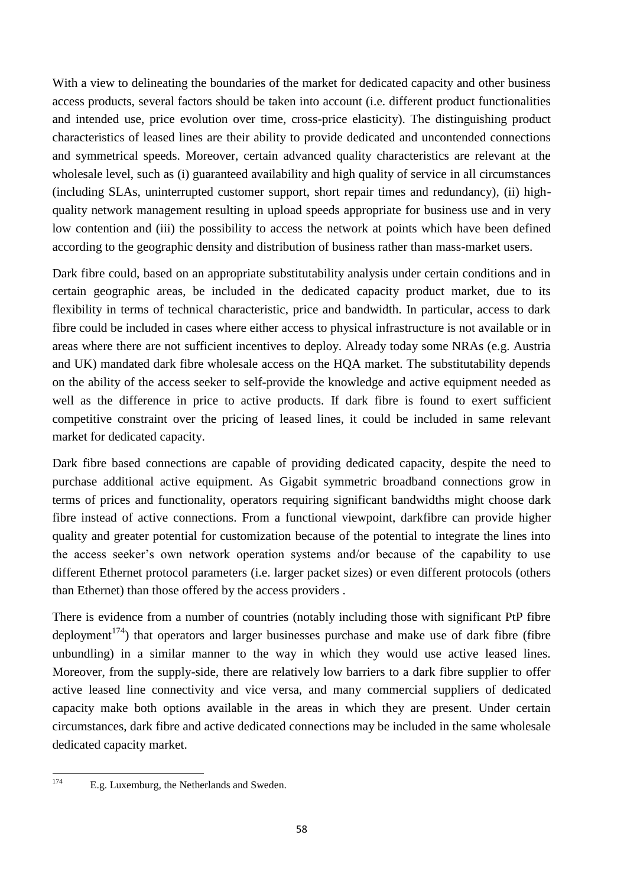With a view to delineating the boundaries of the market for dedicated capacity and other business access products, several factors should be taken into account (i.e. different product functionalities and intended use, price evolution over time, cross-price elasticity). The distinguishing product characteristics of leased lines are their ability to provide dedicated and uncontended connections and symmetrical speeds. Moreover, certain advanced quality characteristics are relevant at the wholesale level, such as (i) guaranteed availability and high quality of service in all circumstances (including SLAs, uninterrupted customer support, short repair times and redundancy), (ii) highquality network management resulting in upload speeds appropriate for business use and in very low contention and (iii) the possibility to access the network at points which have been defined according to the geographic density and distribution of business rather than mass-market users.

Dark fibre could, based on an appropriate substitutability analysis under certain conditions and in certain geographic areas, be included in the dedicated capacity product market, due to its flexibility in terms of technical characteristic, price and bandwidth. In particular, access to dark fibre could be included in cases where either access to physical infrastructure is not available or in areas where there are not sufficient incentives to deploy. Already today some NRAs (e.g. Austria and UK) mandated dark fibre wholesale access on the HQA market. The substitutability depends on the ability of the access seeker to self-provide the knowledge and active equipment needed as well as the difference in price to active products. If dark fibre is found to exert sufficient competitive constraint over the pricing of leased lines, it could be included in same relevant market for dedicated capacity.

Dark fibre based connections are capable of providing dedicated capacity, despite the need to purchase additional active equipment. As Gigabit symmetric broadband connections grow in terms of prices and functionality, operators requiring significant bandwidths might choose dark fibre instead of active connections. From a functional viewpoint, darkfibre can provide higher quality and greater potential for customization because of the potential to integrate the lines into the access seeker's own network operation systems and/or because of the capability to use different Ethernet protocol parameters (i.e. larger packet sizes) or even different protocols (others than Ethernet) than those offered by the access providers .

There is evidence from a number of countries (notably including those with significant PtP fibre deployment<sup>174</sup>) that operators and larger businesses purchase and make use of dark fibre (fibre unbundling) in a similar manner to the way in which they would use active leased lines. Moreover, from the supply-side, there are relatively low barriers to a dark fibre supplier to offer active leased line connectivity and vice versa, and many commercial suppliers of dedicated capacity make both options available in the areas in which they are present. Under certain circumstances, dark fibre and active dedicated connections may be included in the same wholesale dedicated capacity market.

<sup>174</sup> E.g. Luxemburg, the Netherlands and Sweden.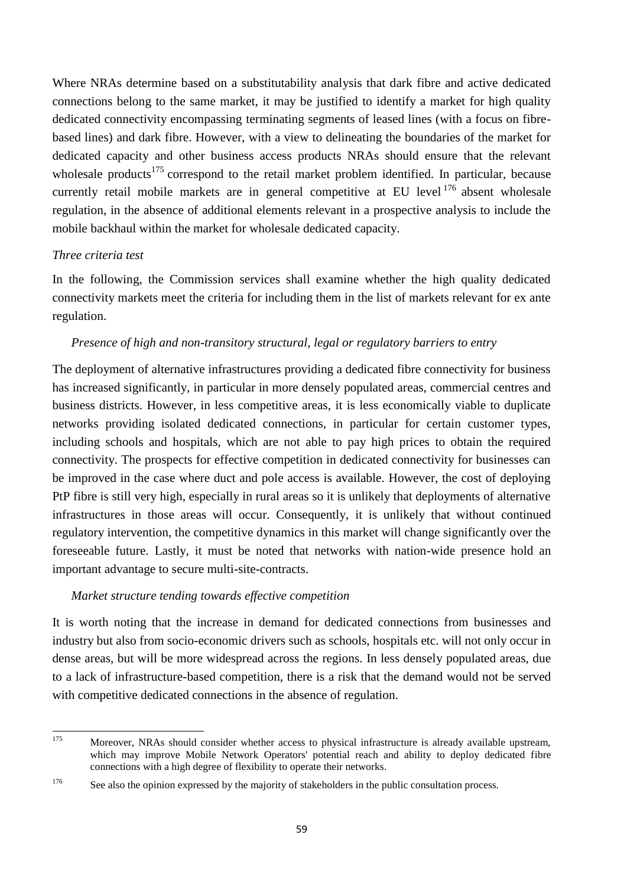Where NRAs determine based on a substitutability analysis that dark fibre and active dedicated connections belong to the same market, it may be justified to identify a market for high quality dedicated connectivity encompassing terminating segments of leased lines (with a focus on fibrebased lines) and dark fibre. However, with a view to delineating the boundaries of the market for dedicated capacity and other business access products NRAs should ensure that the relevant wholesale products<sup>175</sup> correspond to the retail market problem identified. In particular, because currently retail mobile markets are in general competitive at EU level<sup>176</sup> absent wholesale regulation, in the absence of additional elements relevant in a prospective analysis to include the mobile backhaul within the market for wholesale dedicated capacity.

#### *Three criteria test*

In the following, the Commission services shall examine whether the high quality dedicated connectivity markets meet the criteria for including them in the list of markets relevant for ex ante regulation.

#### *Presence of high and non-transitory structural, legal or regulatory barriers to entry*

The deployment of alternative infrastructures providing a dedicated fibre connectivity for business has increased significantly, in particular in more densely populated areas, commercial centres and business districts. However, in less competitive areas, it is less economically viable to duplicate networks providing isolated dedicated connections, in particular for certain customer types, including schools and hospitals, which are not able to pay high prices to obtain the required connectivity. The prospects for effective competition in dedicated connectivity for businesses can be improved in the case where duct and pole access is available. However, the cost of deploying PtP fibre is still very high, especially in rural areas so it is unlikely that deployments of alternative infrastructures in those areas will occur. Consequently, it is unlikely that without continued regulatory intervention, the competitive dynamics in this market will change significantly over the foreseeable future. Lastly, it must be noted that networks with nation-wide presence hold an important advantage to secure multi-site-contracts.

#### *Market structure tending towards effective competition*

It is worth noting that the increase in demand for dedicated connections from businesses and industry but also from socio-economic drivers such as schools, hospitals etc. will not only occur in dense areas, but will be more widespread across the regions. In less densely populated areas, due to a lack of infrastructure-based competition, there is a risk that the demand would not be served with competitive dedicated connections in the absence of regulation.

<sup>175</sup> Moreover, NRAs should consider whether access to physical infrastructure is already available upstream, which may improve Mobile Network Operators' potential reach and ability to deploy dedicated fibre connections with a high degree of flexibility to operate their networks.

<sup>&</sup>lt;sup>176</sup> See also the opinion expressed by the majority of stakeholders in the public consultation process.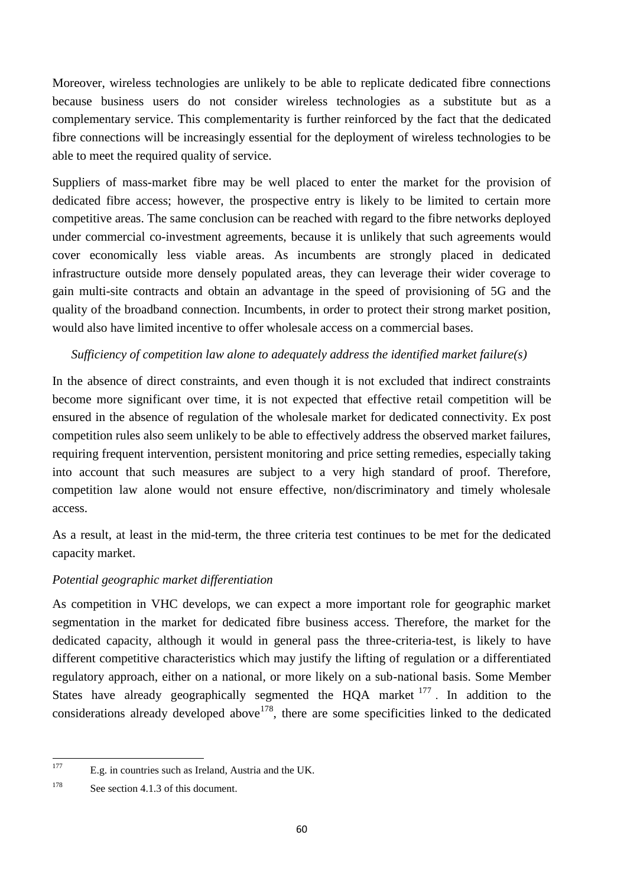Moreover, wireless technologies are unlikely to be able to replicate dedicated fibre connections because business users do not consider wireless technologies as a substitute but as a complementary service. This complementarity is further reinforced by the fact that the dedicated fibre connections will be increasingly essential for the deployment of wireless technologies to be able to meet the required quality of service.

Suppliers of mass-market fibre may be well placed to enter the market for the provision of dedicated fibre access; however, the prospective entry is likely to be limited to certain more competitive areas. The same conclusion can be reached with regard to the fibre networks deployed under commercial co-investment agreements, because it is unlikely that such agreements would cover economically less viable areas. As incumbents are strongly placed in dedicated infrastructure outside more densely populated areas, they can leverage their wider coverage to gain multi-site contracts and obtain an advantage in the speed of provisioning of 5G and the quality of the broadband connection. Incumbents, in order to protect their strong market position, would also have limited incentive to offer wholesale access on a commercial bases.

# *Sufficiency of competition law alone to adequately address the identified market failure(s)*

In the absence of direct constraints, and even though it is not excluded that indirect constraints become more significant over time, it is not expected that effective retail competition will be ensured in the absence of regulation of the wholesale market for dedicated connectivity*.* Ex post competition rules also seem unlikely to be able to effectively address the observed market failures, requiring frequent intervention, persistent monitoring and price setting remedies, especially taking into account that such measures are subject to a very high standard of proof. Therefore, competition law alone would not ensure effective, non/discriminatory and timely wholesale access.

As a result, at least in the mid-term, the three criteria test continues to be met for the dedicated capacity market.

# *Potential geographic market differentiation*

As competition in VHC develops, we can expect a more important role for geographic market segmentation in the market for dedicated fibre business access. Therefore, the market for the dedicated capacity, although it would in general pass the three-criteria-test, is likely to have different competitive characteristics which may justify the lifting of regulation or a differentiated regulatory approach, either on a national, or more likely on a sub-national basis. Some Member States have already geographically segmented the HQA market  $177$ . In addition to the considerations already developed above<sup>178</sup>, there are some specificities linked to the dedicated

<sup>177</sup> E.g. in countries such as Ireland, Austria and the UK.

<sup>&</sup>lt;sup>178</sup> See section 4.1.3 of this document.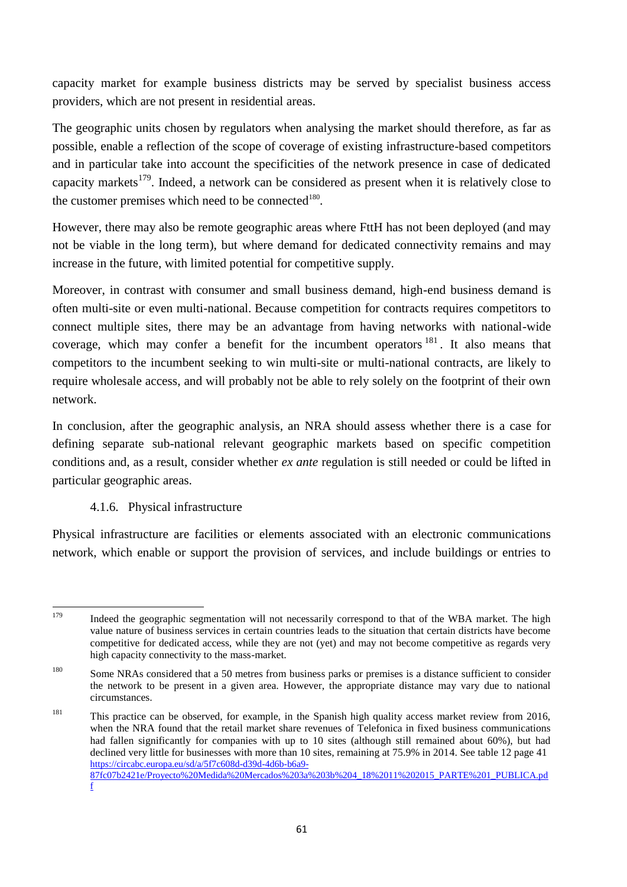capacity market for example business districts may be served by specialist business access providers, which are not present in residential areas.

The geographic units chosen by regulators when analysing the market should therefore, as far as possible, enable a reflection of the scope of coverage of existing infrastructure-based competitors and in particular take into account the specificities of the network presence in case of dedicated capacity markets<sup>179</sup>. Indeed, a network can be considered as present when it is relatively close to the customer premises which need to be connected<sup>180</sup>.

However, there may also be remote geographic areas where FttH has not been deployed (and may not be viable in the long term), but where demand for dedicated connectivity remains and may increase in the future, with limited potential for competitive supply.

Moreover, in contrast with consumer and small business demand, high-end business demand is often multi-site or even multi-national. Because competition for contracts requires competitors to connect multiple sites, there may be an advantage from having networks with national-wide coverage, which may confer a benefit for the incumbent operators  $181$ . It also means that competitors to the incumbent seeking to win multi-site or multi-national contracts, are likely to require wholesale access, and will probably not be able to rely solely on the footprint of their own network.

In conclusion, after the geographic analysis, an NRA should assess whether there is a case for defining separate sub-national relevant geographic markets based on specific competition conditions and, as a result, consider whether *ex ante* regulation is still needed or could be lifted in particular geographic areas.

# 4.1.6. Physical infrastructure

Physical infrastructure are facilities or elements associated with an electronic communications network, which enable or support the provision of services, and include buildings or entries to

<sup>179</sup> Indeed the geographic segmentation will not necessarily correspond to that of the WBA market. The high value nature of business services in certain countries leads to the situation that certain districts have become competitive for dedicated access, while they are not (yet) and may not become competitive as regards very high capacity connectivity to the mass-market.

<sup>&</sup>lt;sup>180</sup> Some NRAs considered that a 50 metres from business parks or premises is a distance sufficient to consider the network to be present in a given area. However, the appropriate distance may vary due to national circumstances.

<sup>&</sup>lt;sup>181</sup> This practice can be observed, for example, in the Spanish high quality access market review from 2016, when the NRA found that the retail market share revenues of Telefonica in fixed business communications had fallen significantly for companies with up to 10 sites (although still remained about 60%), but had declined very little for businesses with more than 10 sites, remaining at 75.9% in 2014. See table 12 page 41 [https://circabc.europa.eu/sd/a/5f7c608d-d39d-4d6b-b6a9-](https://circabc.europa.eu/sd/a/5f7c608d-d39d-4d6b-b6a9-87fc07b2421e/Proyecto%20Medida%20Mercados%203a%203b%204_18%2011%202015_PARTE%201_PUBLICA.pdf) [87fc07b2421e/Proyecto%20Medida%20Mercados%203a%203b%204\\_18%2011%202015\\_PARTE%201\\_PUBLICA.pd](https://circabc.europa.eu/sd/a/5f7c608d-d39d-4d6b-b6a9-87fc07b2421e/Proyecto%20Medida%20Mercados%203a%203b%204_18%2011%202015_PARTE%201_PUBLICA.pdf) [f](https://circabc.europa.eu/sd/a/5f7c608d-d39d-4d6b-b6a9-87fc07b2421e/Proyecto%20Medida%20Mercados%203a%203b%204_18%2011%202015_PARTE%201_PUBLICA.pdf)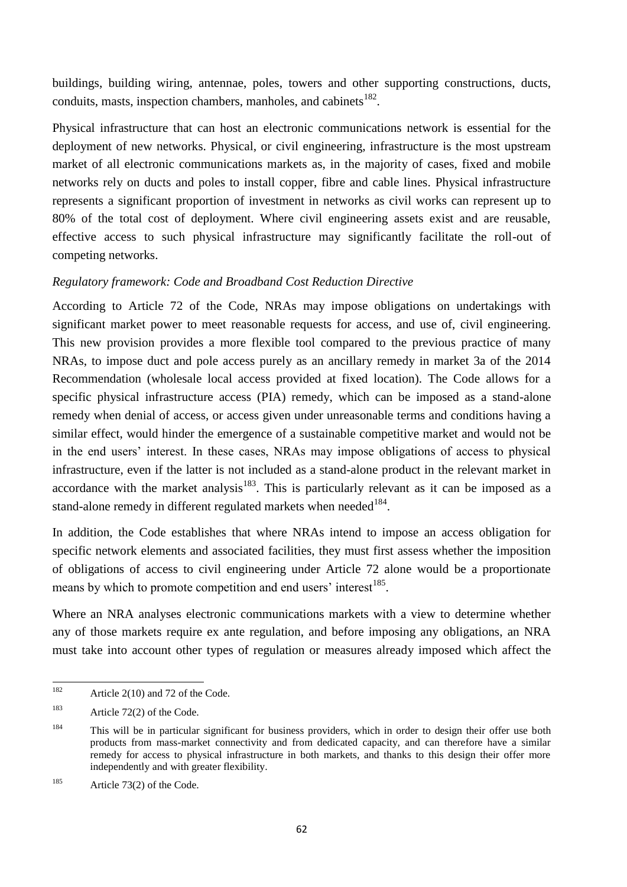buildings, building wiring, antennae, poles, towers and other supporting constructions, ducts, conduits, masts, inspection chambers, manholes, and cabinets $^{182}$ .

Physical infrastructure that can host an electronic communications network is essential for the deployment of new networks. Physical, or civil engineering, infrastructure is the most upstream market of all electronic communications markets as, in the majority of cases, fixed and mobile networks rely on ducts and poles to install copper, fibre and cable lines. Physical infrastructure represents a significant proportion of investment in networks as civil works can represent up to 80% of the total cost of deployment. Where civil engineering assets exist and are reusable, effective access to such physical infrastructure may significantly facilitate the roll-out of competing networks.

## *Regulatory framework: Code and Broadband Cost Reduction Directive*

According to Article 72 of the Code, NRAs may impose obligations on undertakings with significant market power to meet reasonable requests for access, and use of, civil engineering. This new provision provides a more flexible tool compared to the previous practice of many NRAs, to impose duct and pole access purely as an ancillary remedy in market 3a of the 2014 Recommendation (wholesale local access provided at fixed location). The Code allows for a specific physical infrastructure access (PIA) remedy, which can be imposed as a stand-alone remedy when denial of access, or access given under unreasonable terms and conditions having a similar effect, would hinder the emergence of a sustainable competitive market and would not be in the end users' interest. In these cases, NRAs may impose obligations of access to physical infrastructure, even if the latter is not included as a stand-alone product in the relevant market in accordance with the market analysis<sup>183</sup>. This is particularly relevant as it can be imposed as a stand-alone remedy in different regulated markets when needed<sup>184</sup>.

In addition, the Code establishes that where NRAs intend to impose an access obligation for specific network elements and associated facilities, they must first assess whether the imposition of obligations of access to civil engineering under Article 72 alone would be a proportionate means by which to promote competition and end users' interest<sup>185</sup>.

Where an NRA analyses electronic communications markets with a view to determine whether any of those markets require ex ante regulation, and before imposing any obligations, an NRA must take into account other types of regulation or measures already imposed which affect the

<sup>182</sup> Article  $2(10)$  and 72 of the Code.

<sup>183</sup> Article 72(2) of the Code.

<sup>&</sup>lt;sup>184</sup> This will be in particular significant for business providers, which in order to design their offer use both products from mass-market connectivity and from dedicated capacity, and can therefore have a similar remedy for access to physical infrastructure in both markets, and thanks to this design their offer more independently and with greater flexibility.

<sup>185</sup> Article 73(2) of the Code.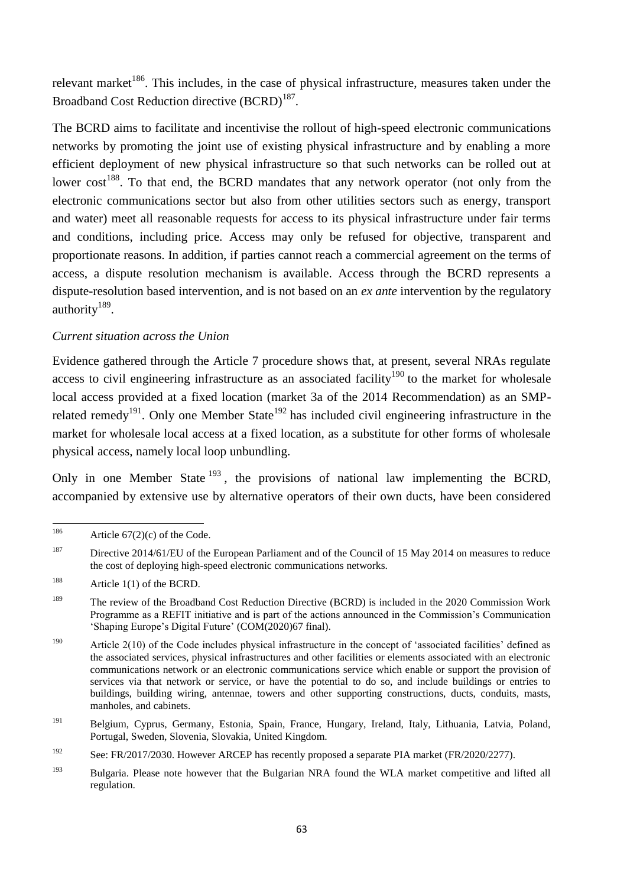relevant market<sup>186</sup>. This includes, in the case of physical infrastructure, measures taken under the Broadband Cost Reduction directive (BCRD)<sup>187</sup>.

The BCRD aims to facilitate and incentivise the rollout of high-speed electronic communications networks by promoting the joint use of existing physical infrastructure and by enabling a more efficient deployment of new physical infrastructure so that such networks can be rolled out at lower cost<sup>188</sup>. To that end, the BCRD mandates that any network operator (not only from the electronic communications sector but also from other utilities sectors such as energy, transport and water) meet all reasonable requests for access to its physical infrastructure under fair terms and conditions, including price. Access may only be refused for objective, transparent and proportionate reasons. In addition, if parties cannot reach a commercial agreement on the terms of access, a dispute resolution mechanism is available. Access through the BCRD represents a dispute-resolution based intervention, and is not based on an *ex ante* intervention by the regulatory authority<sup>189</sup>.

## *Current situation across the Union*

Evidence gathered through the Article 7 procedure shows that, at present, several NRAs regulate access to civil engineering infrastructure as an associated facility<sup>190</sup> to the market for wholesale local access provided at a fixed location (market 3a of the 2014 Recommendation) as an SMPrelated remedy<sup>191</sup>. Only one Member State<sup>192</sup> has included civil engineering infrastructure in the market for wholesale local access at a fixed location, as a substitute for other forms of wholesale physical access, namely local loop unbundling.

Only in one Member State  $^{193}$ , the provisions of national law implementing the BCRD, accompanied by extensive use by alternative operators of their own ducts, have been considered

<sup>186</sup> Article  $67(2)(c)$  of the Code.

<sup>&</sup>lt;sup>187</sup> Directive 2014/61/EU of the European Parliament and of the Council of 15 May 2014 on measures to reduce the cost of deploying high-speed electronic communications networks.

<sup>&</sup>lt;sup>188</sup> Article 1(1) of the BCRD.

<sup>&</sup>lt;sup>189</sup> The review of the Broadband Cost Reduction Directive (BCRD) is included in the 2020 Commission Work Programme as a REFIT initiative and is part of the actions announced in the Commission's Communication 'Shaping Europe's Digital Future' (COM(2020)67 final).

<sup>&</sup>lt;sup>190</sup> Article 2(10) of the Code includes physical infrastructure in the concept of 'associated facilities' defined as the associated services, physical infrastructures and other facilities or elements associated with an electronic communications network or an electronic communications service which enable or support the provision of services via that network or service, or have the potential to do so, and include buildings or entries to buildings, building wiring, antennae, towers and other supporting constructions, ducts, conduits, masts, manholes, and cabinets.

<sup>191</sup> Belgium, Cyprus, Germany, Estonia, Spain, France, Hungary, Ireland, Italy, Lithuania, Latvia, Poland, Portugal, Sweden, Slovenia, Slovakia, United Kingdom.

<sup>&</sup>lt;sup>192</sup> See: FR/2017/2030. However ARCEP has recently proposed a separate PIA market (FR/2020/2277).

<sup>&</sup>lt;sup>193</sup> Bulgaria. Please note however that the Bulgarian NRA found the WLA market competitive and lifted all regulation.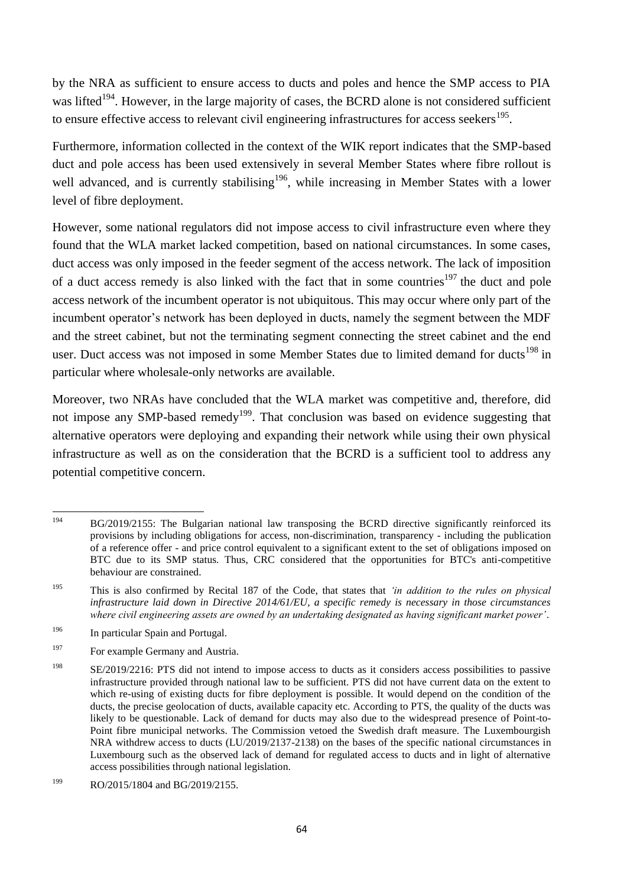by the NRA as sufficient to ensure access to ducts and poles and hence the SMP access to PIA was lifted<sup>194</sup>. However, in the large majority of cases, the BCRD alone is not considered sufficient to ensure effective access to relevant civil engineering infrastructures for access seekers<sup>195</sup>.

Furthermore, information collected in the context of the WIK report indicates that the SMP-based duct and pole access has been used extensively in several Member States where fibre rollout is well advanced, and is currently stabilising<sup>196</sup>, while increasing in Member States with a lower level of fibre deployment.

However, some national regulators did not impose access to civil infrastructure even where they found that the WLA market lacked competition, based on national circumstances. In some cases, duct access was only imposed in the feeder segment of the access network. The lack of imposition of a duct access remedy is also linked with the fact that in some countries<sup>197</sup> the duct and pole access network of the incumbent operator is not ubiquitous. This may occur where only part of the incumbent operator's network has been deployed in ducts, namely the segment between the MDF and the street cabinet, but not the terminating segment connecting the street cabinet and the end user. Duct access was not imposed in some Member States due to limited demand for ducts<sup>198</sup> in particular where wholesale-only networks are available.

Moreover, two NRAs have concluded that the WLA market was competitive and, therefore, did not impose any SMP-based remedy<sup>199</sup>. That conclusion was based on evidence suggesting that alternative operators were deploying and expanding their network while using their own physical infrastructure as well as on the consideration that the BCRD is a sufficient tool to address any potential competitive concern.

<sup>194</sup> <sup>194</sup> BG/2019/2155: The Bulgarian national law transposing the BCRD directive significantly reinforced its provisions by including obligations for access, non-discrimination, transparency - including the publication of a reference offer - and price control equivalent to a significant extent to the set of obligations imposed on BTC due to its SMP status. Thus, CRC considered that the opportunities for BTC's anti-competitive behaviour are constrained.

<sup>195</sup> This is also confirmed by Recital 187 of the Code, that states that *'in addition to the rules on physical infrastructure laid down in Directive 2014/61/EU, a specific remedy is necessary in those circumstances where civil engineering assets are owned by an undertaking designated as having significant market power'*.

<sup>&</sup>lt;sup>196</sup> In particular Spain and Portugal.

<sup>&</sup>lt;sup>197</sup> For example Germany and Austria.

<sup>&</sup>lt;sup>198</sup> SE/2019/2216: PTS did not intend to impose access to ducts as it considers access possibilities to passive infrastructure provided through national law to be sufficient. PTS did not have current data on the extent to which re-using of existing ducts for fibre deployment is possible. It would depend on the condition of the ducts, the precise geolocation of ducts, available capacity etc. According to PTS, the quality of the ducts was likely to be questionable. Lack of demand for ducts may also due to the widespread presence of Point-to-Point fibre municipal networks. The Commission vetoed the Swedish draft measure. The Luxembourgish NRA withdrew access to ducts (LU/2019/2137-2138) on the bases of the specific national circumstances in Luxembourg such as the observed lack of demand for regulated access to ducts and in light of alternative access possibilities through national legislation.

<sup>&</sup>lt;sup>199</sup> RO/2015/1804 and BG/2019/2155.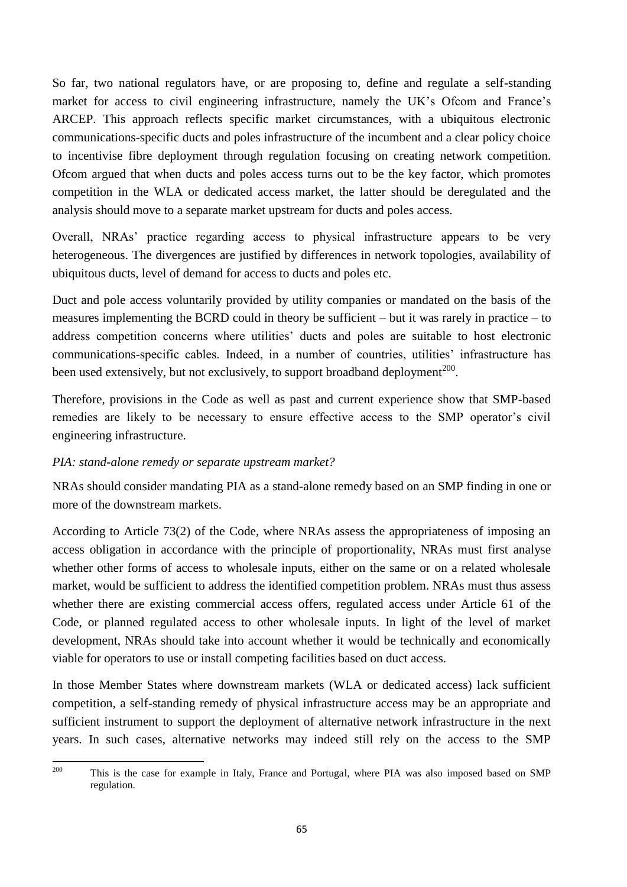So far, two national regulators have, or are proposing to, define and regulate a self-standing market for access to civil engineering infrastructure, namely the UK's Ofcom and France's ARCEP. This approach reflects specific market circumstances, with a ubiquitous electronic communications-specific ducts and poles infrastructure of the incumbent and a clear policy choice to incentivise fibre deployment through regulation focusing on creating network competition. Ofcom argued that when ducts and poles access turns out to be the key factor, which promotes competition in the WLA or dedicated access market, the latter should be deregulated and the analysis should move to a separate market upstream for ducts and poles access.

Overall, NRAs' practice regarding access to physical infrastructure appears to be very heterogeneous. The divergences are justified by differences in network topologies, availability of ubiquitous ducts, level of demand for access to ducts and poles etc.

Duct and pole access voluntarily provided by utility companies or mandated on the basis of the measures implementing the BCRD could in theory be sufficient – but it was rarely in practice – to address competition concerns where utilities' ducts and poles are suitable to host electronic communications-specific cables. Indeed, in a number of countries, utilities' infrastructure has been used extensively, but not exclusively, to support broadband deployment<sup>200</sup>.

Therefore, provisions in the Code as well as past and current experience show that SMP-based remedies are likely to be necessary to ensure effective access to the SMP operator's civil engineering infrastructure.

# *PIA: stand-alone remedy or separate upstream market?*

NRAs should consider mandating PIA as a stand-alone remedy based on an SMP finding in one or more of the downstream markets.

According to Article 73(2) of the Code, where NRAs assess the appropriateness of imposing an access obligation in accordance with the principle of proportionality, NRAs must first analyse whether other forms of access to wholesale inputs, either on the same or on a related wholesale market, would be sufficient to address the identified competition problem. NRAs must thus assess whether there are existing commercial access offers, regulated access under Article 61 of the Code, or planned regulated access to other wholesale inputs. In light of the level of market development, NRAs should take into account whether it would be technically and economically viable for operators to use or install competing facilities based on duct access.

In those Member States where downstream markets (WLA or dedicated access) lack sufficient competition, a self-standing remedy of physical infrastructure access may be an appropriate and sufficient instrument to support the deployment of alternative network infrastructure in the next years. In such cases, alternative networks may indeed still rely on the access to the SMP

<sup>200</sup> This is the case for example in Italy, France and Portugal, where PIA was also imposed based on SMP regulation.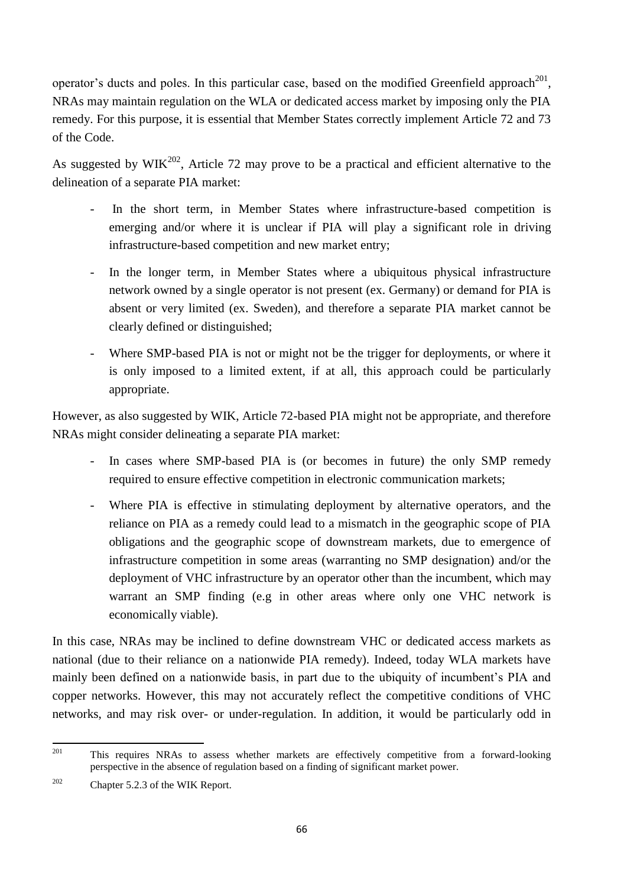operator's ducts and poles. In this particular case, based on the modified Greenfield approach<sup>201</sup>, NRAs may maintain regulation on the WLA or dedicated access market by imposing only the PIA remedy. For this purpose, it is essential that Member States correctly implement Article 72 and 73 of the Code.

As suggested by  $WIK^{202}$ , Article 72 may prove to be a practical and efficient alternative to the delineation of a separate PIA market:

- In the short term, in Member States where infrastructure-based competition is emerging and/or where it is unclear if PIA will play a significant role in driving infrastructure-based competition and new market entry;
- In the longer term, in Member States where a ubiquitous physical infrastructure network owned by a single operator is not present (ex. Germany) or demand for PIA is absent or very limited (ex. Sweden), and therefore a separate PIA market cannot be clearly defined or distinguished;
- Where SMP-based PIA is not or might not be the trigger for deployments, or where it is only imposed to a limited extent, if at all, this approach could be particularly appropriate.

However, as also suggested by WIK, Article 72-based PIA might not be appropriate, and therefore NRAs might consider delineating a separate PIA market:

- In cases where SMP-based PIA is (or becomes in future) the only SMP remedy required to ensure effective competition in electronic communication markets;
- Where PIA is effective in stimulating deployment by alternative operators, and the reliance on PIA as a remedy could lead to a mismatch in the geographic scope of PIA obligations and the geographic scope of downstream markets, due to emergence of infrastructure competition in some areas (warranting no SMP designation) and/or the deployment of VHC infrastructure by an operator other than the incumbent, which may warrant an SMP finding (e.g in other areas where only one VHC network is economically viable).

In this case, NRAs may be inclined to define downstream VHC or dedicated access markets as national (due to their reliance on a nationwide PIA remedy). Indeed, today WLA markets have mainly been defined on a nationwide basis, in part due to the ubiquity of incumbent's PIA and copper networks. However, this may not accurately reflect the competitive conditions of VHC networks, and may risk over- or under-regulation. In addition, it would be particularly odd in

<sup>201</sup> This requires NRAs to assess whether markets are effectively competitive from a forward-looking perspective in the absence of regulation based on a finding of significant market power.

<sup>&</sup>lt;sup>202</sup> Chapter 5.2.3 of the WIK Report.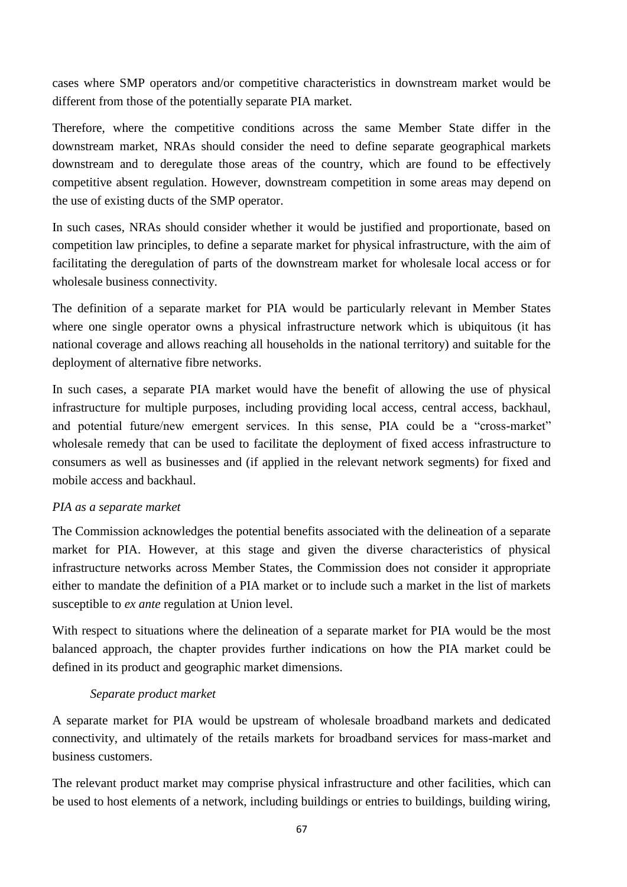cases where SMP operators and/or competitive characteristics in downstream market would be different from those of the potentially separate PIA market.

Therefore, where the competitive conditions across the same Member State differ in the downstream market, NRAs should consider the need to define separate geographical markets downstream and to deregulate those areas of the country, which are found to be effectively competitive absent regulation. However, downstream competition in some areas may depend on the use of existing ducts of the SMP operator.

In such cases, NRAs should consider whether it would be justified and proportionate, based on competition law principles, to define a separate market for physical infrastructure, with the aim of facilitating the deregulation of parts of the downstream market for wholesale local access or for wholesale business connectivity.

The definition of a separate market for PIA would be particularly relevant in Member States where one single operator owns a physical infrastructure network which is ubiquitous (it has national coverage and allows reaching all households in the national territory) and suitable for the deployment of alternative fibre networks.

In such cases, a separate PIA market would have the benefit of allowing the use of physical infrastructure for multiple purposes, including providing local access, central access, backhaul, and potential future/new emergent services. In this sense, PIA could be a "cross-market" wholesale remedy that can be used to facilitate the deployment of fixed access infrastructure to consumers as well as businesses and (if applied in the relevant network segments) for fixed and mobile access and backhaul.

## *PIA as a separate market*

The Commission acknowledges the potential benefits associated with the delineation of a separate market for PIA. However, at this stage and given the diverse characteristics of physical infrastructure networks across Member States, the Commission does not consider it appropriate either to mandate the definition of a PIA market or to include such a market in the list of markets susceptible to *ex ante* regulation at Union level.

With respect to situations where the delineation of a separate market for PIA would be the most balanced approach, the chapter provides further indications on how the PIA market could be defined in its product and geographic market dimensions.

## *Separate product market*

A separate market for PIA would be upstream of wholesale broadband markets and dedicated connectivity, and ultimately of the retails markets for broadband services for mass-market and business customers.

The relevant product market may comprise physical infrastructure and other facilities, which can be used to host elements of a network, including buildings or entries to buildings, building wiring,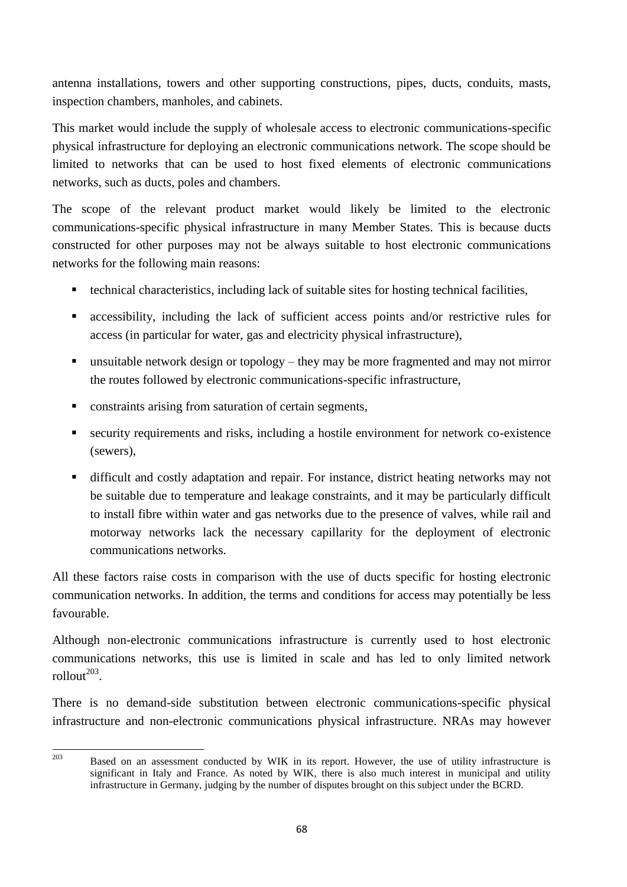antenna installations, towers and other supporting constructions, pipes, ducts, conduits, masts, inspection chambers, manholes, and cabinets.

This market would include the supply of wholesale access to electronic communications-specific physical infrastructure for deploying an electronic communications network. The scope should be limited to networks that can be used to host fixed elements of electronic communications networks, such as ducts, poles and chambers.

The scope of the relevant product market would likely be limited to the electronic communications-specific physical infrastructure in many Member States. This is because ducts constructed for other purposes may not be always suitable to host electronic communications networks for the following main reasons:

- technical characteristics, including lack of suitable sites for hosting technical facilities,
- accessibility, including the lack of sufficient access points and/or restrictive rules for access (in particular for water, gas and electricity physical infrastructure),
- **unsuitable network design or topology** they may be more fragmented and may not mirror the routes followed by electronic communications-specific infrastructure,
- constraints arising from saturation of certain segments,
- security requirements and risks, including a hostile environment for network co-existence (sewers),
- difficult and costly adaptation and repair. For instance, district heating networks may not be suitable due to temperature and leakage constraints, and it may be particularly difficult to install fibre within water and gas networks due to the presence of valves, while rail and motorway networks lack the necessary capillarity for the deployment of electronic communications networks.

All these factors raise costs in comparison with the use of ducts specific for hosting electronic communication networks. In addition, the terms and conditions for access may potentially be less favourable.

Although non-electronic communications infrastructure is currently used to host electronic communications networks, this use is limited in scale and has led to only limited network  $rollout<sup>203</sup>$ .

There is no demand-side substitution between electronic communications-specific physical infrastructure and non-electronic communications physical infrastructure. NRAs may however

<sup>203</sup> Based on an assessment conducted by WIK in its report. However, the use of utility infrastructure is significant in Italy and France. As noted by WIK, there is also much interest in municipal and utility infrastructure in Germany, judging by the number of disputes brought on this subject under the BCRD.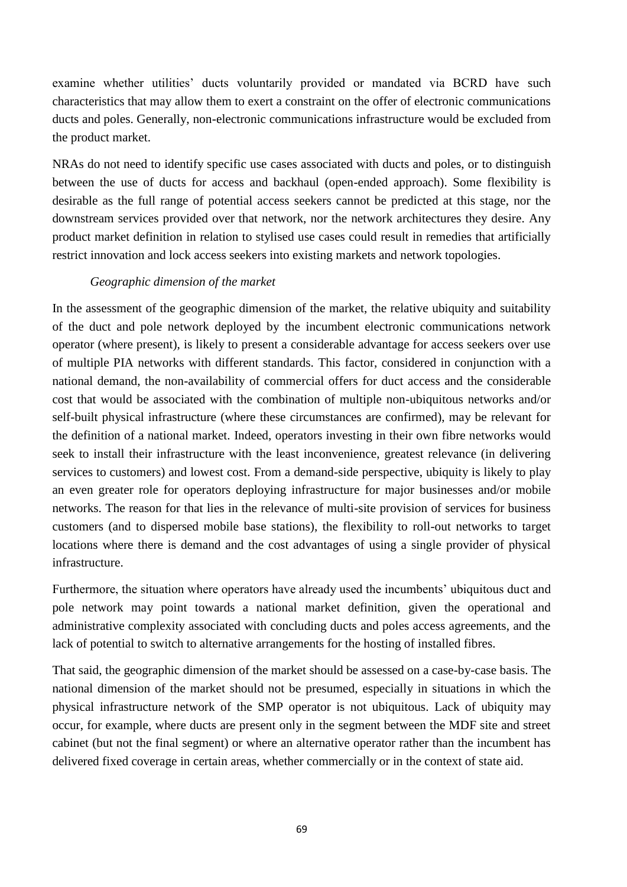examine whether utilities' ducts voluntarily provided or mandated via BCRD have such characteristics that may allow them to exert a constraint on the offer of electronic communications ducts and poles. Generally, non-electronic communications infrastructure would be excluded from the product market.

NRAs do not need to identify specific use cases associated with ducts and poles, or to distinguish between the use of ducts for access and backhaul (open-ended approach). Some flexibility is desirable as the full range of potential access seekers cannot be predicted at this stage, nor the downstream services provided over that network, nor the network architectures they desire. Any product market definition in relation to stylised use cases could result in remedies that artificially restrict innovation and lock access seekers into existing markets and network topologies.

## *Geographic dimension of the market*

In the assessment of the geographic dimension of the market, the relative ubiquity and suitability of the duct and pole network deployed by the incumbent electronic communications network operator (where present), is likely to present a considerable advantage for access seekers over use of multiple PIA networks with different standards. This factor, considered in conjunction with a national demand, the non-availability of commercial offers for duct access and the considerable cost that would be associated with the combination of multiple non-ubiquitous networks and/or self-built physical infrastructure (where these circumstances are confirmed), may be relevant for the definition of a national market. Indeed, operators investing in their own fibre networks would seek to install their infrastructure with the least inconvenience, greatest relevance (in delivering services to customers) and lowest cost. From a demand-side perspective, ubiquity is likely to play an even greater role for operators deploying infrastructure for major businesses and/or mobile networks. The reason for that lies in the relevance of multi-site provision of services for business customers (and to dispersed mobile base stations), the flexibility to roll-out networks to target locations where there is demand and the cost advantages of using a single provider of physical infrastructure.

Furthermore, the situation where operators have already used the incumbents' ubiquitous duct and pole network may point towards a national market definition, given the operational and administrative complexity associated with concluding ducts and poles access agreements, and the lack of potential to switch to alternative arrangements for the hosting of installed fibres.

That said, the geographic dimension of the market should be assessed on a case-by-case basis. The national dimension of the market should not be presumed, especially in situations in which the physical infrastructure network of the SMP operator is not ubiquitous. Lack of ubiquity may occur, for example, where ducts are present only in the segment between the MDF site and street cabinet (but not the final segment) or where an alternative operator rather than the incumbent has delivered fixed coverage in certain areas, whether commercially or in the context of state aid.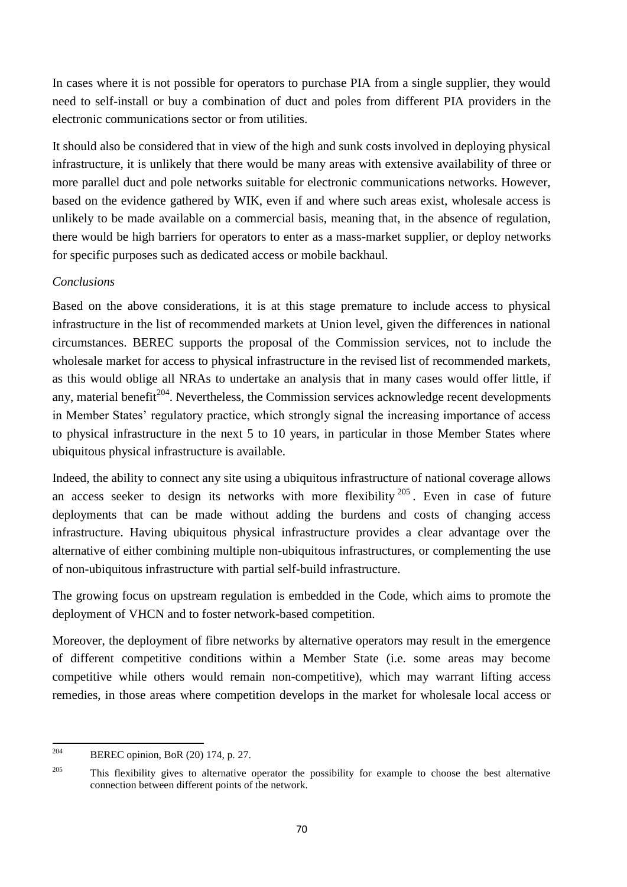In cases where it is not possible for operators to purchase PIA from a single supplier, they would need to self-install or buy a combination of duct and poles from different PIA providers in the electronic communications sector or from utilities.

It should also be considered that in view of the high and sunk costs involved in deploying physical infrastructure, it is unlikely that there would be many areas with extensive availability of three or more parallel duct and pole networks suitable for electronic communications networks. However, based on the evidence gathered by WIK, even if and where such areas exist, wholesale access is unlikely to be made available on a commercial basis, meaning that, in the absence of regulation, there would be high barriers for operators to enter as a mass-market supplier, or deploy networks for specific purposes such as dedicated access or mobile backhaul.

# *Conclusions*

Based on the above considerations, it is at this stage premature to include access to physical infrastructure in the list of recommended markets at Union level, given the differences in national circumstances. BEREC supports the proposal of the Commission services, not to include the wholesale market for access to physical infrastructure in the revised list of recommended markets, as this would oblige all NRAs to undertake an analysis that in many cases would offer little, if any, material benefit<sup>204</sup>. Nevertheless, the Commission services acknowledge recent developments in Member States' regulatory practice, which strongly signal the increasing importance of access to physical infrastructure in the next 5 to 10 years, in particular in those Member States where ubiquitous physical infrastructure is available.

Indeed, the ability to connect any site using a ubiquitous infrastructure of national coverage allows an access seeker to design its networks with more flexibility  $205$ . Even in case of future deployments that can be made without adding the burdens and costs of changing access infrastructure. Having ubiquitous physical infrastructure provides a clear advantage over the alternative of either combining multiple non-ubiquitous infrastructures, or complementing the use of non-ubiquitous infrastructure with partial self-build infrastructure.

The growing focus on upstream regulation is embedded in the Code, which aims to promote the deployment of VHCN and to foster network-based competition.

Moreover, the deployment of fibre networks by alternative operators may result in the emergence of different competitive conditions within a Member State (i.e. some areas may become competitive while others would remain non-competitive), which may warrant lifting access remedies, in those areas where competition develops in the market for wholesale local access or

<sup>204</sup> BEREC opinion, BoR (20) 174, p. 27.

<sup>&</sup>lt;sup>205</sup> This flexibility gives to alternative operator the possibility for example to choose the best alternative connection between different points of the network.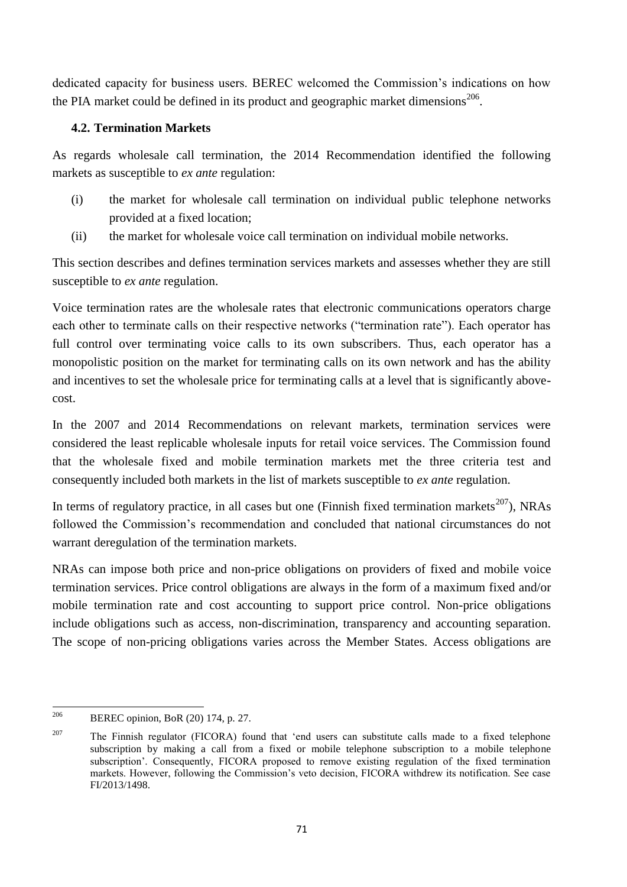dedicated capacity for business users. BEREC welcomed the Commission's indications on how the PIA market could be defined in its product and geographic market dimensions $^{206}$ .

# **4.2. Termination Markets**

As regards wholesale call termination, the 2014 Recommendation identified the following markets as susceptible to *ex ante* regulation:

- (i) the market for wholesale call termination on individual public telephone networks provided at a fixed location;
- (ii) the market for wholesale voice call termination on individual mobile networks.

This section describes and defines termination services markets and assesses whether they are still susceptible to *ex ante* regulation.

Voice termination rates are the wholesale rates that electronic communications operators charge each other to terminate calls on their respective networks ("termination rate"). Each operator has full control over terminating voice calls to its own subscribers. Thus, each operator has a monopolistic position on the market for terminating calls on its own network and has the ability and incentives to set the wholesale price for terminating calls at a level that is significantly abovecost.

In the 2007 and 2014 Recommendations on relevant markets, termination services were considered the least replicable wholesale inputs for retail voice services. The Commission found that the wholesale fixed and mobile termination markets met the three criteria test and consequently included both markets in the list of markets susceptible to *ex ante* regulation.

In terms of regulatory practice, in all cases but one (Finnish fixed termination markets $^{207}$ ), NRAs followed the Commission's recommendation and concluded that national circumstances do not warrant deregulation of the termination markets.

NRAs can impose both price and non-price obligations on providers of fixed and mobile voice termination services. Price control obligations are always in the form of a maximum fixed and/or mobile termination rate and cost accounting to support price control. Non-price obligations include obligations such as access, non-discrimination, transparency and accounting separation. The scope of non-pricing obligations varies across the Member States. Access obligations are

<sup>206</sup> BEREC opinion, BoR (20) 174, p. 27.

<sup>&</sup>lt;sup>207</sup> The Finnish regulator (FICORA) found that 'end users can substitute calls made to a fixed telephone subscription by making a call from a fixed or mobile telephone subscription to a mobile telephone subscription'. Consequently, FICORA proposed to remove existing regulation of the fixed termination markets. However, following the Commission's veto decision, FICORA withdrew its notification. See case FI/2013/1498.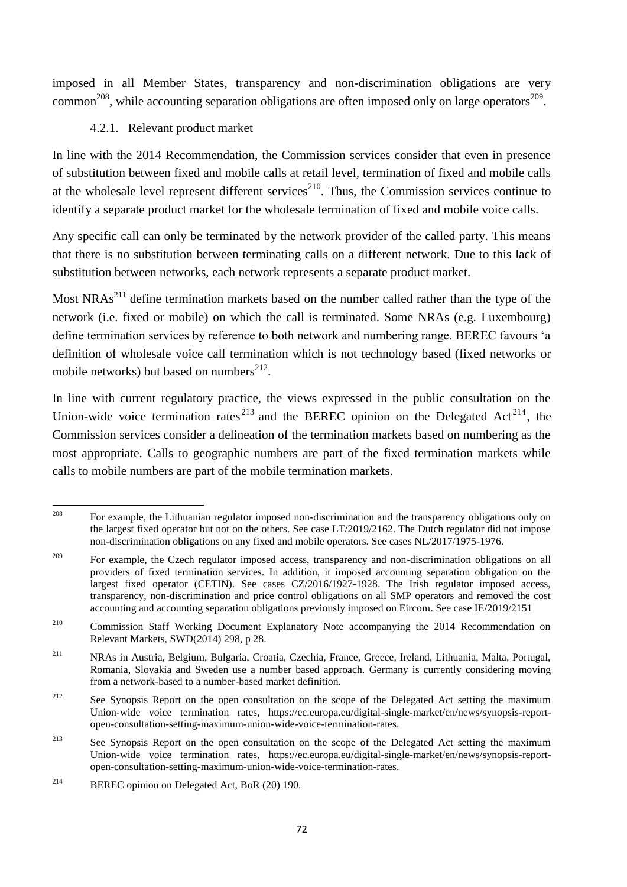imposed in all Member States, transparency and non-discrimination obligations are very common<sup>208</sup>, while accounting separation obligations are often imposed only on large operators<sup>209</sup>.

## 4.2.1. Relevant product market

In line with the 2014 Recommendation, the Commission services consider that even in presence of substitution between fixed and mobile calls at retail level, termination of fixed and mobile calls at the wholesale level represent different services<sup>210</sup>. Thus, the Commission services continue to identify a separate product market for the wholesale termination of fixed and mobile voice calls.

Any specific call can only be terminated by the network provider of the called party. This means that there is no substitution between terminating calls on a different network. Due to this lack of substitution between networks, each network represents a separate product market.

Most  $NRAs<sup>211</sup>$  define termination markets based on the number called rather than the type of the network (i.e. fixed or mobile) on which the call is terminated. Some NRAs (e.g. Luxembourg) define termination services by reference to both network and numbering range. BEREC favours 'a definition of wholesale voice call termination which is not technology based (fixed networks or mobile networks) but based on numbers<sup>212</sup>.

In line with current regulatory practice, the views expressed in the public consultation on the Union-wide voice termination rates  $2^{13}$  and the BEREC opinion on the Delegated Act  $2^{14}$ , the Commission services consider a delineation of the termination markets based on numbering as the most appropriate. Calls to geographic numbers are part of the fixed termination markets while calls to mobile numbers are part of the mobile termination markets.

<sup>208</sup> <sup>208</sup> For example, the Lithuanian regulator imposed non-discrimination and the transparency obligations only on the largest fixed operator but not on the others. See case LT/2019/2162. The Dutch regulator did not impose non-discrimination obligations on any fixed and mobile operators. See cases NL/2017/1975-1976.

<sup>&</sup>lt;sup>209</sup> For example, the Czech regulator imposed access, transparency and non-discrimination obligations on all providers of fixed termination services. In addition, it imposed accounting separation obligation on the largest fixed operator (CETIN). See cases CZ/2016/1927-1928. The Irish regulator imposed access, transparency, non-discrimination and price control obligations on all SMP operators and removed the cost accounting and accounting separation obligations previously imposed on Eircom. See case IE/2019/2151

<sup>&</sup>lt;sup>210</sup> Commission Staff Working Document Explanatory Note accompanying the 2014 Recommendation on Relevant Markets, SWD(2014) 298, p 28.

<sup>211</sup> NRAs in Austria, Belgium, Bulgaria, Croatia, Czechia, France, Greece, Ireland, Lithuania, Malta, Portugal, Romania, Slovakia and Sweden use a number based approach. Germany is currently considering moving from a network-based to a number-based market definition.

<sup>&</sup>lt;sup>212</sup> See Synopsis Report on the open consultation on the scope of the Delegated Act setting the maximum Union-wide voice termination rates, https://ec.europa.eu/digital-single-market/en/news/synopsis-reportopen-consultation-setting-maximum-union-wide-voice-termination-rates.

<sup>&</sup>lt;sup>213</sup> See Synopsis Report on the open consultation on the scope of the Delegated Act setting the maximum Union-wide voice termination rates, https://ec.europa.eu/digital-single-market/en/news/synopsis-reportopen-consultation-setting-maximum-union-wide-voice-termination-rates.

<sup>&</sup>lt;sup>214</sup> BEREC opinion on Delegated Act, BoR (20) 190.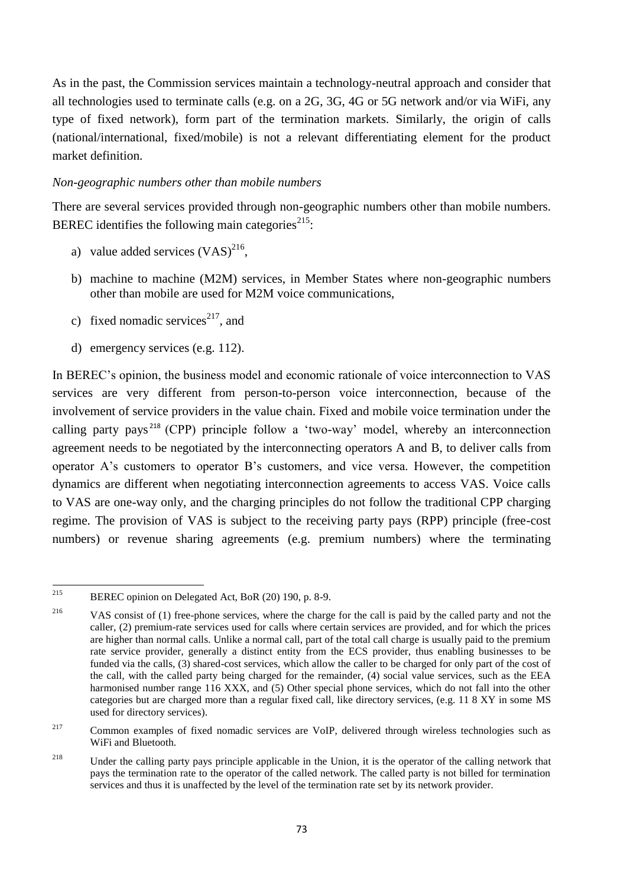As in the past, the Commission services maintain a technology-neutral approach and consider that all technologies used to terminate calls (e.g. on a 2G, 3G, 4G or 5G network and/or via WiFi, any type of fixed network), form part of the termination markets. Similarly, the origin of calls (national/international, fixed/mobile) is not a relevant differentiating element for the product market definition.

### *Non-geographic numbers other than mobile numbers*

There are several services provided through non-geographic numbers other than mobile numbers. BEREC identifies the following main categories $^{215}$ :

- a) value added services  $(VAS)^{216}$ ,
- b) machine to machine (M2M) services, in Member States where non-geographic numbers other than mobile are used for M2M voice communications,
- c) fixed nomadic services<sup>217</sup>, and
- d) emergency services (e.g. 112).

In BEREC's opinion, the business model and economic rationale of voice interconnection to VAS services are very different from person-to-person voice interconnection, because of the involvement of service providers in the value chain. Fixed and mobile voice termination under the calling party pays <sup>218</sup> (CPP) principle follow a 'two-way' model, whereby an interconnection agreement needs to be negotiated by the interconnecting operators A and B, to deliver calls from operator A's customers to operator B's customers, and vice versa. However, the competition dynamics are different when negotiating interconnection agreements to access VAS. Voice calls to VAS are one-way only, and the charging principles do not follow the traditional CPP charging regime. The provision of VAS is subject to the receiving party pays (RPP) principle (free-cost numbers) or revenue sharing agreements (e.g. premium numbers) where the terminating

<sup>215</sup> BEREC opinion on Delegated Act, BoR (20) 190, p. 8-9.

<sup>&</sup>lt;sup>216</sup> VAS consist of (1) free-phone services, where the charge for the call is paid by the called party and not the caller, (2) premium-rate services used for calls where certain services are provided, and for which the prices are higher than normal calls. Unlike a normal call, part of the total call charge is usually paid to the premium rate service provider, generally a distinct entity from the ECS provider, thus enabling businesses to be funded via the calls, (3) shared-cost services, which allow the caller to be charged for only part of the cost of the call, with the called party being charged for the remainder, (4) social value services, such as the EEA harmonised number range 116 XXX, and (5) Other special phone services, which do not fall into the other categories but are charged more than a regular fixed call, like directory services, (e.g. 11 8 XY in some MS used for directory services).

<sup>&</sup>lt;sup>217</sup> Common examples of fixed nomadic services are VoIP, delivered through wireless technologies such as WiFi and Bluetooth.

<sup>&</sup>lt;sup>218</sup> Under the calling party pays principle applicable in the Union, it is the operator of the calling network that pays the termination rate to the operator of the called network. The called party is not billed for termination services and thus it is unaffected by the level of the termination rate set by its network provider.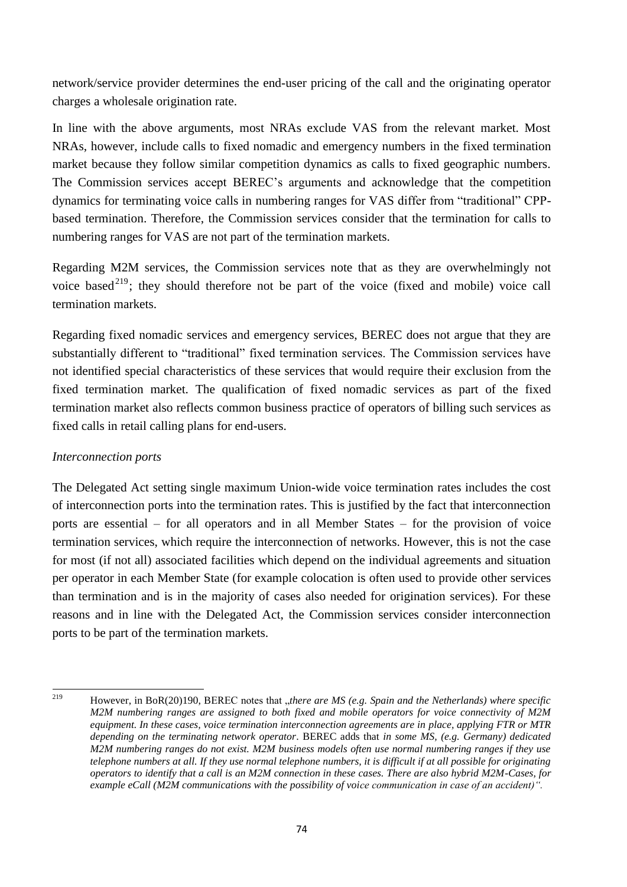network/service provider determines the end-user pricing of the call and the originating operator charges a wholesale origination rate.

In line with the above arguments, most NRAs exclude VAS from the relevant market. Most NRAs, however, include calls to fixed nomadic and emergency numbers in the fixed termination market because they follow similar competition dynamics as calls to fixed geographic numbers. The Commission services accept BEREC's arguments and acknowledge that the competition dynamics for terminating voice calls in numbering ranges for VAS differ from "traditional" CPPbased termination. Therefore, the Commission services consider that the termination for calls to numbering ranges for VAS are not part of the termination markets.

Regarding M2M services, the Commission services note that as they are overwhelmingly not voice based<sup>219</sup>; they should therefore not be part of the voice (fixed and mobile) voice call termination markets.

Regarding fixed nomadic services and emergency services, BEREC does not argue that they are substantially different to "traditional" fixed termination services. The Commission services have not identified special characteristics of these services that would require their exclusion from the fixed termination market. The qualification of fixed nomadic services as part of the fixed termination market also reflects common business practice of operators of billing such services as fixed calls in retail calling plans for end-users.

## *Interconnection ports*

The Delegated Act setting single maximum Union-wide voice termination rates includes the cost of interconnection ports into the termination rates. This is justified by the fact that interconnection ports are essential – for all operators and in all Member States – for the provision of voice termination services, which require the interconnection of networks. However, this is not the case for most (if not all) associated facilities which depend on the individual agreements and situation per operator in each Member State (for example colocation is often used to provide other services than termination and is in the majority of cases also needed for origination services). For these reasons and in line with the Delegated Act, the Commission services consider interconnection ports to be part of the termination markets.

<sup>219</sup> 

<sup>219</sup> However, in BoR(20)190, BEREC notes that "*there are MS (e.g. Spain and the Netherlands) where specific M2M numbering ranges are assigned to both fixed and mobile operators for voice connectivity of M2M equipment. In these cases, voice termination interconnection agreements are in place, applying FTR or MTR depending on the terminating network operator*. BEREC adds that *in some MS, (e.g. Germany) dedicated M2M numbering ranges do not exist. M2M business models often use normal numbering ranges if they use telephone numbers at all. If they use normal telephone numbers, it is difficult if at all possible for originating operators to identify that a call is an M2M connection in these cases. There are also hybrid M2M-Cases, for example eCall (M2M communications with the possibility of voice communication in case of an accident)".*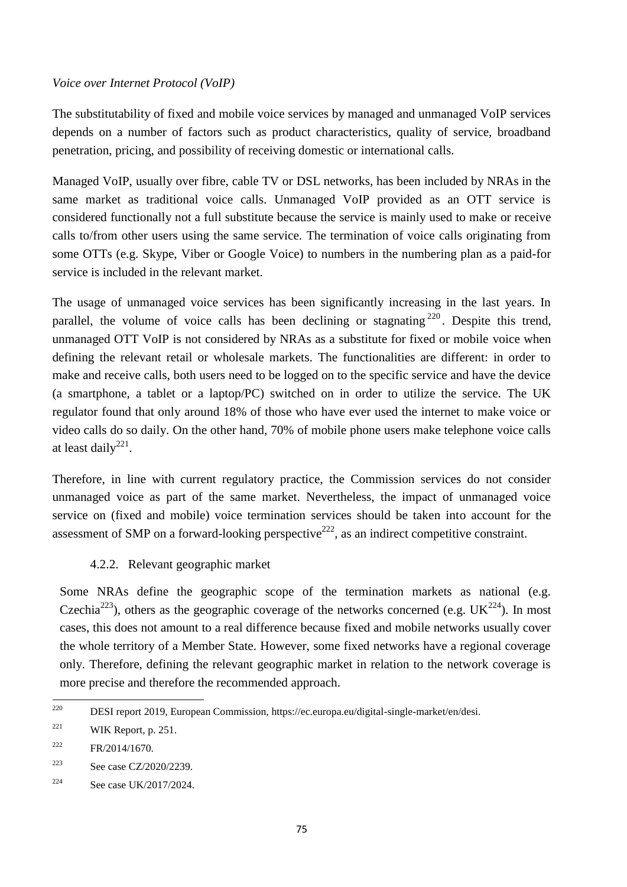### *Voice over Internet Protocol (VoIP)*

The substitutability of fixed and mobile voice services by managed and unmanaged VoIP services depends on a number of factors such as product characteristics, quality of service, broadband penetration, pricing, and possibility of receiving domestic or international calls.

Managed VoIP, usually over fibre, cable TV or DSL networks, has been included by NRAs in the same market as traditional voice calls. Unmanaged VoIP provided as an OTT service is considered functionally not a full substitute because the service is mainly used to make or receive calls to/from other users using the same service. The termination of voice calls originating from some OTTs (e.g. Skype, Viber or Google Voice) to numbers in the numbering plan as a paid-for service is included in the relevant market.

The usage of unmanaged voice services has been significantly increasing in the last years. In parallel, the volume of voice calls has been declining or stagnating <sup>220</sup>. Despite this trend, unmanaged OTT VoIP is not considered by NRAs as a substitute for fixed or mobile voice when defining the relevant retail or wholesale markets. The functionalities are different: in order to make and receive calls, both users need to be logged on to the specific service and have the device (a smartphone, a tablet or a laptop/PC) switched on in order to utilize the service. The UK regulator found that only around 18% of those who have ever used the internet to make voice or video calls do so daily. On the other hand, 70% of mobile phone users make telephone voice calls at least daily<sup>221</sup>.

Therefore, in line with current regulatory practice, the Commission services do not consider unmanaged voice as part of the same market. Nevertheless, the impact of unmanaged voice service on (fixed and mobile) voice termination services should be taken into account for the assessment of SMP on a forward-looking perspective<sup>222</sup>, as an indirect competitive constraint.

### 4.2.2. Relevant geographic market

Some NRAs define the geographic scope of the termination markets as national (e.g. Czechia<sup>223</sup>), others as the geographic coverage of the networks concerned (e.g.  $UK^{224}$ ). In most cases, this does not amount to a real difference because fixed and mobile networks usually cover the whole territory of a Member State. However, some fixed networks have a regional coverage only. Therefore, defining the relevant geographic market in relation to the network coverage is more precise and therefore the recommended approach.

<sup>220</sup> <sup>220</sup> DESI report 2019, European Commission, https://ec.europa.eu/digital-single-market/en/desi.

<sup>&</sup>lt;sup>221</sup> WIK Report, p. 251.

 $P_{\rm R}/2014/1670$ .

<sup>223</sup> See case CZ/2020/2239.

 $224$  See case UK/2017/2024.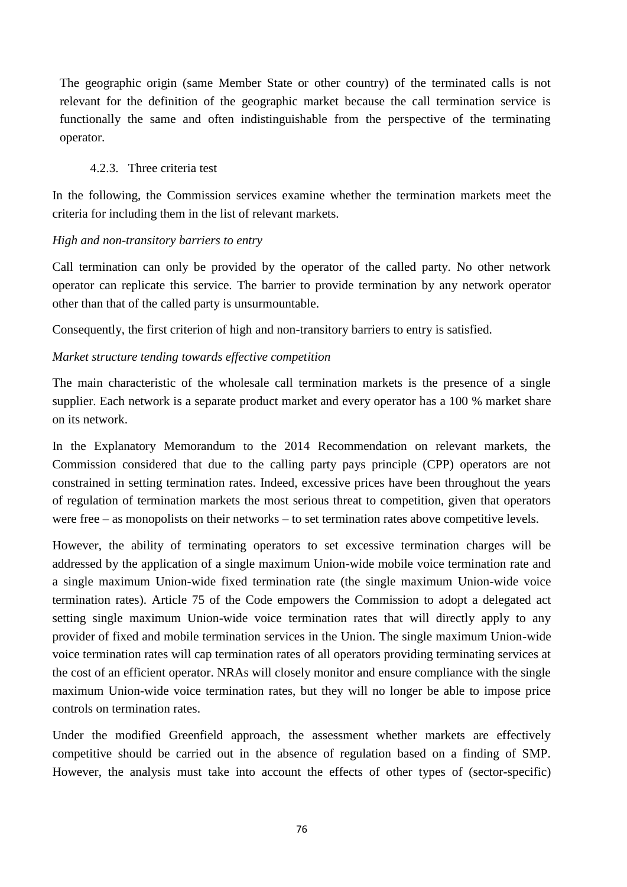The geographic origin (same Member State or other country) of the terminated calls is not relevant for the definition of the geographic market because the call termination service is functionally the same and often indistinguishable from the perspective of the terminating operator.

## 4.2.3. Three criteria test

In the following, the Commission services examine whether the termination markets meet the criteria for including them in the list of relevant markets.

## *High and non-transitory barriers to entry*

Call termination can only be provided by the operator of the called party. No other network operator can replicate this service. The barrier to provide termination by any network operator other than that of the called party is unsurmountable.

Consequently, the first criterion of high and non-transitory barriers to entry is satisfied.

### *Market structure tending towards effective competition*

The main characteristic of the wholesale call termination markets is the presence of a single supplier. Each network is a separate product market and every operator has a 100 % market share on its network.

In the Explanatory Memorandum to the 2014 Recommendation on relevant markets, the Commission considered that due to the calling party pays principle (CPP) operators are not constrained in setting termination rates. Indeed, excessive prices have been throughout the years of regulation of termination markets the most serious threat to competition, given that operators were free – as monopolists on their networks – to set termination rates above competitive levels.

However, the ability of terminating operators to set excessive termination charges will be addressed by the application of a single maximum Union-wide mobile voice termination rate and a single maximum Union-wide fixed termination rate (the single maximum Union-wide voice termination rates). Article 75 of the Code empowers the Commission to adopt a delegated act setting single maximum Union-wide voice termination rates that will directly apply to any provider of fixed and mobile termination services in the Union. The single maximum Union-wide voice termination rates will cap termination rates of all operators providing terminating services at the cost of an efficient operator. NRAs will closely monitor and ensure compliance with the single maximum Union-wide voice termination rates, but they will no longer be able to impose price controls on termination rates.

Under the modified Greenfield approach, the assessment whether markets are effectively competitive should be carried out in the absence of regulation based on a finding of SMP. However, the analysis must take into account the effects of other types of (sector-specific)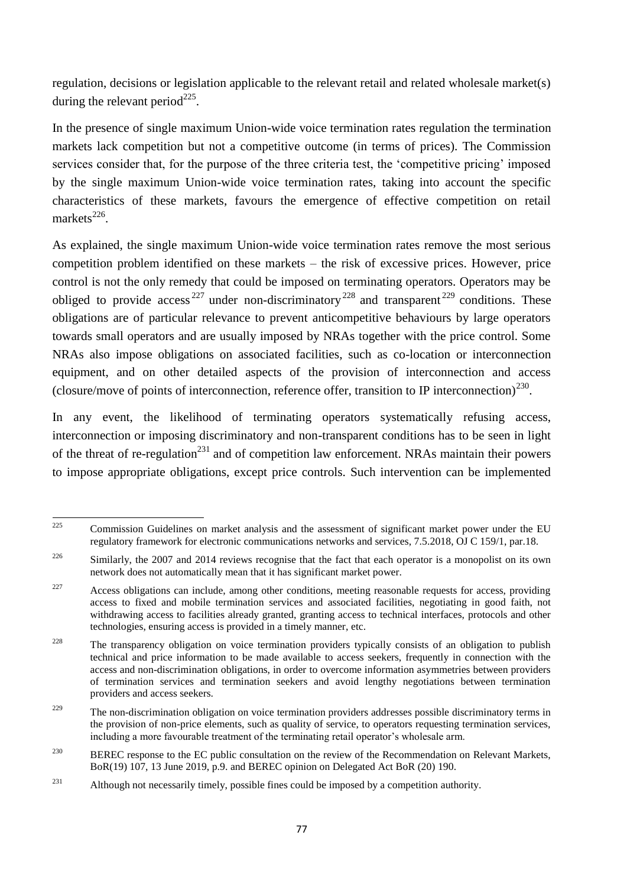regulation, decisions or legislation applicable to the relevant retail and related wholesale market(s) during the relevant period $^{225}$ .

In the presence of single maximum Union-wide voice termination rates regulation the termination markets lack competition but not a competitive outcome (in terms of prices). The Commission services consider that, for the purpose of the three criteria test, the 'competitive pricing' imposed by the single maximum Union-wide voice termination rates, taking into account the specific characteristics of these markets, favours the emergence of effective competition on retail markets $^{226}$ .

As explained, the single maximum Union-wide voice termination rates remove the most serious competition problem identified on these markets – the risk of excessive prices. However, price control is not the only remedy that could be imposed on terminating operators. Operators may be obliged to provide access<sup>227</sup> under non-discriminatory<sup>228</sup> and transparent<sup>229</sup> conditions. These obligations are of particular relevance to prevent anticompetitive behaviours by large operators towards small operators and are usually imposed by NRAs together with the price control. Some NRAs also impose obligations on associated facilities, such as co-location or interconnection equipment, and on other detailed aspects of the provision of interconnection and access (closure/move of points of interconnection, reference offer, transition to IP interconnection)<sup>230</sup>.

In any event, the likelihood of terminating operators systematically refusing access, interconnection or imposing discriminatory and non-transparent conditions has to be seen in light of the threat of re-regulation<sup>231</sup> and of competition law enforcement. NRAs maintain their powers to impose appropriate obligations, except price controls. Such intervention can be implemented

 $225$ <sup>225</sup> Commission Guidelines on market analysis and the assessment of significant market power under the EU regulatory framework for electronic communications networks and services, 7.5.2018, OJ C 159/1, par.18.

<sup>&</sup>lt;sup>226</sup> Similarly, the 2007 and 2014 reviews recognise that the fact that each operator is a monopolist on its own network does not automatically mean that it has significant market power.

<sup>&</sup>lt;sup>227</sup> Access obligations can include, among other conditions, meeting reasonable requests for access, providing access to fixed and mobile termination services and associated facilities, negotiating in good faith, not withdrawing access to facilities already granted, granting access to technical interfaces, protocols and other technologies, ensuring access is provided in a timely manner, etc.

<sup>&</sup>lt;sup>228</sup> The transparency obligation on voice termination providers typically consists of an obligation to publish technical and price information to be made available to access seekers, frequently in connection with the access and non-discrimination obligations, in order to overcome information asymmetries between providers of termination services and termination seekers and avoid lengthy negotiations between termination providers and access seekers.

<sup>&</sup>lt;sup>229</sup> The non-discrimination obligation on voice termination providers addresses possible discriminatory terms in the provision of non-price elements, such as quality of service, to operators requesting termination services, including a more favourable treatment of the terminating retail operator's wholesale arm.

<sup>&</sup>lt;sup>230</sup> BEREC response to the EC public consultation on the review of the Recommendation on Relevant Markets, BoR(19) 107, 13 June 2019, p.9. and BEREC opinion on Delegated Act BoR (20) 190.

<sup>&</sup>lt;sup>231</sup> Although not necessarily timely, possible fines could be imposed by a competition authority.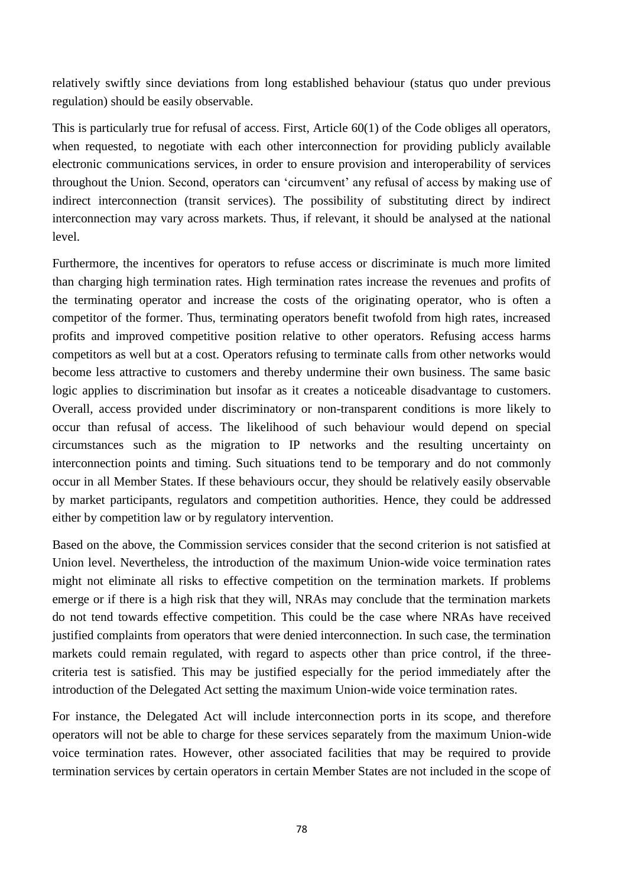relatively swiftly since deviations from long established behaviour (status quo under previous regulation) should be easily observable.

This is particularly true for refusal of access. First, Article 60(1) of the Code obliges all operators, when requested, to negotiate with each other interconnection for providing publicly available electronic communications services, in order to ensure provision and interoperability of services throughout the Union. Second, operators can 'circumvent' any refusal of access by making use of indirect interconnection (transit services). The possibility of substituting direct by indirect interconnection may vary across markets. Thus, if relevant, it should be analysed at the national level.

Furthermore, the incentives for operators to refuse access or discriminate is much more limited than charging high termination rates. High termination rates increase the revenues and profits of the terminating operator and increase the costs of the originating operator, who is often a competitor of the former. Thus, terminating operators benefit twofold from high rates, increased profits and improved competitive position relative to other operators. Refusing access harms competitors as well but at a cost. Operators refusing to terminate calls from other networks would become less attractive to customers and thereby undermine their own business. The same basic logic applies to discrimination but insofar as it creates a noticeable disadvantage to customers. Overall, access provided under discriminatory or non-transparent conditions is more likely to occur than refusal of access. The likelihood of such behaviour would depend on special circumstances such as the migration to IP networks and the resulting uncertainty on interconnection points and timing. Such situations tend to be temporary and do not commonly occur in all Member States. If these behaviours occur, they should be relatively easily observable by market participants, regulators and competition authorities. Hence, they could be addressed either by competition law or by regulatory intervention.

Based on the above, the Commission services consider that the second criterion is not satisfied at Union level. Nevertheless, the introduction of the maximum Union-wide voice termination rates might not eliminate all risks to effective competition on the termination markets. If problems emerge or if there is a high risk that they will, NRAs may conclude that the termination markets do not tend towards effective competition. This could be the case where NRAs have received justified complaints from operators that were denied interconnection. In such case, the termination markets could remain regulated, with regard to aspects other than price control, if the threecriteria test is satisfied. This may be justified especially for the period immediately after the introduction of the Delegated Act setting the maximum Union-wide voice termination rates.

For instance, the Delegated Act will include interconnection ports in its scope, and therefore operators will not be able to charge for these services separately from the maximum Union-wide voice termination rates. However, other associated facilities that may be required to provide termination services by certain operators in certain Member States are not included in the scope of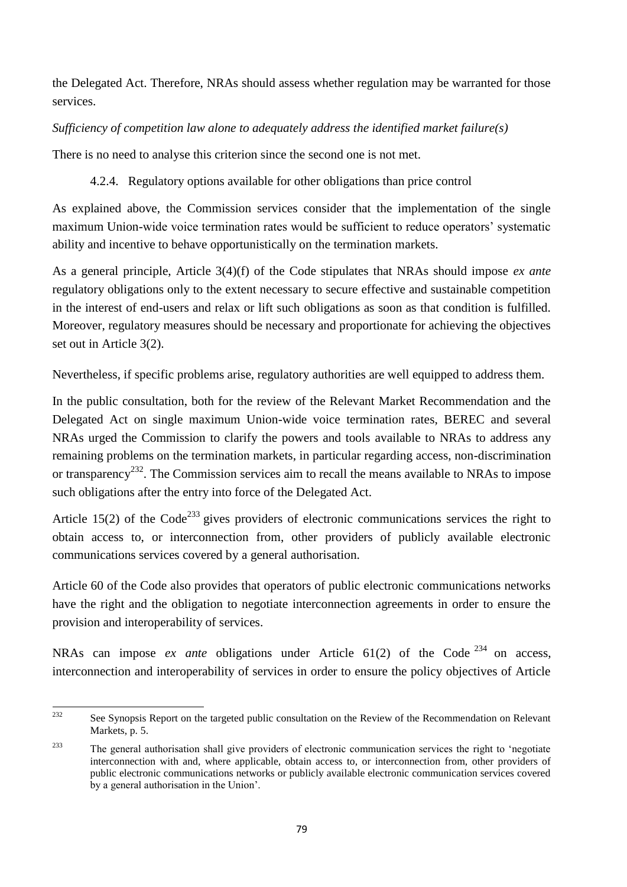the Delegated Act. Therefore, NRAs should assess whether regulation may be warranted for those services.

# *Sufficiency of competition law alone to adequately address the identified market failure(s)*

There is no need to analyse this criterion since the second one is not met.

4.2.4. Regulatory options available for other obligations than price control

As explained above, the Commission services consider that the implementation of the single maximum Union-wide voice termination rates would be sufficient to reduce operators' systematic ability and incentive to behave opportunistically on the termination markets.

As a general principle, Article 3(4)(f) of the Code stipulates that NRAs should impose *ex ante* regulatory obligations only to the extent necessary to secure effective and sustainable competition in the interest of end-users and relax or lift such obligations as soon as that condition is fulfilled. Moreover, regulatory measures should be necessary and proportionate for achieving the objectives set out in Article 3(2).

Nevertheless, if specific problems arise, regulatory authorities are well equipped to address them.

In the public consultation, both for the review of the Relevant Market Recommendation and the Delegated Act on single maximum Union-wide voice termination rates, BEREC and several NRAs urged the Commission to clarify the powers and tools available to NRAs to address any remaining problems on the termination markets, in particular regarding access, non-discrimination or transparency<sup>232</sup>. The Commission services aim to recall the means available to NRAs to impose such obligations after the entry into force of the Delegated Act.

Article 15(2) of the Code<sup>233</sup> gives providers of electronic communications services the right to obtain access to, or interconnection from, other providers of publicly available electronic communications services covered by a general authorisation.

Article 60 of the Code also provides that operators of public electronic communications networks have the right and the obligation to negotiate interconnection agreements in order to ensure the provision and interoperability of services.

NRAs can impose *ex ante* obligations under Article 61(2) of the Code <sup>234</sup> on access, interconnection and interoperability of services in order to ensure the policy objectives of Article

 $232$ See Synopsis Report on the targeted public consultation on the Review of the Recommendation on Relevant Markets, p. 5.

<sup>&</sup>lt;sup>233</sup> The general authorisation shall give providers of electronic communication services the right to 'negotiate' interconnection with and, where applicable, obtain access to, or interconnection from, other providers of public electronic communications networks or publicly available electronic communication services covered by a general authorisation in the Union'.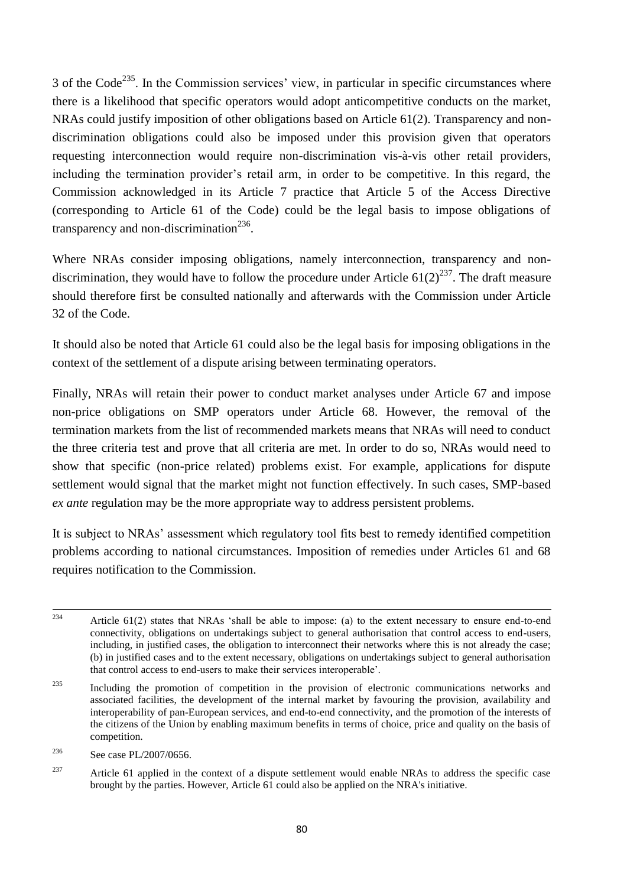$3$  of the Code<sup>235</sup>. In the Commission services' view, in particular in specific circumstances where there is a likelihood that specific operators would adopt anticompetitive conducts on the market, NRAs could justify imposition of other obligations based on Article 61(2). Transparency and nondiscrimination obligations could also be imposed under this provision given that operators requesting interconnection would require non-discrimination vis-à-vis other retail providers, including the termination provider's retail arm, in order to be competitive. In this regard, the Commission acknowledged in its Article 7 practice that Article 5 of the Access Directive (corresponding to Article 61 of the Code) could be the legal basis to impose obligations of transparency and non-discrimination<sup>236</sup>.

Where NRAs consider imposing obligations, namely interconnection, transparency and nondiscrimination, they would have to follow the procedure under Article  $61(2)^{237}$ . The draft measure should therefore first be consulted nationally and afterwards with the Commission under Article 32 of the Code.

It should also be noted that Article 61 could also be the legal basis for imposing obligations in the context of the settlement of a dispute arising between terminating operators.

Finally, NRAs will retain their power to conduct market analyses under Article 67 and impose non-price obligations on SMP operators under Article 68. However, the removal of the termination markets from the list of recommended markets means that NRAs will need to conduct the three criteria test and prove that all criteria are met. In order to do so, NRAs would need to show that specific (non-price related) problems exist. For example, applications for dispute settlement would signal that the market might not function effectively. In such cases, SMP-based *ex ante* regulation may be the more appropriate way to address persistent problems.

It is subject to NRAs' assessment which regulatory tool fits best to remedy identified competition problems according to national circumstances. Imposition of remedies under Articles 61 and 68 requires notification to the Commission.

 $234$ Article  $61(2)$  states that NRAs 'shall be able to impose: (a) to the extent necessary to ensure end-to-end connectivity, obligations on undertakings subject to general authorisation that control access to end-users, including, in justified cases, the obligation to interconnect their networks where this is not already the case; (b) in justified cases and to the extent necessary, obligations on undertakings subject to general authorisation that control access to end-users to make their services interoperable'.

<sup>&</sup>lt;sup>235</sup> Including the promotion of competition in the provision of electronic communications networks and associated facilities, the development of the internal market by favouring the provision, availability and interoperability of pan-European services, and end-to-end connectivity, and the promotion of the interests of the citizens of the Union by enabling maximum benefits in terms of choice, price and quality on the basis of competition.

<sup>236</sup> See case PL/2007/0656.

<sup>&</sup>lt;sup>237</sup> Article 61 applied in the context of a dispute settlement would enable NRAs to address the specific case brought by the parties. However, Article 61 could also be applied on the NRA's initiative.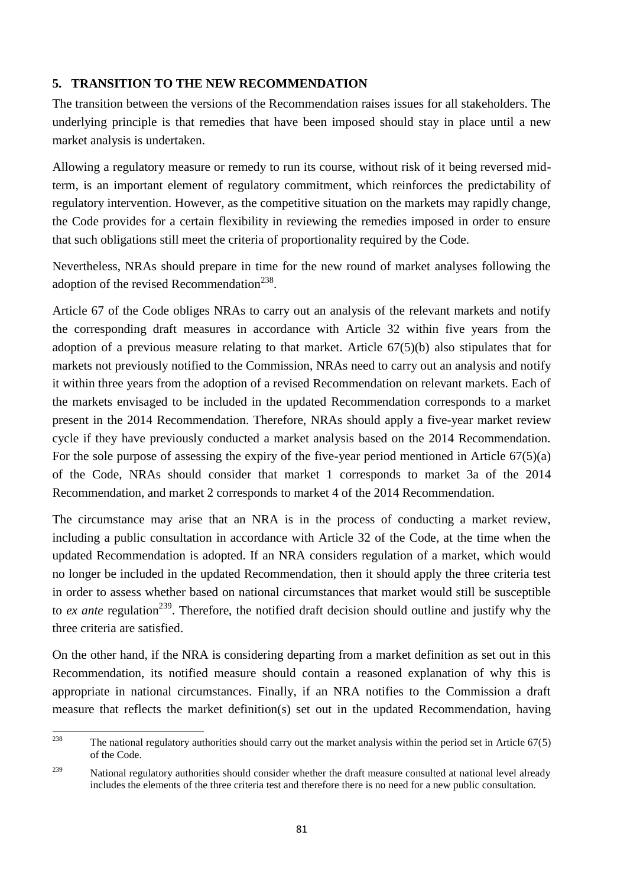## **5. TRANSITION TO THE NEW RECOMMENDATION**

The transition between the versions of the Recommendation raises issues for all stakeholders. The underlying principle is that remedies that have been imposed should stay in place until a new market analysis is undertaken.

Allowing a regulatory measure or remedy to run its course, without risk of it being reversed midterm, is an important element of regulatory commitment, which reinforces the predictability of regulatory intervention. However, as the competitive situation on the markets may rapidly change, the Code provides for a certain flexibility in reviewing the remedies imposed in order to ensure that such obligations still meet the criteria of proportionality required by the Code.

Nevertheless, NRAs should prepare in time for the new round of market analyses following the adoption of the revised Recommendation<sup>238</sup>.

Article 67 of the Code obliges NRAs to carry out an analysis of the relevant markets and notify the corresponding draft measures in accordance with Article 32 within five years from the adoption of a previous measure relating to that market. Article 67(5)(b) also stipulates that for markets not previously notified to the Commission, NRAs need to carry out an analysis and notify it within three years from the adoption of a revised Recommendation on relevant markets. Each of the markets envisaged to be included in the updated Recommendation corresponds to a market present in the 2014 Recommendation. Therefore, NRAs should apply a five-year market review cycle if they have previously conducted a market analysis based on the 2014 Recommendation. For the sole purpose of assessing the expiry of the five-year period mentioned in Article 67(5)(a) of the Code, NRAs should consider that market 1 corresponds to market 3a of the 2014 Recommendation, and market 2 corresponds to market 4 of the 2014 Recommendation.

The circumstance may arise that an NRA is in the process of conducting a market review, including a public consultation in accordance with Article 32 of the Code, at the time when the updated Recommendation is adopted. If an NRA considers regulation of a market, which would no longer be included in the updated Recommendation, then it should apply the three criteria test in order to assess whether based on national circumstances that market would still be susceptible to *ex ante* regulation<sup>239</sup>. Therefore, the notified draft decision should outline and justify why the three criteria are satisfied.

On the other hand, if the NRA is considering departing from a market definition as set out in this Recommendation, its notified measure should contain a reasoned explanation of why this is appropriate in national circumstances. Finally, if an NRA notifies to the Commission a draft measure that reflects the market definition(s) set out in the updated Recommendation, having

<sup>238</sup> The national regulatory authorities should carry out the market analysis within the period set in Article  $67(5)$ of the Code.

<sup>&</sup>lt;sup>239</sup> National regulatory authorities should consider whether the draft measure consulted at national level already includes the elements of the three criteria test and therefore there is no need for a new public consultation.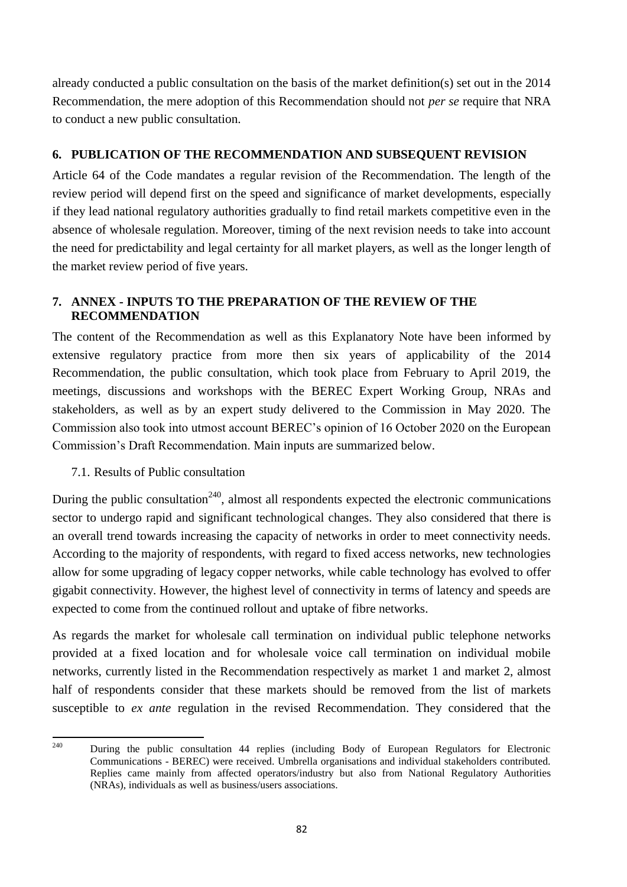already conducted a public consultation on the basis of the market definition(s) set out in the 2014 Recommendation, the mere adoption of this Recommendation should not *per se* require that NRA to conduct a new public consultation.

## **6. PUBLICATION OF THE RECOMMENDATION AND SUBSEQUENT REVISION**

Article 64 of the Code mandates a regular revision of the Recommendation. The length of the review period will depend first on the speed and significance of market developments, especially if they lead national regulatory authorities gradually to find retail markets competitive even in the absence of wholesale regulation. Moreover, timing of the next revision needs to take into account the need for predictability and legal certainty for all market players, as well as the longer length of the market review period of five years.

# **7. ANNEX - INPUTS TO THE PREPARATION OF THE REVIEW OF THE RECOMMENDATION**

The content of the Recommendation as well as this Explanatory Note have been informed by extensive regulatory practice from more then six years of applicability of the 2014 Recommendation, the public consultation, which took place from February to April 2019, the meetings, discussions and workshops with the BEREC Expert Working Group, NRAs and stakeholders, as well as by an expert study delivered to the Commission in May 2020. The Commission also took into utmost account BEREC's opinion of 16 October 2020 on the European Commission's Draft Recommendation. Main inputs are summarized below.

# 7.1. Results of Public consultation

During the public consultation<sup>240</sup>, almost all respondents expected the electronic communications sector to undergo rapid and significant technological changes. They also considered that there is an overall trend towards increasing the capacity of networks in order to meet connectivity needs. According to the majority of respondents, with regard to fixed access networks, new technologies allow for some upgrading of legacy copper networks, while cable technology has evolved to offer gigabit connectivity. However, the highest level of connectivity in terms of latency and speeds are expected to come from the continued rollout and uptake of fibre networks.

As regards the market for wholesale call termination on individual public telephone networks provided at a fixed location and for wholesale voice call termination on individual mobile networks, currently listed in the Recommendation respectively as market 1 and market 2, almost half of respondents consider that these markets should be removed from the list of markets susceptible to *ex ante* regulation in the revised Recommendation. They considered that the

<sup>240</sup> <sup>240</sup> During the public consultation 44 replies (including Body of European Regulators for Electronic Communications - BEREC) were received. Umbrella organisations and individual stakeholders contributed. Replies came mainly from affected operators/industry but also from National Regulatory Authorities (NRAs), individuals as well as business/users associations.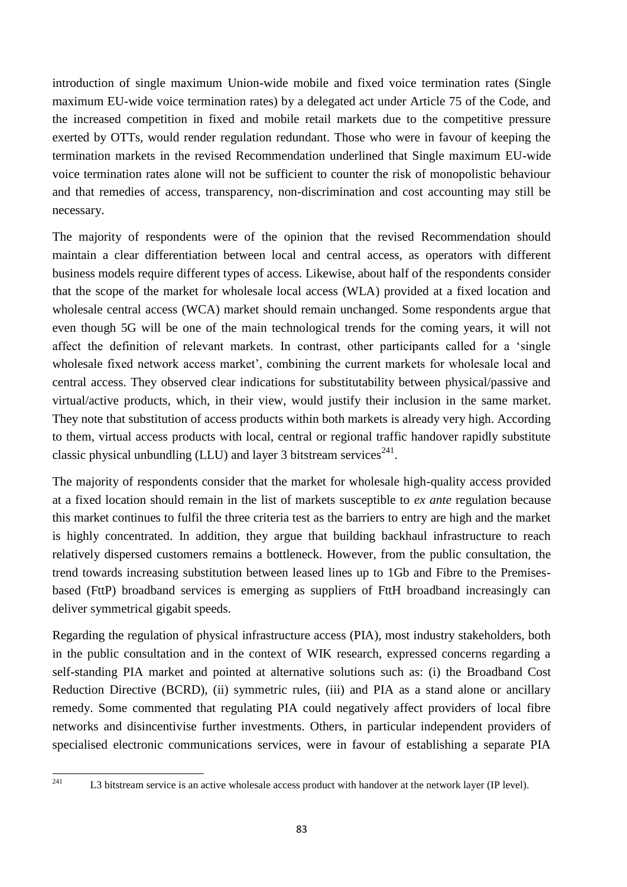introduction of single maximum Union-wide mobile and fixed voice termination rates (Single maximum EU-wide voice termination rates) by a delegated act under Article 75 of the Code, and the increased competition in fixed and mobile retail markets due to the competitive pressure exerted by OTTs, would render regulation redundant. Those who were in favour of keeping the termination markets in the revised Recommendation underlined that Single maximum EU-wide voice termination rates alone will not be sufficient to counter the risk of monopolistic behaviour and that remedies of access, transparency, non-discrimination and cost accounting may still be necessary.

The majority of respondents were of the opinion that the revised Recommendation should maintain a clear differentiation between local and central access, as operators with different business models require different types of access. Likewise, about half of the respondents consider that the scope of the market for wholesale local access (WLA) provided at a fixed location and wholesale central access (WCA) market should remain unchanged. Some respondents argue that even though 5G will be one of the main technological trends for the coming years, it will not affect the definition of relevant markets. In contrast, other participants called for a 'single wholesale fixed network access market', combining the current markets for wholesale local and central access. They observed clear indications for substitutability between physical/passive and virtual/active products, which, in their view, would justify their inclusion in the same market. They note that substitution of access products within both markets is already very high. According to them, virtual access products with local, central or regional traffic handover rapidly substitute classic physical unbundling (LLU) and layer 3 bitstream services<sup>241</sup>.

The majority of respondents consider that the market for wholesale high-quality access provided at a fixed location should remain in the list of markets susceptible to *ex ante* regulation because this market continues to fulfil the three criteria test as the barriers to entry are high and the market is highly concentrated. In addition, they argue that building backhaul infrastructure to reach relatively dispersed customers remains a bottleneck. However, from the public consultation, the trend towards increasing substitution between leased lines up to 1Gb and Fibre to the Premisesbased (FttP) broadband services is emerging as suppliers of FttH broadband increasingly can deliver symmetrical gigabit speeds.

Regarding the regulation of physical infrastructure access (PIA), most industry stakeholders, both in the public consultation and in the context of WIK research, expressed concerns regarding a self-standing PIA market and pointed at alternative solutions such as: (i) the Broadband Cost Reduction Directive (BCRD), (ii) symmetric rules, (iii) and PIA as a stand alone or ancillary remedy. Some commented that regulating PIA could negatively affect providers of local fibre networks and disincentivise further investments. Others, in particular independent providers of specialised electronic communications services, were in favour of establishing a separate PIA

<sup>241</sup> 

L3 bitstream service is an active wholesale access product with handover at the network layer (IP level).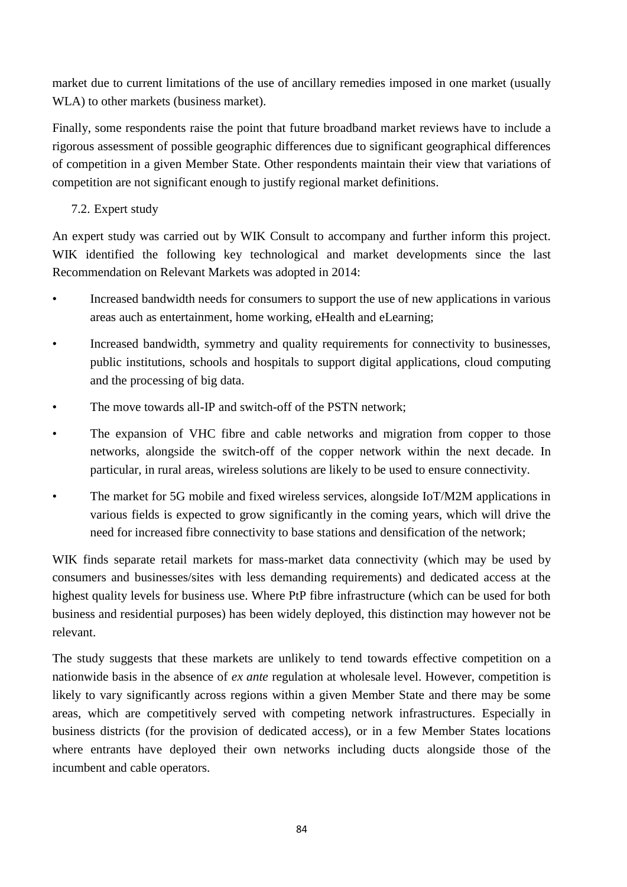market due to current limitations of the use of ancillary remedies imposed in one market (usually WLA) to other markets (business market).

Finally, some respondents raise the point that future broadband market reviews have to include a rigorous assessment of possible geographic differences due to significant geographical differences of competition in a given Member State. Other respondents maintain their view that variations of competition are not significant enough to justify regional market definitions.

# 7.2. Expert study

An expert study was carried out by WIK Consult to accompany and further inform this project. WIK identified the following key technological and market developments since the last Recommendation on Relevant Markets was adopted in 2014:

- Increased bandwidth needs for consumers to support the use of new applications in various areas auch as entertainment, home working, eHealth and eLearning;
- Increased bandwidth, symmetry and quality requirements for connectivity to businesses, public institutions, schools and hospitals to support digital applications, cloud computing and the processing of big data.
- The move towards all-IP and switch-off of the PSTN network:
- The expansion of VHC fibre and cable networks and migration from copper to those networks, alongside the switch-off of the copper network within the next decade. In particular, in rural areas, wireless solutions are likely to be used to ensure connectivity.
- The market for 5G mobile and fixed wireless services, alongside IoT/M2M applications in various fields is expected to grow significantly in the coming years, which will drive the need for increased fibre connectivity to base stations and densification of the network;

WIK finds separate retail markets for mass-market data connectivity (which may be used by consumers and businesses/sites with less demanding requirements) and dedicated access at the highest quality levels for business use. Where PtP fibre infrastructure (which can be used for both business and residential purposes) has been widely deployed, this distinction may however not be relevant.

The study suggests that these markets are unlikely to tend towards effective competition on a nationwide basis in the absence of *ex ante* regulation at wholesale level. However, competition is likely to vary significantly across regions within a given Member State and there may be some areas, which are competitively served with competing network infrastructures. Especially in business districts (for the provision of dedicated access), or in a few Member States locations where entrants have deployed their own networks including ducts alongside those of the incumbent and cable operators.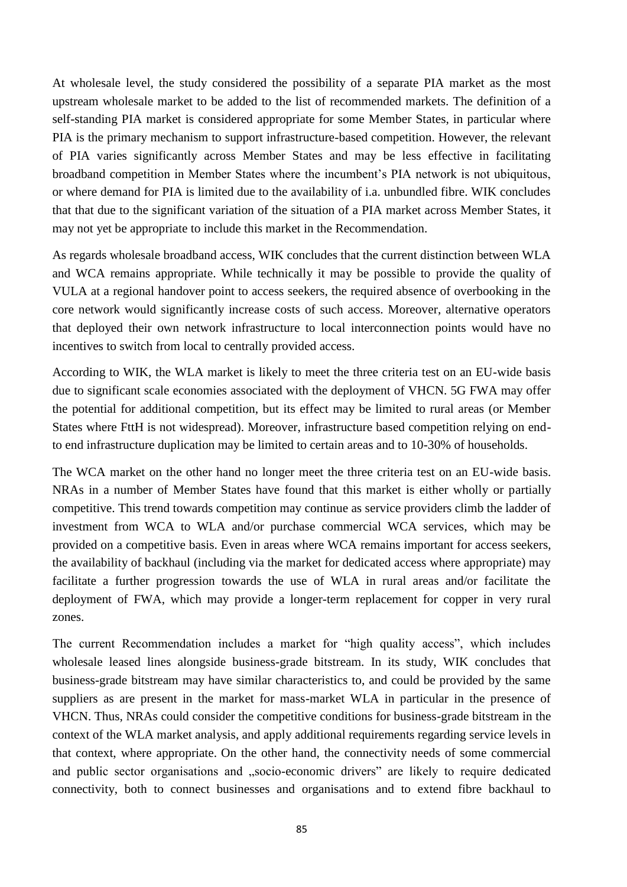At wholesale level, the study considered the possibility of a separate PIA market as the most upstream wholesale market to be added to the list of recommended markets. The definition of a self-standing PIA market is considered appropriate for some Member States, in particular where PIA is the primary mechanism to support infrastructure-based competition. However, the relevant of PIA varies significantly across Member States and may be less effective in facilitating broadband competition in Member States where the incumbent's PIA network is not ubiquitous, or where demand for PIA is limited due to the availability of i.a. unbundled fibre. WIK concludes that that due to the significant variation of the situation of a PIA market across Member States, it may not yet be appropriate to include this market in the Recommendation.

As regards wholesale broadband access, WIK concludes that the current distinction between WLA and WCA remains appropriate. While technically it may be possible to provide the quality of VULA at a regional handover point to access seekers, the required absence of overbooking in the core network would significantly increase costs of such access. Moreover, alternative operators that deployed their own network infrastructure to local interconnection points would have no incentives to switch from local to centrally provided access.

According to WIK, the WLA market is likely to meet the three criteria test on an EU-wide basis due to significant scale economies associated with the deployment of VHCN. 5G FWA may offer the potential for additional competition, but its effect may be limited to rural areas (or Member States where FttH is not widespread). Moreover, infrastructure based competition relying on endto end infrastructure duplication may be limited to certain areas and to 10-30% of households.

The WCA market on the other hand no longer meet the three criteria test on an EU-wide basis. NRAs in a number of Member States have found that this market is either wholly or partially competitive. This trend towards competition may continue as service providers climb the ladder of investment from WCA to WLA and/or purchase commercial WCA services, which may be provided on a competitive basis. Even in areas where WCA remains important for access seekers, the availability of backhaul (including via the market for dedicated access where appropriate) may facilitate a further progression towards the use of WLA in rural areas and/or facilitate the deployment of FWA, which may provide a longer-term replacement for copper in very rural zones.

The current Recommendation includes a market for "high quality access", which includes wholesale leased lines alongside business-grade bitstream. In its study, WIK concludes that business-grade bitstream may have similar characteristics to, and could be provided by the same suppliers as are present in the market for mass-market WLA in particular in the presence of VHCN. Thus, NRAs could consider the competitive conditions for business-grade bitstream in the context of the WLA market analysis, and apply additional requirements regarding service levels in that context, where appropriate. On the other hand, the connectivity needs of some commercial and public sector organisations and "socio-economic drivers" are likely to require dedicated connectivity, both to connect businesses and organisations and to extend fibre backhaul to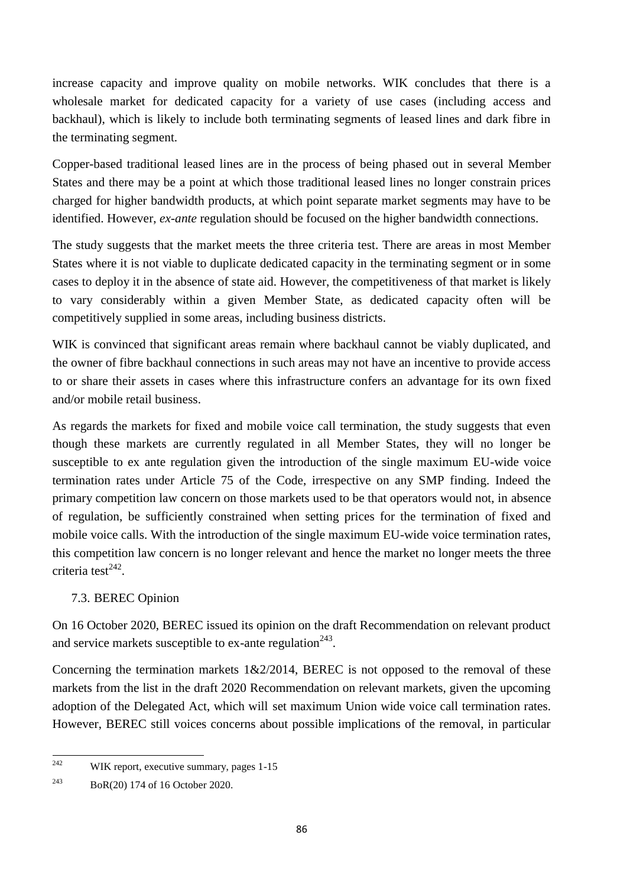increase capacity and improve quality on mobile networks. WIK concludes that there is a wholesale market for dedicated capacity for a variety of use cases (including access and backhaul), which is likely to include both terminating segments of leased lines and dark fibre in the terminating segment.

Copper-based traditional leased lines are in the process of being phased out in several Member States and there may be a point at which those traditional leased lines no longer constrain prices charged for higher bandwidth products, at which point separate market segments may have to be identified. However, *ex-ante* regulation should be focused on the higher bandwidth connections.

The study suggests that the market meets the three criteria test. There are areas in most Member States where it is not viable to duplicate dedicated capacity in the terminating segment or in some cases to deploy it in the absence of state aid. However, the competitiveness of that market is likely to vary considerably within a given Member State, as dedicated capacity often will be competitively supplied in some areas, including business districts.

WIK is convinced that significant areas remain where backhaul cannot be viably duplicated, and the owner of fibre backhaul connections in such areas may not have an incentive to provide access to or share their assets in cases where this infrastructure confers an advantage for its own fixed and/or mobile retail business.

As regards the markets for fixed and mobile voice call termination, the study suggests that even though these markets are currently regulated in all Member States, they will no longer be susceptible to ex ante regulation given the introduction of the single maximum EU-wide voice termination rates under Article 75 of the Code, irrespective on any SMP finding. Indeed the primary competition law concern on those markets used to be that operators would not, in absence of regulation, be sufficiently constrained when setting prices for the termination of fixed and mobile voice calls. With the introduction of the single maximum EU-wide voice termination rates, this competition law concern is no longer relevant and hence the market no longer meets the three criteria test $^{242}$ .

## 7.3. BEREC Opinion

On 16 October 2020, BEREC issued its opinion on the draft Recommendation on relevant product and service markets susceptible to ex-ante regulation<sup>243</sup>.

Concerning the termination markets  $1\&2/2014$ , BEREC is not opposed to the removal of these markets from the list in the draft 2020 Recommendation on relevant markets, given the upcoming adoption of the Delegated Act, which will set maximum Union wide voice call termination rates. However, BEREC still voices concerns about possible implications of the removal, in particular

<sup>242</sup> WIK report, executive summary, pages 1-15

<sup>243</sup> BoR(20) 174 of 16 October 2020.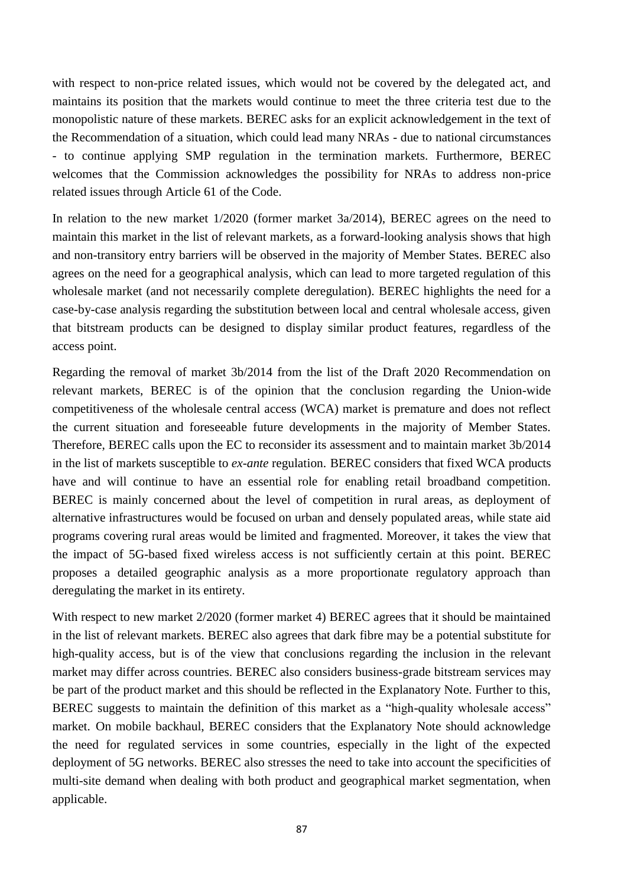with respect to non-price related issues, which would not be covered by the delegated act, and maintains its position that the markets would continue to meet the three criteria test due to the monopolistic nature of these markets. BEREC asks for an explicit acknowledgement in the text of the Recommendation of a situation, which could lead many NRAs - due to national circumstances - to continue applying SMP regulation in the termination markets. Furthermore, BEREC welcomes that the Commission acknowledges the possibility for NRAs to address non-price related issues through Article 61 of the Code.

In relation to the new market 1/2020 (former market 3a/2014), BEREC agrees on the need to maintain this market in the list of relevant markets, as a forward-looking analysis shows that high and non-transitory entry barriers will be observed in the majority of Member States. BEREC also agrees on the need for a geographical analysis, which can lead to more targeted regulation of this wholesale market (and not necessarily complete deregulation). BEREC highlights the need for a case-by-case analysis regarding the substitution between local and central wholesale access, given that bitstream products can be designed to display similar product features, regardless of the access point.

Regarding the removal of market 3b/2014 from the list of the Draft 2020 Recommendation on relevant markets, BEREC is of the opinion that the conclusion regarding the Union-wide competitiveness of the wholesale central access (WCA) market is premature and does not reflect the current situation and foreseeable future developments in the majority of Member States. Therefore, BEREC calls upon the EC to reconsider its assessment and to maintain market 3b/2014 in the list of markets susceptible to *ex-ante* regulation. BEREC considers that fixed WCA products have and will continue to have an essential role for enabling retail broadband competition. BEREC is mainly concerned about the level of competition in rural areas, as deployment of alternative infrastructures would be focused on urban and densely populated areas, while state aid programs covering rural areas would be limited and fragmented. Moreover, it takes the view that the impact of 5G-based fixed wireless access is not sufficiently certain at this point. BEREC proposes a detailed geographic analysis as a more proportionate regulatory approach than deregulating the market in its entirety.

With respect to new market 2/2020 (former market 4) BEREC agrees that it should be maintained in the list of relevant markets. BEREC also agrees that dark fibre may be a potential substitute for high-quality access, but is of the view that conclusions regarding the inclusion in the relevant market may differ across countries. BEREC also considers business-grade bitstream services may be part of the product market and this should be reflected in the Explanatory Note. Further to this, BEREC suggests to maintain the definition of this market as a "high-quality wholesale access" market. On mobile backhaul, BEREC considers that the Explanatory Note should acknowledge the need for regulated services in some countries, especially in the light of the expected deployment of 5G networks. BEREC also stresses the need to take into account the specificities of multi-site demand when dealing with both product and geographical market segmentation, when applicable.